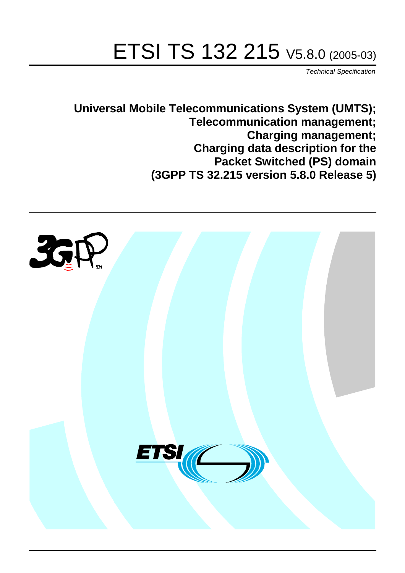# ETSI TS 132 215 V5.8.0 (2005-03)

Technical Specification

**Universal Mobile Telecommunications System (UMTS); Telecommunication management; Charging management; Charging data description for the Packet Switched (PS) domain (3GPP TS 32.215 version 5.8.0 Release 5)**

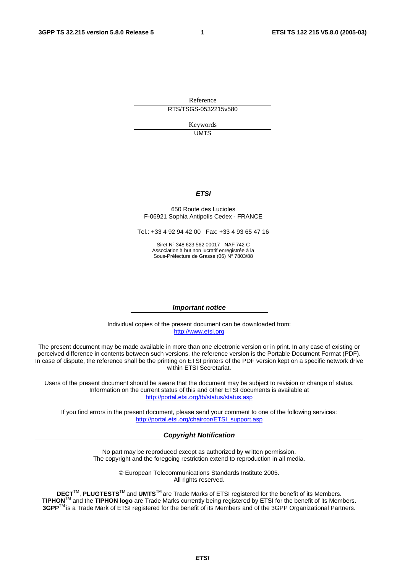Reference RTS/TSGS-0532215v580

> Keywords UMTS

#### **ETSI**

#### 650 Route des Lucioles F-06921 Sophia Antipolis Cedex - FRANCE

Tel.: +33 4 92 94 42 00 Fax: +33 4 93 65 47 16

Siret N° 348 623 562 00017 - NAF 742 C Association à but non lucratif enregistrée à la Sous-Préfecture de Grasse (06) N° 7803/88

#### **Important notice**

Individual copies of the present document can be downloaded from: [http://www.etsi.org](http://www.etsi.org/)

The present document may be made available in more than one electronic version or in print. In any case of existing or perceived difference in contents between such versions, the reference version is the Portable Document Format (PDF). In case of dispute, the reference shall be the printing on ETSI printers of the PDF version kept on a specific network drive within ETSI Secretariat.

Users of the present document should be aware that the document may be subject to revision or change of status. Information on the current status of this and other ETSI documents is available at <http://portal.etsi.org/tb/status/status.asp>

If you find errors in the present document, please send your comment to one of the following services: [http://portal.etsi.org/chaircor/ETSI\\_support.asp](http://portal.etsi.org/chaircor/ETSI_support.asp)

#### **Copyright Notification**

No part may be reproduced except as authorized by written permission. The copyright and the foregoing restriction extend to reproduction in all media.

> © European Telecommunications Standards Institute 2005. All rights reserved.

**DECT**TM, **PLUGTESTS**TM and **UMTS**TM are Trade Marks of ETSI registered for the benefit of its Members. **TIPHON**TM and the **TIPHON logo** are Trade Marks currently being registered by ETSI for the benefit of its Members. **3GPP**TM is a Trade Mark of ETSI registered for the benefit of its Members and of the 3GPP Organizational Partners.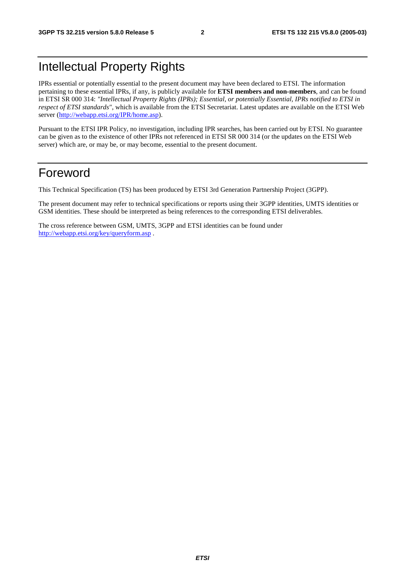## Intellectual Property Rights

IPRs essential or potentially essential to the present document may have been declared to ETSI. The information pertaining to these essential IPRs, if any, is publicly available for **ETSI members and non-members**, and can be found in ETSI SR 000 314: *"Intellectual Property Rights (IPRs); Essential, or potentially Essential, IPRs notified to ETSI in respect of ETSI standards"*, which is available from the ETSI Secretariat. Latest updates are available on the ETSI Web server ([http://webapp.etsi.org/IPR/home.asp\)](http://webapp.etsi.org/IPR/home.asp).

Pursuant to the ETSI IPR Policy, no investigation, including IPR searches, has been carried out by ETSI. No guarantee can be given as to the existence of other IPRs not referenced in ETSI SR 000 314 (or the updates on the ETSI Web server) which are, or may be, or may become, essential to the present document.

### Foreword

This Technical Specification (TS) has been produced by ETSI 3rd Generation Partnership Project (3GPP).

The present document may refer to technical specifications or reports using their 3GPP identities, UMTS identities or GSM identities. These should be interpreted as being references to the corresponding ETSI deliverables.

The cross reference between GSM, UMTS, 3GPP and ETSI identities can be found under <http://webapp.etsi.org/key/queryform.asp>.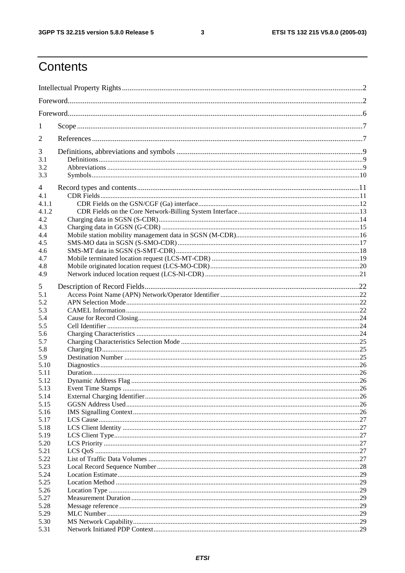$\mathbf{3}$ 

## Contents

| 1            |  |  |  |
|--------------|--|--|--|
| 2            |  |  |  |
| 3            |  |  |  |
| 3.1<br>3.2   |  |  |  |
| 3.3          |  |  |  |
| 4            |  |  |  |
| 4.1          |  |  |  |
| 4.1.1        |  |  |  |
| 4.1.2        |  |  |  |
| 4.2          |  |  |  |
| 4.3          |  |  |  |
| 4.4          |  |  |  |
| 4.5          |  |  |  |
| 4.6          |  |  |  |
| 4.7          |  |  |  |
| 4.8          |  |  |  |
| 4.9          |  |  |  |
| 5            |  |  |  |
| 5.1          |  |  |  |
| 5.2          |  |  |  |
| 5.3          |  |  |  |
| 5.4          |  |  |  |
| 5.5          |  |  |  |
| 5.6          |  |  |  |
| 5.7          |  |  |  |
| 5.8          |  |  |  |
| 5.9          |  |  |  |
| 5.10         |  |  |  |
| 5.11         |  |  |  |
| 5.12         |  |  |  |
| 5.13         |  |  |  |
| 5.14         |  |  |  |
| 5.15         |  |  |  |
| 5.16         |  |  |  |
| 5.17         |  |  |  |
| 5.18         |  |  |  |
| 5.19<br>5.20 |  |  |  |
| 5.21         |  |  |  |
| 5.22         |  |  |  |
| 5.23         |  |  |  |
| 5.24         |  |  |  |
| 5.25         |  |  |  |
| 5.26         |  |  |  |
| 5.27         |  |  |  |
| 5.28         |  |  |  |
| 5.29         |  |  |  |
| 5.30         |  |  |  |
| 5.31         |  |  |  |
|              |  |  |  |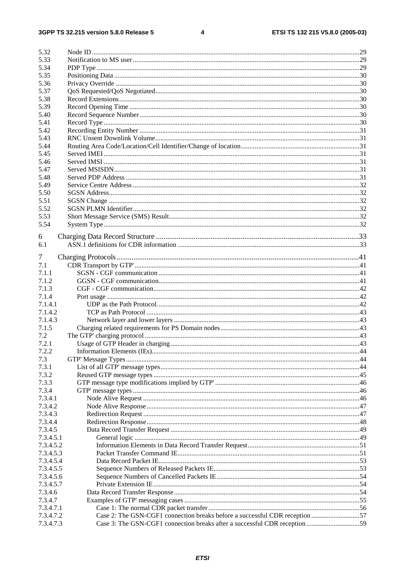#### $\overline{\mathbf{4}}$

| 5.32      |                                                                             |  |
|-----------|-----------------------------------------------------------------------------|--|
| 5.33      |                                                                             |  |
| 5.34      |                                                                             |  |
| 5.35      |                                                                             |  |
| 5.36      |                                                                             |  |
| 5.37      |                                                                             |  |
| 5.38      |                                                                             |  |
| 5.39      |                                                                             |  |
| 5.40      |                                                                             |  |
| 5.41      |                                                                             |  |
|           |                                                                             |  |
| 5.42      |                                                                             |  |
| 5.43      |                                                                             |  |
| 5.44      |                                                                             |  |
| 5.45      |                                                                             |  |
| 5.46      |                                                                             |  |
| 5.47      |                                                                             |  |
| 5.48      |                                                                             |  |
| 5.49      |                                                                             |  |
| 5.50      |                                                                             |  |
| 5.51      |                                                                             |  |
| 5.52      |                                                                             |  |
| 5.53      |                                                                             |  |
| 5.54      |                                                                             |  |
|           |                                                                             |  |
| 6         |                                                                             |  |
| 6.1       |                                                                             |  |
| 7         |                                                                             |  |
| 7.1       |                                                                             |  |
| 7.1.1     |                                                                             |  |
| 7.1.2     |                                                                             |  |
|           |                                                                             |  |
| 7.1.3     |                                                                             |  |
| 7.1.4     |                                                                             |  |
| 7.1.4.1   |                                                                             |  |
| 7.1.4.2   |                                                                             |  |
| 7.1.4.3   |                                                                             |  |
| 7.1.5     |                                                                             |  |
| 7.2       |                                                                             |  |
| 7.2.1     |                                                                             |  |
| 7.2.2     |                                                                             |  |
| 7.3       |                                                                             |  |
| 7.3.1     |                                                                             |  |
| 7.3.2     |                                                                             |  |
| 7.3.3     |                                                                             |  |
| 7.3.4     |                                                                             |  |
| 7.3.4.1   |                                                                             |  |
| 7.3.4.2   |                                                                             |  |
| 7.3.4.3   |                                                                             |  |
| 7.3.4.4   |                                                                             |  |
| 7.3.4.5   |                                                                             |  |
| 7.3.4.5.1 |                                                                             |  |
| 7.3.4.5.2 |                                                                             |  |
| 7.3.4.5.3 |                                                                             |  |
| 7.3.4.5.4 |                                                                             |  |
| 7.3.4.5.5 |                                                                             |  |
|           |                                                                             |  |
| 7.3.4.5.6 |                                                                             |  |
| 7.3.4.5.7 |                                                                             |  |
| 7.3.4.6   |                                                                             |  |
| 7.3.4.7   |                                                                             |  |
| 7.3.4.7.1 |                                                                             |  |
| 7.3.4.7.2 | Case 2: The GSN-CGF1 connection breaks before a successful CDR reception 57 |  |
| 7.3.4.7.3 |                                                                             |  |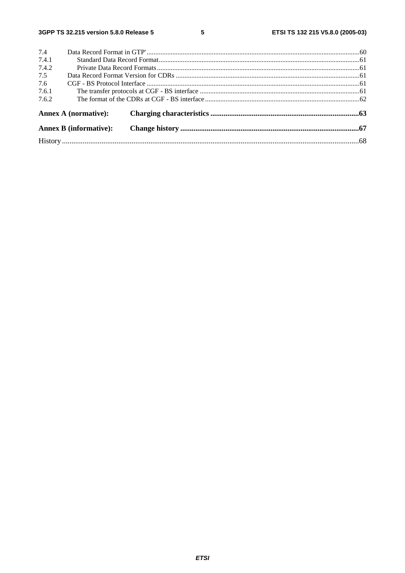$5\phantom{a}$ 

|       | <b>Annex B</b> (informative): |  |  |  |
|-------|-------------------------------|--|--|--|
|       |                               |  |  |  |
|       | Annex A (normative):          |  |  |  |
| 7.6.2 |                               |  |  |  |
| 7.6.1 |                               |  |  |  |
| 7.6   |                               |  |  |  |
| 7.5   |                               |  |  |  |
| 7.4.2 |                               |  |  |  |
| 7.4.1 |                               |  |  |  |
| 7.4   |                               |  |  |  |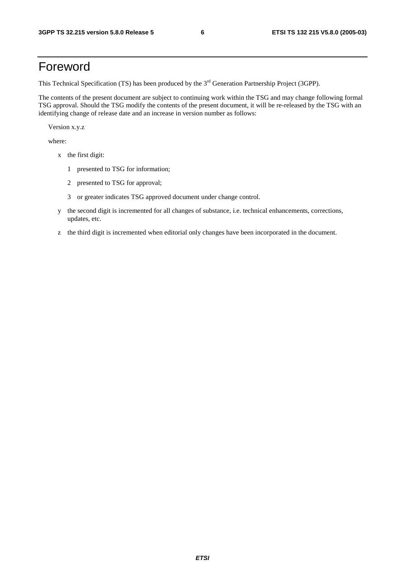## Foreword

This Technical Specification (TS) has been produced by the 3<sup>rd</sup> Generation Partnership Project (3GPP).

The contents of the present document are subject to continuing work within the TSG and may change following formal TSG approval. Should the TSG modify the contents of the present document, it will be re-released by the TSG with an identifying change of release date and an increase in version number as follows:

Version x.y.z

where:

- x the first digit:
	- 1 presented to TSG for information;
	- 2 presented to TSG for approval;
	- 3 or greater indicates TSG approved document under change control.
- y the second digit is incremented for all changes of substance, i.e. technical enhancements, corrections, updates, etc.
- z the third digit is incremented when editorial only changes have been incorporated in the document.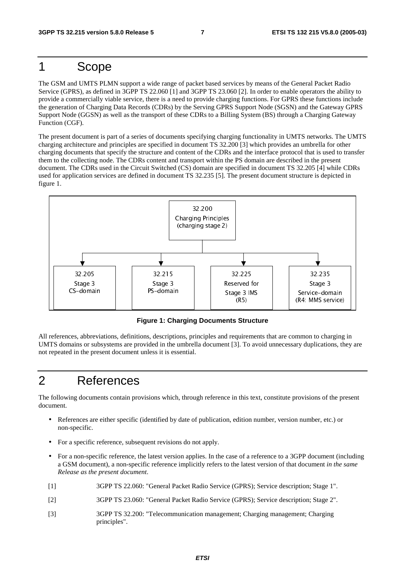## 1 Scope

The GSM and UMTS PLMN support a wide range of packet based services by means of the General Packet Radio Service (GPRS), as defined in 3GPP TS 22.060 [1] and 3GPP TS 23.060 [2]. In order to enable operators the ability to provide a commercially viable service, there is a need to provide charging functions. For GPRS these functions include the generation of Charging Data Records (CDRs) by the Serving GPRS Support Node (SGSN) and the Gateway GPRS Support Node (GGSN) as well as the transport of these CDRs to a Billing System (BS) through a Charging Gateway Function (CGF).

The present document is part of a series of documents specifying charging functionality in UMTS networks. The UMTS charging architecture and principles are specified in document TS 32.200 [3] which provides an umbrella for other charging documents that specify the structure and content of the CDRs and the interface protocol that is used to transfer them to the collecting node. The CDRs content and transport within the PS domain are described in the present document. The CDRs used in the Circuit Switched (CS) domain are specified in document TS 32.205 [4] while CDRs used for application services are defined in document TS 32.235 [5]. The present document structure is depicted in figure 1.



**Figure 1: Charging Documents Structure** 

All references, abbreviations, definitions, descriptions, principles and requirements that are common to charging in UMTS domains or subsystems are provided in the umbrella document [3]. To avoid unnecessary duplications, they are not repeated in the present document unless it is essential.

## 2 References

The following documents contain provisions which, through reference in this text, constitute provisions of the present document.

- References are either specific (identified by date of publication, edition number, version number, etc.) or non-specific.
- For a specific reference, subsequent revisions do not apply.
- vibes IC de earlier de la province de la province de la province de la province de la province de la province de la province de la province de la province de la province de la province de la province de la province de la p resident and the state of the state of the state of the state of the state of the state of the state of the state of the state of the state of the state of the state of the state of the state of the state of the state of t (R5)<br> **Ints Struct**<br>
I requirement<br>
I struct<br>
I ro av<br>
I case of a ref<br>
I case of a ref<br>
I case of a ref<br>
I case of a ref<br>
I case of a ref<br>
I case of a ref<br>
I case (GPRS);  $\lambda$ <br>
I case (GPRS);  $\lambda$ <br>
I ment; Charg **Strate Strate**<br> **Strate Strate**<br> **1** this dition<br> **1** this dition<br> **1** e of a lat re and the property of the control of the control of the control of the control of the control of the control of the control of the control of the control of the control of the control of the control of the control of the "#!!  $\frac{1}{\sqrt{1-\frac{1}{\sqrt{1-\frac{1}{\sqrt{1-\frac{1}{\sqrt{1-\frac{1}{\sqrt{1-\frac{1}{\sqrt{1-\frac{1}{\sqrt{1-\frac{1}{\sqrt{1-\frac{1}{\sqrt{1-\frac{1}{\sqrt{1-\frac{1}{\sqrt{1-\frac{1}{\sqrt{1-\frac{1}{\sqrt{1-\frac{1}{\sqrt{1-\frac{1}{\sqrt{1-\frac{1}{\sqrt{1-\frac{1}{\sqrt{1-\frac{1}{\sqrt{1-\frac{1}{\sqrt{1-\frac{1}{\sqrt{1-\frac{1}{\sqrt{1-\frac{1}{\sqrt{1-\frac{1}{\sqrt{1-\frac{1}{\sqrt{1-\frac{1$ • For a non-specific reference, the latest version applies. In the case of a reference to a 3GPP document (including a GSM document), a non-specific reference implicitly refers to the latest version of that document *in the same Release as the present document*.
- [1] 3GPP TS 22.060: "General Packet Radio Service (GPRS); Service description; Stage 1".
- [2] 3GPP TS 23.060: "General Packet Radio Service (GPRS); Service description; Stage 2".
- [3] 3GPP TS 32.200: "Telecommunication management; Charging management; Charging principles".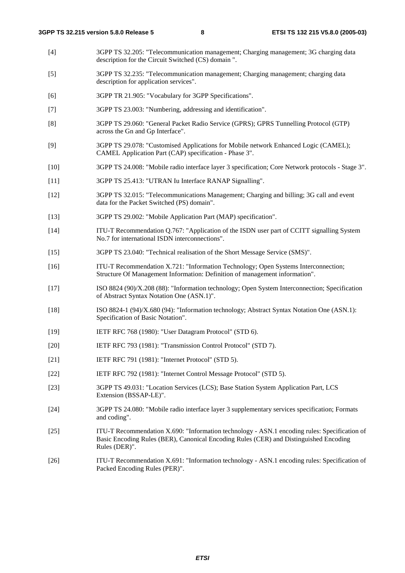- [4] 3GPP TS 32.205: "Telecommunication management; Charging management; 3G charging data description for the Circuit Switched (CS) domain ".
- [5] 3GPP TS 32.235: "Telecommunication management; Charging management; charging data description for application services".
- [6] 3GPP TR 21.905: "Vocabulary for 3GPP Specifications".
- [7] 3GPP TS 23.003: "Numbering, addressing and identification".
- [8] 3GPP TS 29.060: "General Packet Radio Service (GPRS); GPRS Tunnelling Protocol (GTP) across the Gn and Gp Interface".
- [9] 3GPP TS 29.078: "Customised Applications for Mobile network Enhanced Logic (CAMEL); CAMEL Application Part (CAP) specification - Phase 3".
- [10] 3GPP TS 24.008: "Mobile radio interface layer 3 specification; Core Network protocols Stage 3".
- [11] 3GPP TS 25.413: "UTRAN Iu Interface RANAP Signalling".
- [12] 3GPP TS 32.015: "Telecommunications Management; Charging and billing; 3G call and event data for the Packet Switched (PS) domain".
- [13] 3GPP TS 29.002: "Mobile Application Part (MAP) specification".
- [14] ITU-T Recommendation Q.767: "Application of the ISDN user part of CCITT signalling System No.7 for international ISDN interconnections".
- [15] 3GPP TS 23.040: "Technical realisation of the Short Message Service (SMS)".
- [16] ITU-T Recommendation X.721: "Information Technology; Open Systems Interconnection; Structure Of Management Information: Definition of management information".
- [17] ISO 8824 (90)/X.208 (88): "Information technology; Open System Interconnection; Specification of Abstract Syntax Notation One (ASN.1)".
- [18] ISO 8824-1 (94)/X.680 (94): "Information technology; Abstract Syntax Notation One (ASN.1): Specification of Basic Notation".
- [19] IETF RFC 768 (1980): "User Datagram Protocol" (STD 6).
- [20] IETF RFC 793 (1981): "Transmission Control Protocol" (STD 7).
- [21] **IETF RFC 791 (1981): "Internet Protocol" (STD 5).**
- [22] IETF RFC 792 (1981): "Internet Control Message Protocol" (STD 5).
- [23] 3GPP TS 49.031: "Location Services (LCS); Base Station System Application Part, LCS Extension (BSSAP-LE)".
- [24] 3GPP TS 24.080: "Mobile radio interface layer 3 supplementary services specification; Formats and coding".
- [25] ITU-T Recommendation X.690: "Information technology ASN.1 encoding rules: Specification of Basic Encoding Rules (BER), Canonical Encoding Rules (CER) and Distinguished Encoding Rules (DER)".
- [26] ITU-T Recommendation X.691: "Information technology ASN.1 encoding rules: Specification of Packed Encoding Rules (PER)".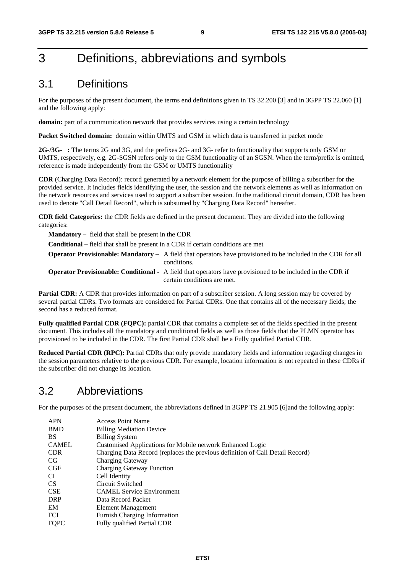## 3 Definitions, abbreviations and symbols

### 3.1 Definitions

For the purposes of the present document, the terms end definitions given in TS 32.200 [3] and in 3GPP TS 22.060 [1] and the following apply:

**domain:** part of a communication network that provides services using a certain technology

**Packet Switched domain:** domain within UMTS and GSM in which data is transferred in packet mode

**2G-/3G- :** The terms 2G and 3G, and the prefixes 2G- and 3G- refer to functionality that supports only GSM or UMTS, respectively, e.g. 2G-SGSN refers only to the GSM functionality of an SGSN. When the term/prefix is omitted, reference is made independently from the GSM or UMTS functionality

**CDR** (Charging Data Record): record generated by a network element for the purpose of billing a subscriber for the provided service. It includes fields identifying the user, the session and the network elements as well as information on the network resources and services used to support a subscriber session. In the traditional circuit domain, CDR has been used to denote "Call Detail Record", which is subsumed by "Charging Data Record" hereafter.

**CDR field Categories:** the CDR fields are defined in the present document. They are divided into the following categories:

**Mandatory –** field that shall be present in the CDR

**Conditional –** field that shall be present in a CDR if certain conditions are met

**Operator Provisionable: Mandatory –** A field that operators have provisioned to be included in the CDR for all conditions.

**Operator Provisionable: Conditional -** A field that operators have provisioned to be included in the CDR if certain conditions are met.

**Partial CDR:** A CDR that provides information on part of a subscriber session. A long session may be covered by several partial CDRs. Two formats are considered for Partial CDRs. One that contains all of the necessary fields; the second has a reduced format.

**Fully qualified Partial CDR (FQPC):** partial CDR that contains a complete set of the fields specified in the present document. This includes all the mandatory and conditional fields as well as those fields that the PLMN operator has provisioned to be included in the CDR. The first Partial CDR shall be a Fully qualified Partial CDR.

**Reduced Partial CDR (RPC):** Partial CDRs that only provide mandatory fields and information regarding changes in the session parameters relative to the previous CDR. For example, location information is not repeated in these CDRs if the subscriber did not change its location.

### 3.2 Abbreviations

For the purposes of the present document, the abbreviations defined in 3GPP TS 21.905 [6]and the following apply:

| <b>APN</b>   | <b>Access Point Name</b>                                                      |
|--------------|-------------------------------------------------------------------------------|
| <b>BMD</b>   | <b>Billing Mediation Device</b>                                               |
| <b>BS</b>    | <b>Billing System</b>                                                         |
| <b>CAMEL</b> | Customised Applications for Mobile network Enhanced Logic                     |
| <b>CDR</b>   | Charging Data Record (replaces the previous definition of Call Detail Record) |
| CG.          | Charging Gateway                                                              |
| CGF          | <b>Charging Gateway Function</b>                                              |
| CI           | Cell Identity                                                                 |
| <b>CS</b>    | Circuit Switched                                                              |
| <b>CSE</b>   | <b>CAMEL Service Environment</b>                                              |
| <b>DRP</b>   | Data Record Packet                                                            |
| EM           | Element Management                                                            |
| <b>FCI</b>   | <b>Furnish Charging Information</b>                                           |
| <b>FQPC</b>  | Fully qualified Partial CDR                                                   |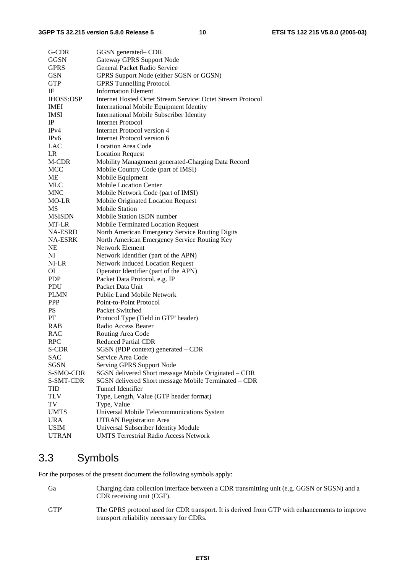| G-CDR                   | GGSN generated– CDR                                         |
|-------------------------|-------------------------------------------------------------|
| <b>GGSN</b>             | Gateway GPRS Support Node                                   |
| <b>GPRS</b>             | General Packet Radio Service                                |
| <b>GSN</b>              | GPRS Support Node (either SGSN or GGSN)                     |
| <b>GTP</b>              | <b>GPRS Tunnelling Protocol</b>                             |
| IE                      | <b>Information Element</b>                                  |
| <b>IHOSS:OSP</b>        | Internet Hosted Octet Stream Service: Octet Stream Protocol |
| <b>IMEI</b>             | International Mobile Equipment Identity                     |
| <b>IMSI</b>             | <b>International Mobile Subscriber Identity</b>             |
| IP                      | Internet Protocol                                           |
| IP <sub>v4</sub>        | Internet Protocol version 4                                 |
| IP <sub>v</sub> 6       | Internet Protocol version 6                                 |
| LAC                     | <b>Location Area Code</b>                                   |
| LR                      | <b>Location Request</b>                                     |
| M-CDR                   | Mobility Management generated-Charging Data Record          |
| MCC                     | Mobile Country Code (part of IMSI)                          |
| ME                      | Mobile Equipment                                            |
| <b>MLC</b>              | <b>Mobile Location Center</b>                               |
| <b>MNC</b>              | Mobile Network Code (part of IMSI)                          |
| MO-LR                   |                                                             |
| MS                      | Mobile Originated Location Request<br><b>Mobile Station</b> |
| <b>MSISDN</b>           | Mobile Station ISDN number                                  |
|                         | Mobile Terminated Location Request                          |
| MT-LR<br><b>NA-ESRD</b> |                                                             |
|                         | North American Emergency Service Routing Digits             |
| <b>NA-ESRK</b>          | North American Emergency Service Routing Key                |
| NE                      | <b>Network Element</b>                                      |
| NI                      | Network Identifier (part of the APN)                        |
| NI-LR                   | <b>Network Induced Location Request</b>                     |
| ΟI                      | Operator Identifier (part of the APN)                       |
| <b>PDP</b>              | Packet Data Protocol, e.g. IP                               |
| PDU                     | Packet Data Unit                                            |
| <b>PLMN</b>             | <b>Public Land Mobile Network</b>                           |
| <b>PPP</b>              | Point-to-Point Protocol                                     |
| <b>PS</b>               | Packet Switched                                             |
| PT                      | Protocol Type (Field in GTP' header)                        |
| <b>RAB</b>              | Radio Access Bearer                                         |
| RAC                     | Routing Area Code                                           |
| <b>RPC</b>              | <b>Reduced Partial CDR</b>                                  |
| S-CDR                   | SGSN (PDP context) generated – CDR                          |
| <b>SAC</b>              | Service Area Code                                           |
| SGSN                    | Serving GPRS Support Node                                   |
| S-SMO-CDR               | SGSN delivered Short message Mobile Originated - CDR        |
| S-SMT-CDR               | SGSN delivered Short message Mobile Terminated - CDR        |
| <b>TID</b>              | Tunnel Identifier                                           |
| TLV                     | Type, Length, Value (GTP header format)                     |
| TV                      | Type, Value                                                 |
| <b>UMTS</b>             | Universal Mobile Telecommunications System                  |
| <b>URA</b>              | <b>UTRAN Registration Area</b>                              |
| <b>USIM</b>             | Universal Subscriber Identity Module                        |
| <b>UTRAN</b>            | <b>UMTS Terrestrial Radio Access Network</b>                |

### 3.3 Symbols

For the purposes of the present document the following symbols apply:

Ga Charging data collection interface between a CDR transmitting unit (e.g. GGSN or SGSN) and a CDR receiving unit (CGF). GTP' The GPRS protocol used for CDR transport. It is derived from GTP with enhancements to improve transport reliability necessary for CDRs.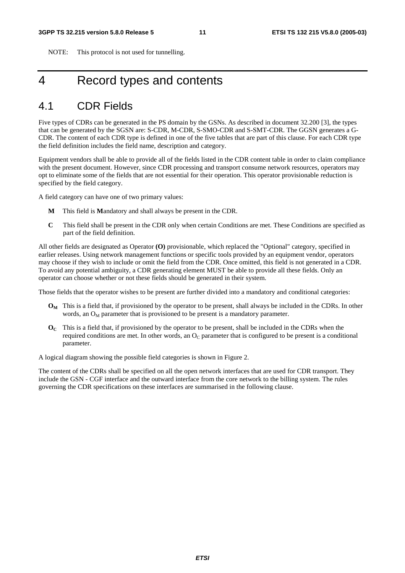NOTE: This protocol is not used for tunnelling.

## 4 Record types and contents

### 4.1 CDR Fields

Five types of CDRs can be generated in the PS domain by the GSNs. As described in document 32.200 [3], the types that can be generated by the SGSN are: S-CDR, M-CDR, S-SMO-CDR and S-SMT-CDR. The GGSN generates a G-CDR. The content of each CDR type is defined in one of the five tables that are part of this clause. For each CDR type the field definition includes the field name, description and category.

Equipment vendors shall be able to provide all of the fields listed in the CDR content table in order to claim compliance with the present document. However, since CDR processing and transport consume network resources, operators may opt to eliminate some of the fields that are not essential for their operation. This operator provisionable reduction is specified by the field category.

A field category can have one of two primary values:

- **M** This field is **M**andatory and shall always be present in the CDR.
- **C** This field shall be present in the CDR only when certain Conditions are met. These Conditions are specified as part of the field definition.

All other fields are designated as Operator **(O)** provisionable, which replaced the "Optional" category, specified in earlier releases. Using network management functions or specific tools provided by an equipment vendor, operators may choose if they wish to include or omit the field from the CDR. Once omitted, this field is not generated in a CDR. To avoid any potential ambiguity, a CDR generating element MUST be able to provide all these fields. Only an operator can choose whether or not these fields should be generated in their system.

Those fields that the operator wishes to be present are further divided into a mandatory and conditional categories:

- **OM** This is a field that, if provisioned by the operator to be present, shall always be included in the CDRs. In other words, an  $O_M$  parameter that is provisioned to be present is a mandatory parameter.
- **OC** This is a field that, if provisioned by the operator to be present, shall be included in the CDRs when the required conditions are met. In other words, an  $O<sub>C</sub>$  parameter that is configured to be present is a conditional parameter.

A logical diagram showing the possible field categories is shown in Figure 2.

The content of the CDRs shall be specified on all the open network interfaces that are used for CDR transport. They include the GSN - CGF interface and the outward interface from the core network to the billing system. The rules governing the CDR specifications on these interfaces are summarised in the following clause.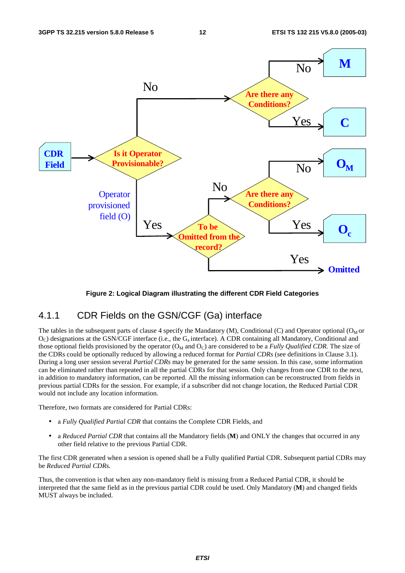

**Figure 2: Logical Diagram illustrating the different CDR Field Categories** 

#### 4.1.1 CDR Fields on the GSN/CGF (Ga) interface

The tables in the subsequent parts of clause 4 specify the Mandatory (M), Conditional (C) and Operator optional ( $O_M$  or O<sub>C</sub>) designations at the GSN/CGF interface (i.e., the G<sub>a</sub> interface). A CDR containing all Mandatory, Conditional and those optional fields provisioned by the operator ( $O_M$  and  $O_C$ ) are considered to be a *Fully Qualified CDR*. The size of the CDRs could be optionally reduced by allowing a reduced format for *Partial CDRs* (see definitions in Clause 3.1). During a long user session several *Partial CDRs* may be generated for the same session. In this case, some information can be eliminated rather than repeated in all the partial CDRs for that session. Only changes from one CDR to the next, in addition to mandatory information, can be reported. All the missing information can be reconstructed from fields in previous partial CDRs for the session. For example, if a subscriber did not change location, the Reduced Partial CDR would not include any location information.

Therefore, two formats are considered for Partial CDRs:

- a *Fully Qualified Partial CDR* that contains the Complete CDR Fields, and
- a *Reduced Partial CDR* that contains all the Mandatory fields (**M**) and ONLY the changes that occurred in any other field relative to the previous Partial CDR.

The first CDR generated when a session is opened shall be a Fully qualified Partial CDR. Subsequent partial CDRs may be *Reduced Partial CDRs.*

Thus, the convention is that when any non-mandatory field is missing from a Reduced Partial CDR, it should be interpreted that the same field as in the previous partial CDR could be used. Only Mandatory (**M**) and changed fields MUST always be included.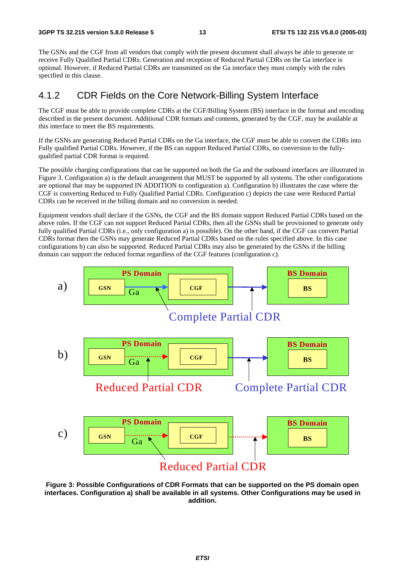The GSNs and the CGF from all vendors that comply with the present document shall always be able to generate or receive Fully Qualified Partial CDRs. Generation and reception of Reduced Partial CDRs on the Ga interface is optional. However, if Reduced Partial CDRs are transmitted on the Ga interface they must comply with the rules specified in this clause.

#### 4.1.2 CDR Fields on the Core Network-Billing System Interface

The CGF must be able to provide complete CDRs at the CGF/Billing System (BS) interface in the format and encoding described in the present document. Additional CDR formats and contents, generated by the CGF, may be available at this interface to meet the BS requirements.

If the GSNs are generating Reduced Partial CDRs on the Ga interface, the CGF must be able to convert the CDRs into Fully qualified Partial CDRs. However, if the BS can support Reduced Partial CDRs, no conversion to the fullyqualified partial CDR format is required.

The possible charging configurations that can be supported on both the Ga and the outbound interfaces are illustrated in Figure 3. Configuration a) is the default arrangement that MUST be supported by all systems. The other configurations are optional that may be supported IN ADDITION to configuration a). Configuration b) illustrates the case where the CGF is converting Reduced to Fully Qualified Partial CDRs. Configuration c) depicts the case were Reduced Partial CDRs can be received in the billing domain and no conversion is needed.

Equipment vendors shall declare if the GSNs, the CGF and the BS domain support Reduced Partial CDRs based on the above rules. If the CGF can not support Reduced Partial CDRs, then all the GSNs shall be provisioned to generate only fully qualified Partial CDRs (i.e., only configuration a) is possible). On the other hand, if the CGF can convert Partial CDRs format then the GSNs may generate Reduced Partial CDRs based on the rules specified above. In this case configurations b) can also be supported. Reduced Partial CDRs may also be generated by the GSNs if the billing domain can support the reduced format regardless of the CGF features (configuration c).



**Figure 3: Possible Configurations of CDR Formats that can be supported on the PS domain open interfaces. Configuration a) shall be available in all systems. Other Configurations may be used in addition.**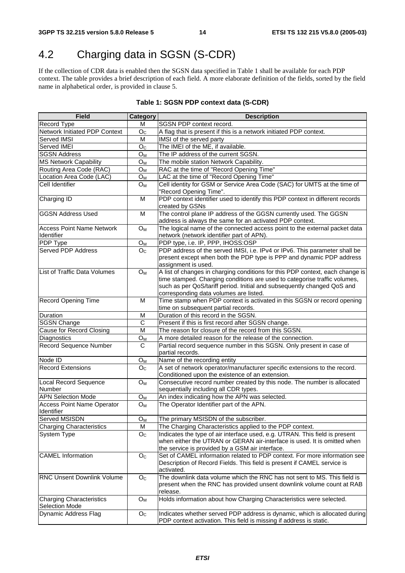## 4.2 Charging data in SGSN (S-CDR)

If the collection of CDR data is enabled then the SGSN data specified in Table 1 shall be available for each PDP context. The table provides a brief description of each field. A more elaborate definition of the fields, sorted by the field name in alphabetical order, is provided in clause 5.

| <b>Field</b>                                             | Category                | <b>Description</b>                                                                                                                                                                                                                                                              |
|----------------------------------------------------------|-------------------------|---------------------------------------------------------------------------------------------------------------------------------------------------------------------------------------------------------------------------------------------------------------------------------|
| Record Type                                              | M                       | SGSN PDP context record.                                                                                                                                                                                                                                                        |
| <b>Network Initiated PDP Context</b>                     | O <sub>c</sub>          | A flag that is present if this is a network initiated PDP context.                                                                                                                                                                                                              |
| Served IMSI                                              | $\overline{M}$          | IMSI of the served party                                                                                                                                                                                                                                                        |
| Served IMEI                                              | O <sub>C</sub>          | The IMEI of the ME, if available.                                                                                                                                                                                                                                               |
| <b>SGSN Address</b>                                      | $O_{M}$                 | The IP address of the current SGSN.                                                                                                                                                                                                                                             |
| <b>MS Network Capability</b>                             | O <sub>M</sub>          | The mobile station Network Capability.                                                                                                                                                                                                                                          |
| Routing Area Code (RAC)                                  | $O_M$                   | RAC at the time of "Record Opening Time"                                                                                                                                                                                                                                        |
| Location Area Code (LAC)                                 | $O_{M}$                 | LAC at the time of "Record Opening Time"                                                                                                                                                                                                                                        |
| Cell Identifier                                          | O <sub>M</sub>          | Cell identity for GSM or Service Area Code (SAC) for UMTS at the time of<br>"Record Opening Time".                                                                                                                                                                              |
| Charging ID                                              | M                       | PDP context identifier used to identify this PDP context in different records<br>created by GSNs                                                                                                                                                                                |
| <b>GGSN Address Used</b>                                 | M                       | The control plane IP address of the GGSN currently used. The GGSN<br>address is always the same for an activated PDP context.                                                                                                                                                   |
| <b>Access Point Name Network</b><br><b>Identifier</b>    | $O_M$                   | The logical name of the connected access point to the external packet data<br>network (network identifier part of APN).                                                                                                                                                         |
| PDP Type                                                 | $O_M$                   | PDP type, i.e. IP, PPP, IHOSS:OSP                                                                                                                                                                                                                                               |
| <b>Served PDP Address</b>                                | O <sub>c</sub>          | PDP address of the served IMSI, i.e. IPv4 or IPv6. This parameter shall be<br>present except when both the PDP type is PPP and dynamic PDP address<br>assignment is used.                                                                                                       |
| List of Traffic Data Volumes                             | $O_M$                   | A list of changes in charging conditions for this PDP context, each change is<br>time stamped. Charging conditions are used to categorise traffic volumes,<br>such as per QoS/tariff period. Initial and subsequently changed QoS and<br>corresponding data volumes are listed. |
| <b>Record Opening Time</b>                               | M                       | Time stamp when PDP context is activated in this SGSN or record opening<br>time on subsequent partial records.                                                                                                                                                                  |
| Duration                                                 | M                       | Duration of this record in the SGSN.                                                                                                                                                                                                                                            |
| <b>SGSN Change</b>                                       | $\overline{C}$          | Present if this is first record after SGSN change.                                                                                                                                                                                                                              |
| Cause for Record Closing                                 | M                       | The reason for closure of the record from this SGSN.                                                                                                                                                                                                                            |
| Diagnostics                                              | $O_{M}$                 | A more detailed reason for the release of the connection.                                                                                                                                                                                                                       |
| <b>Record Sequence Number</b>                            | C                       | Partial record sequence number in this SGSN. Only present in case of<br>partial records.                                                                                                                                                                                        |
| Node ID                                                  | $O_M$                   | Name of the recording entity                                                                                                                                                                                                                                                    |
| <b>Record Extensions</b>                                 | O <sub>c</sub>          | A set of network operator/manufacturer specific extensions to the record.<br>Conditioned upon the existence of an extension.                                                                                                                                                    |
| Local Record Sequence<br><b>Number</b>                   | $O_M$                   | Consecutive record number created by this node. The number is allocated<br>sequentially including all CDR types.                                                                                                                                                                |
| <b>APN Selection Mode</b>                                | $O_M$                   | An index indicating how the APN was selected.                                                                                                                                                                                                                                   |
| <b>Access Point Name Operator</b><br>Identifier          | O <sub>M</sub>          | The Operator Identifier part of the APN.                                                                                                                                                                                                                                        |
| <b>Served MSISDN</b>                                     | $\overline{O}_{M}$      | The primary MSISDN of the subscriber.                                                                                                                                                                                                                                           |
| <b>Charging Characteristics</b>                          | M                       | The Charging Characteristics applied to the PDP context.                                                                                                                                                                                                                        |
| <b>System Type</b>                                       | O <sub>C</sub>          | Indicates the type of air interface used, e.g. UTRAN. This field is present<br>when either the UTRAN or GERAN air-interface is used. It is omitted when<br>the service is provided by a GSM air interface.                                                                      |
| <b>CAMEL</b> Information                                 | $\mathsf{O}_\mathbb{C}$ | Set of CAMEL information related to PDP context. For more information see<br>Description of Record Fields. This field is present if CAMEL service is<br>activated.                                                                                                              |
| <b>RNC Unsent Downlink Volume</b>                        | O <sub>C</sub>          | The downlink data volume which the RNC has not sent to MS. This field is<br>present when the RNC has provided unsent downlink volume count at RAB<br>release.                                                                                                                   |
| <b>Charging Characteristics</b><br><b>Selection Mode</b> | O <sub>M</sub>          | Holds information about how Charging Characteristics were selected.                                                                                                                                                                                                             |
| Dynamic Address Flag                                     | O <sub>C</sub>          | Indicates whether served PDP address is dynamic, which is allocated during<br>PDP context activation. This field is missing if address is static.                                                                                                                               |

#### **Table 1: SGSN PDP context data (S-CDR)**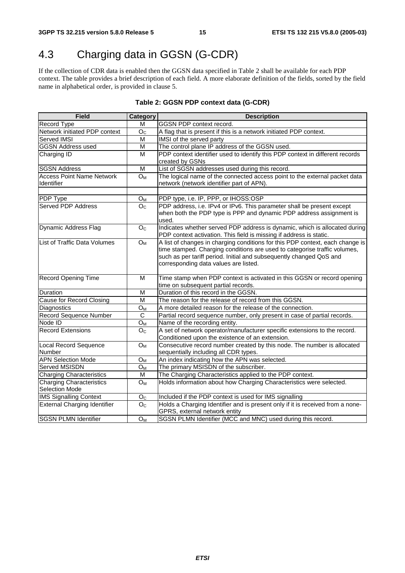## 4.3 Charging data in GGSN (G-CDR)

If the collection of CDR data is enabled then the GGSN data specified in Table 2 shall be available for each PDP context. The table provides a brief description of each field. A more elaborate definition of the fields, sorted by the field name in alphabetical order, is provided in clause 5.

| <b>Field</b>                        | Category         | <b>Description</b>                                                                                           |
|-------------------------------------|------------------|--------------------------------------------------------------------------------------------------------------|
| Record Type                         | M                | GGSN PDP context record.                                                                                     |
| Network initiated PDP context       | O <sub>C</sub>   | A flag that is present if this is a network initiated PDP context.                                           |
| Served IMSI                         | M                | IMSI of the served party                                                                                     |
| <b>GGSN Address used</b>            | M                | The control plane IP address of the GGSN used.                                                               |
| Charging ID                         | M                | PDP context identifier used to identify this PDP context in different records                                |
|                                     |                  | created by GSNs                                                                                              |
| <b>SGSN Address</b>                 | M                | List of SGSN addresses used during this record.                                                              |
| <b>Access Point Name Network</b>    | $O_M$            | The logical name of the connected access point to the external packet data                                   |
| <b>Identifier</b>                   |                  | network (network identifier part of APN).                                                                    |
|                                     |                  |                                                                                                              |
| PDP Type                            | $O_{M}$          | PDP type, i.e. IP, PPP, or IHOSS:OSP                                                                         |
| <b>Served PDP Address</b>           | $\overline{O}_C$ | PDP address, i.e. IPv4 or IPv6. This parameter shall be present except                                       |
|                                     |                  | when both the PDP type is PPP and dynamic PDP address assignment is                                          |
|                                     |                  | used.                                                                                                        |
| Dynamic Address Flag                | O <sub>C</sub>   | Indicates whether served PDP address is dynamic, which is allocated during                                   |
|                                     |                  | PDP context activation. This field is missing if address is static.                                          |
| List of Traffic Data Volumes        | $O_M$            | A list of changes in charging conditions for this PDP context, each change is                                |
|                                     |                  | time stamped. Charging conditions are used to categorise traffic volumes,                                    |
|                                     |                  | such as per tariff period. Initial and subsequently changed QoS and<br>corresponding data values are listed. |
|                                     |                  |                                                                                                              |
| <b>Record Opening Time</b>          | M                | Time stamp when PDP context is activated in this GGSN or record opening                                      |
|                                     |                  | time on subsequent partial records.                                                                          |
| Duration                            | M                | Duration of this record in the GGSN.                                                                         |
| <b>Cause for Record Closing</b>     | M                | The reason for the release of record from this GGSN.                                                         |
| Diagnostics                         | O <sub>M</sub>   | A more detailed reason for the release of the connection.                                                    |
| Record Sequence Number              | C                | Partial record sequence number, only present in case of partial records.                                     |
| Node ID                             | $O_{M}$          | Name of the recording entity.                                                                                |
| <b>Record Extensions</b>            | O <sub>C</sub>   | A set of network operator/manufacturer specific extensions to the record.                                    |
|                                     |                  | Conditioned upon the existence of an extension.                                                              |
| <b>Local Record Sequence</b>        | $O_M$            | Consecutive record number created by this node. The number is allocated                                      |
| Number                              |                  | sequentially including all CDR types.                                                                        |
| <b>APN Selection Mode</b>           | $O_{M}$          | An index indicating how the APN was selected.                                                                |
| <b>Served MSISDN</b>                | O <sub>M</sub>   | The primary MSISDN of the subscriber.                                                                        |
| <b>Charging Characteristics</b>     | M                | The Charging Characteristics applied to the PDP context.                                                     |
| <b>Charging Characteristics</b>     | $O_{M}$          | Holds information about how Charging Characteristics were selected.                                          |
| Selection Mode                      |                  |                                                                                                              |
| <b>IMS Signalling Context</b>       | O <sub>C</sub>   | Included if the PDP context is used for IMS signalling                                                       |
| <b>External Charging Identifier</b> | O <sub>C</sub>   | Holds a Charging Identifier and is present only if it is received from a none-                               |
|                                     |                  | GPRS, external network entity                                                                                |
| <b>SGSN PLMN Identifier</b>         | O <sub>M</sub>   | SGSN PLMN Identifier (MCC and MNC) used during this record.                                                  |

#### **Table 2: GGSN PDP context data (G-CDR)**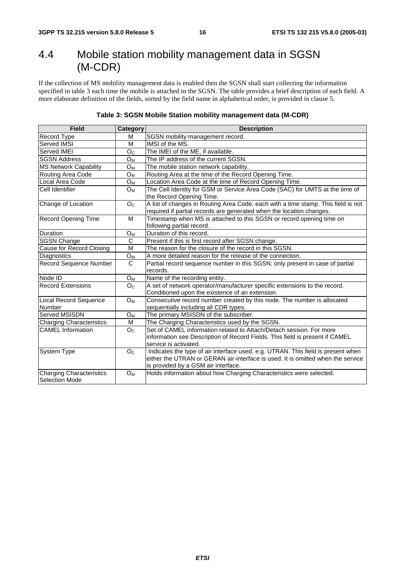## 4.4 Mobile station mobility management data in SGSN (M-CDR)

If the collection of MS mobility management data is enabled then the SGSN shall start collecting the information specified in table 3 each time the mobile is attached to the SGSN. The table provides a brief description of each field. A more elaborate definition of the fields, sorted by the field name in alphabetical order, is provided in clause 5.

| <b>Field</b>                                      | Category              | <b>Description</b>                                                                                                                                                                                         |
|---------------------------------------------------|-----------------------|------------------------------------------------------------------------------------------------------------------------------------------------------------------------------------------------------------|
| Record Type                                       | M                     | SGSN mobility management record.                                                                                                                                                                           |
| Served IMSI                                       | M                     | IMSI of the MS.                                                                                                                                                                                            |
| Served IMEI                                       | O <sub>C</sub>        | The IMEI of the ME, if available.                                                                                                                                                                          |
| <b>SGSN Address</b>                               | <b>O</b> <sub>M</sub> | The IP address of the current SGSN.                                                                                                                                                                        |
| <b>MS Network Capability</b>                      | $O_{M}$               | The mobile station network capability.                                                                                                                                                                     |
| Routing Area Code                                 | $O_M$                 | Routing Area at the time of the Record Opening Time.                                                                                                                                                       |
| Local Area Code                                   | O <sub>M</sub>        | Location Area Code at the time of Record Opening Time.                                                                                                                                                     |
| Cell Identifier                                   | $O_{M}$               | The Cell Identity for GSM or Service Area Code (SAC) for UMTS at the time of<br>the Record Opening Time.                                                                                                   |
| Change of Location                                | O <sub>C</sub>        | A list of changes in Routing Area Code, each with a time stamp. This field is not<br>required if partial records are generated when the location changes.                                                  |
| Record Opening Time                               | M                     | Timestamp when MS is attached to this SGSN or record opening time on<br>following partial record.                                                                                                          |
| Duration                                          | O <sub>M</sub>        | Duration of this record.                                                                                                                                                                                   |
| <b>SGSN Change</b>                                | C                     | Present if this is first record after SGSN change.                                                                                                                                                         |
| Cause for Record Closing                          | M                     | The reason for the closure of the record in this SGSN.                                                                                                                                                     |
| Diagnostics                                       | O <sub>M</sub>        | A more detailed reason for the release of the connection.                                                                                                                                                  |
| <b>Record Sequence Number</b>                     | $\overline{\text{c}}$ | Partial record sequence number in this SGSN; only present in case of partial                                                                                                                               |
|                                                   |                       | records.                                                                                                                                                                                                   |
| Node ID                                           | $O_M$                 | Name of the recording entity.                                                                                                                                                                              |
| <b>Record Extensions</b>                          | O <sub>C</sub>        | A set of network operator/manufacturer specific extensions to the record.<br>Conditioned upon the existence of an extension.                                                                               |
| <b>Local Record Sequence</b>                      | $O_{M}$               | Consecutive record number created by this node. The number is allocated                                                                                                                                    |
| <b>Number</b>                                     |                       | sequentially including all CDR types.                                                                                                                                                                      |
| Served MSISDN                                     | $O_{M}$               | The primary MSISDN of the subscriber.                                                                                                                                                                      |
| <b>Charging Characteristics</b>                   | M                     | The Charging Characteristics used by the SGSN.                                                                                                                                                             |
| <b>CAMEL</b> Information                          | O <sub>C</sub>        | Set of CAMEL information related to Attach/Detach session. For more<br>information see Description of Record Fields. This field is present if CAMEL<br>service is activated.                               |
| System Type                                       | O <sub>C</sub>        | Indicates the type of air interface used, e.g. UTRAN. This field is present when<br>either the UTRAN or GERAN air-interface is used. It is omitted when the service<br>is provided by a GSM air interface. |
| <b>Charging Characteristics</b><br>Selection Mode | $O_{M}$               | Holds information about how Charging Characteristics were selected.                                                                                                                                        |

**Table 3: SGSN Mobile Station mobility management data (M-CDR)**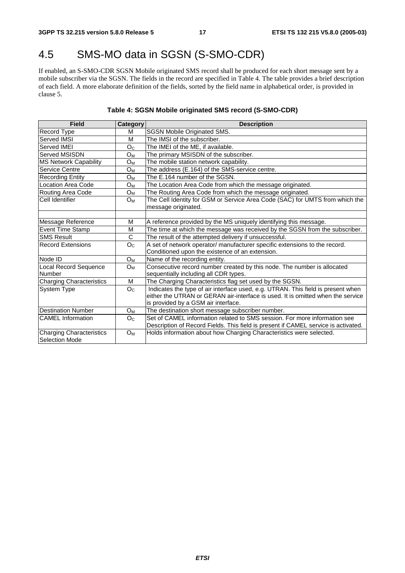## 4.5 SMS-MO data in SGSN (S-SMO-CDR)

If enabled, an S-SMO-CDR SGSN Mobile originated SMS record shall be produced for each short message sent by a mobile subscriber via the SGSN. The fields in the record are specified in Table 4. The table provides a brief description of each field. A more elaborate definition of the fields, sorted by the field name in alphabetical order, is provided in clause 5.

#### **Table 4: SGSN Mobile originated SMS record (S-SMO-CDR)**

| <b>Field</b>                                      | Category              | <b>Description</b>                                                                                  |
|---------------------------------------------------|-----------------------|-----------------------------------------------------------------------------------------------------|
| Record Type                                       | м                     | <b>SGSN Mobile Originated SMS.</b>                                                                  |
| Served IMSI                                       | M                     | The IMSI of the subscriber.                                                                         |
| Served IMEI                                       | O <sub>C</sub>        | The IMEI of the ME, if available.                                                                   |
| lServed MSISDN                                    | $O_M$                 | The primary MSISDN of the subscriber.                                                               |
| <b>MS Network Capability</b>                      | O <sub>M</sub>        | The mobile station network capability.                                                              |
| <b>Service Centre</b>                             | $O_M$                 | The address (E.164) of the SMS-service centre.                                                      |
| <b>Recording Entity</b>                           | $O_M$                 | The E.164 number of the SGSN.                                                                       |
| Location Area Code                                | $O_M$                 | The Location Area Code from which the message originated.                                           |
| Routing Area Code                                 | $O_M$                 | The Routing Area Code from which the message originated.                                            |
| Cell Identifier                                   | $O_M$                 | The Cell Identity for GSM or Service Area Code (SAC) for UMTS from which the<br>message originated. |
|                                                   |                       |                                                                                                     |
| Message Reference                                 | M                     | A reference provided by the MS uniquely identifying this message.                                   |
| <b>Event Time Stamp</b>                           | M                     | The time at which the message was received by the SGSN from the subscriber.                         |
| <b>SMS Result</b>                                 | $\overline{\text{c}}$ | The result of the attempted delivery if unsuccessful.                                               |
| Record Extensions                                 | O <sub>C</sub>        | A set of network operator/ manufacturer specific extensions to the record.                          |
|                                                   |                       | Conditioned upon the existence of an extension.                                                     |
| Node ID                                           | $O_{M}$               | Name of the recording entity.                                                                       |
| Local Record Sequence                             | $O_M$                 | Consecutive record number created by this node. The number is allocated                             |
| Number                                            |                       | sequentially including all CDR types.                                                               |
| <b>Charging Characteristics</b>                   | M                     | The Charging Characteristics flag set used by the SGSN.                                             |
| <b>System Type</b>                                | O <sub>C</sub>        | Indicates the type of air interface used, e.g. UTRAN. This field is present when                    |
|                                                   |                       | either the UTRAN or GERAN air-interface is used. It is omitted when the service                     |
|                                                   |                       | is provided by a GSM air interface.                                                                 |
| <b>Destination Number</b>                         | $O_{M}$               | The destination short message subscriber number.                                                    |
| <b>CAMEL</b> Information                          | O <sub>C</sub>        | Set of CAMEL information related to SMS session. For more information see                           |
|                                                   |                       | Description of Record Fields. This field is present if CAMEL service is activated.                  |
| <b>Charging Characteristics</b><br>Selection Mode | $O_M$                 | Holds information about how Charging Characteristics were selected.                                 |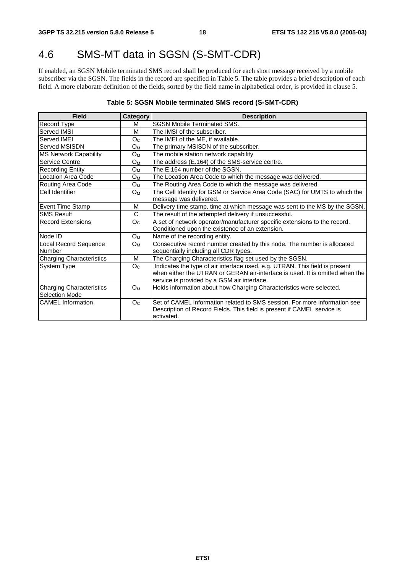## 4.6 SMS-MT data in SGSN (S-SMT-CDR)

If enabled, an SGSN Mobile terminated SMS record shall be produced for each short message received by a mobile subscriber via the SGSN. The fields in the record are specified in Table 5. The table provides a brief description of each field. A more elaborate definition of the fields, sorted by the field name in alphabetical order, is provided in clause 5.

#### **Table 5: SGSN Mobile terminated SMS record (S-SMT-CDR)**

| Field                           | Category       | <b>Description</b>                                                           |
|---------------------------------|----------------|------------------------------------------------------------------------------|
| Record Type                     | М              | <b>SGSN Mobile Terminated SMS.</b>                                           |
| Served IMSI                     | M              | The IMSI of the subscriber.                                                  |
| Served IMEI                     | O <sub>C</sub> | The IMEI of the ME, if available.                                            |
| Served MSISDN                   | $O_{M}$        | The primary MSISDN of the subscriber.                                        |
| <b>MS Network Capability</b>    | $O_M$          | The mobile station network capability                                        |
| Service Centre                  | O <sub>M</sub> | The address (E.164) of the SMS-service centre.                               |
| <b>Recording Entity</b>         | $O_M$          | The E.164 number of the SGSN.                                                |
| Location Area Code              | Oм             | The Location Area Code to which the message was delivered.                   |
| Routing Area Code               | Oм             | The Routing Area Code to which the message was delivered.                    |
| Cell Identifier                 | $O_M$          | The Cell Identity for GSM or Service Area Code (SAC) for UMTS to which the   |
|                                 |                | message was delivered.                                                       |
| <b>Event Time Stamp</b>         | M              | Delivery time stamp, time at which message was sent to the MS by the SGSN.   |
| <b>SMS Result</b>               | C              | The result of the attempted delivery if unsuccessful.                        |
| <b>Record Extensions</b>        | O <sub>C</sub> | A set of network operator/manufacturer specific extensions to the record.    |
|                                 |                | Conditioned upon the existence of an extension.                              |
| Node ID                         | O <sub>M</sub> | Name of the recording entity.                                                |
| <b>Local Record Sequence</b>    | Oм             | Consecutive record number created by this node. The number is allocated      |
| Number                          |                | sequentially including all CDR types.                                        |
| <b>Charging Characteristics</b> | м              | The Charging Characteristics flag set used by the SGSN.                      |
| System Type                     | O <sub>C</sub> | Indicates the type of air interface used, e.g. UTRAN. This field is present  |
|                                 |                | when either the UTRAN or GERAN air-interface is used. It is omitted when the |
|                                 |                | service is provided by a GSM air interface.                                  |
| <b>Charging Characteristics</b> | $O_M$          | Holds information about how Charging Characteristics were selected.          |
| Selection Mode                  |                |                                                                              |
| <b>CAMEL</b> Information        | O <sub>C</sub> | Set of CAMEL information related to SMS session. For more information see    |
|                                 |                | Description of Record Fields. This field is present if CAMEL service is      |
|                                 |                | activated.                                                                   |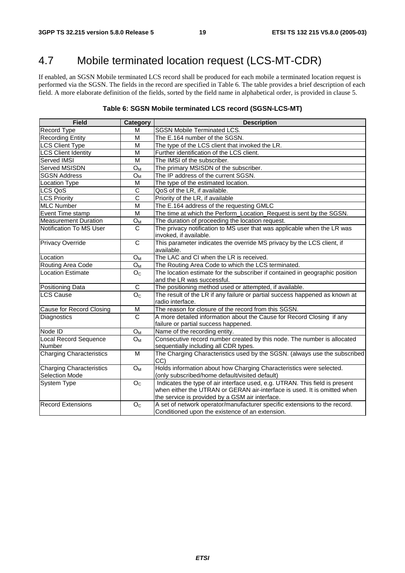## 4.7 Mobile terminated location request (LCS-MT-CDR)

If enabled, an SGSN Mobile terminated LCS record shall be produced for each mobile a terminated location request is performed via the SGSN. The fields in the record are specified in Table 6. The table provides a brief description of each field. A more elaborate definition of the fields, sorted by the field name in alphabetical order, is provided in clause 5.

#### **Table 6: SGSN Mobile terminated LCS record (SGSN-LCS-MT)**

| <b>Field</b>                                             | Category                  | <b>Description</b>                                                                                                                                                                                         |
|----------------------------------------------------------|---------------------------|------------------------------------------------------------------------------------------------------------------------------------------------------------------------------------------------------------|
| Record Type                                              | м                         | <b>SGSN Mobile Terminated LCS.</b>                                                                                                                                                                         |
| <b>Recording Entity</b>                                  | M                         | The E.164 number of the SGSN.                                                                                                                                                                              |
| <b>LCS Client Type</b>                                   | M                         | The type of the LCS client that invoked the LR.                                                                                                                                                            |
| <b>LCS Client Identity</b>                               | M                         | Further identification of the LCS client.                                                                                                                                                                  |
| Served IMSI                                              | M                         | The IMSI of the subscriber.                                                                                                                                                                                |
| Served MSISDN                                            | O <sub>M</sub>            | The primary MSISDN of the subscriber.                                                                                                                                                                      |
| <b>SGSN Address</b>                                      | $O_{M}$                   | The IP address of the current SGSN.                                                                                                                                                                        |
| <b>Location Type</b>                                     | M                         | The type of the estimated location.                                                                                                                                                                        |
| LCS QoS                                                  | C                         | QoS of the LR, if available.                                                                                                                                                                               |
| <b>LCS Priority</b>                                      | $\overline{\text{c}}$     | Priority of the LR, if available                                                                                                                                                                           |
| <b>MLC Number</b>                                        | M                         | The E.164 address of the requesting GMLC                                                                                                                                                                   |
| Event Time stamp                                         | M                         | The time at which the Perform_Location_Request is sent by the SGSN.                                                                                                                                        |
| <b>Measurement Duration</b>                              | $O_M$                     | The duration of proceeding the location request.                                                                                                                                                           |
| Notification To MS User                                  | C                         | The privacy notification to MS user that was applicable when the LR was<br>invoked, if available.                                                                                                          |
| <b>Privacy Override</b>                                  | C                         | This parameter indicates the override MS privacy by the LCS client, if<br>available.                                                                                                                       |
| Location                                                 | $O_M$                     | The LAC and CI when the LR is received.                                                                                                                                                                    |
| Routing Area Code                                        | $\mathsf{O}_{\mathsf{M}}$ | The Routing Area Code to which the LCS terminated.                                                                                                                                                         |
| <b>Location Estimate</b>                                 | O <sub>C</sub>            | The location estimate for the subscriber if contained in geographic position<br>and the LR was successful.                                                                                                 |
| <b>Positioning Data</b>                                  | C                         | The positioning method used or attempted, if available.                                                                                                                                                    |
| <b>LCS Cause</b>                                         | O <sub>C</sub>            | The result of the LR if any failure or partial success happened as known at<br>radio interface.                                                                                                            |
| Cause for Record Closing                                 | M                         | The reason for closure of the record from this SGSN.                                                                                                                                                       |
| Diagnostics                                              | $\overline{c}$            | A more detailed information about the Cause for Record Closing if any<br>failure or partial success happened.                                                                                              |
| Node ID                                                  | $O_M$                     | Name of the recording entity.                                                                                                                                                                              |
| <b>Local Record Sequence</b><br>Number                   | $O_M$                     | Consecutive record number created by this node. The number is allocated<br>sequentially including all CDR types.                                                                                           |
| <b>Charging Characteristics</b>                          | M                         | The Charging Characteristics used by the SGSN. (always use the subscribed<br>CC)                                                                                                                           |
| <b>Charging Characteristics</b><br><b>Selection Mode</b> | O <sub>M</sub>            | Holds information about how Charging Characteristics were selected.<br>(only subscribed/home default/visited default)                                                                                      |
| System Type                                              | $\mathsf{O}_{\mathsf{C}}$ | Indicates the type of air interface used, e.g. UTRAN. This field is present<br>when either the UTRAN or GERAN air-interface is used. It is omitted when<br>the service is provided by a GSM air interface. |
| <b>Record Extensions</b>                                 | O <sub>C</sub>            | A set of network operator/manufacturer specific extensions to the record.<br>Conditioned upon the existence of an extension.                                                                               |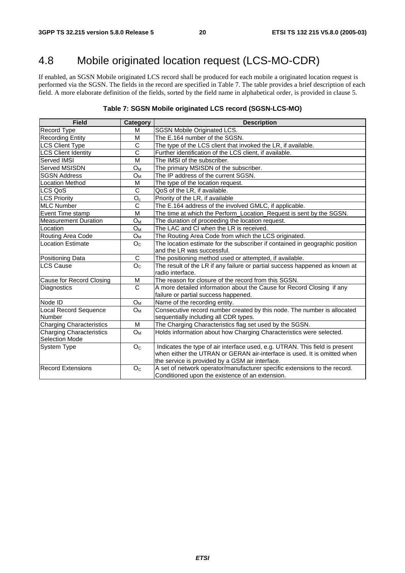## 4.8 Mobile originated location request (LCS-MO-CDR)

If enabled, an SGSN Mobile originated LCS record shall be produced for each mobile a originated location request is performed via the SGSN. The fields in the record are specified in Table 7. The table provides a brief description of each field. A more elaborate definition of the fields, sorted by the field name in alphabetical order, is provided in clause 5.

#### **Table 7: SGSN Mobile originated LCS record (SGSN-LCS-MO)**

| <b>Field</b>                                      | <b>Category</b>           | <b>Description</b>                                                                                                                                                                                         |
|---------------------------------------------------|---------------------------|------------------------------------------------------------------------------------------------------------------------------------------------------------------------------------------------------------|
| Record Type                                       | м                         | SGSN Mobile Originated LCS.                                                                                                                                                                                |
| <b>Recording Entity</b>                           | м                         | The E.164 number of the SGSN.                                                                                                                                                                              |
| <b>LCS Client Type</b>                            | C                         | The type of the LCS client that invoked the LR, if available.                                                                                                                                              |
| <b>LCS Client Identity</b>                        | $\overline{c}$            | Further identification of the LCS client, if available.                                                                                                                                                    |
| Served IMSI                                       | M                         | The IMSI of the subscriber.                                                                                                                                                                                |
| <b>Served MSISDN</b>                              | $O_M$                     | The primary MSISDN of the subscriber.                                                                                                                                                                      |
| <b>SGSN Address</b>                               | $O_{M}$                   | The IP address of the current SGSN.                                                                                                                                                                        |
| <b>Location Method</b>                            | м                         | The type of the location request.                                                                                                                                                                          |
| LCS QoS                                           | $\mathsf{C}$              | QoS of the LR, if available.                                                                                                                                                                               |
| <b>LCS Priority</b>                               | $\overline{O_c}$          | Priority of the LR, if available                                                                                                                                                                           |
| <b>MLC Number</b>                                 | $\mathsf C$               | The E.164 address of the involved GMLC, if applicable.                                                                                                                                                     |
| Event Time stamp                                  | M                         | The time at which the Perform_Location_Request is sent by the SGSN.                                                                                                                                        |
| <b>Measurement Duration</b>                       | $O_{M}$                   | The duration of proceeding the location request.                                                                                                                                                           |
| Location                                          | O <sub>M</sub>            | The LAC and CI when the LR is received.                                                                                                                                                                    |
| Routing Area Code                                 | ${\mathsf O}_{\mathsf M}$ | The Routing Area Code from which the LCS originated.                                                                                                                                                       |
| <b>Location Estimate</b>                          | O <sub>C</sub>            | The location estimate for the subscriber if contained in geographic position<br>and the LR was successful.                                                                                                 |
| Positioning Data                                  | C                         | The positioning method used or attempted, if available.                                                                                                                                                    |
| <b>LCS Cause</b>                                  | O <sub>C</sub>            | The result of the LR if any failure or partial success happened as known at<br>radio interface.                                                                                                            |
| Cause for Record Closing                          | M                         | The reason for closure of the record from this SGSN.                                                                                                                                                       |
| Diagnostics                                       | C                         | A more detailed information about the Cause for Record Closing if any<br>failure or partial success happened.                                                                                              |
| Node ID                                           | O <sub>M</sub>            | Name of the recording entity.                                                                                                                                                                              |
| Local Record Sequence<br><b>Number</b>            | O <sub>M</sub>            | Consecutive record number created by this node. The number is allocated<br>sequentially including all CDR types.                                                                                           |
| <b>Charging Characteristics</b>                   | M                         | The Charging Characteristics flag set used by the SGSN.                                                                                                                                                    |
| <b>Charging Characteristics</b><br>Selection Mode | $O_M$                     | Holds information about how Charging Characteristics were selected.                                                                                                                                        |
| <b>System Type</b>                                | O <sub>C</sub>            | Indicates the type of air interface used, e.g. UTRAN. This field is present<br>when either the UTRAN or GERAN air-interface is used. It is omitted when<br>the service is provided by a GSM air interface. |
| Record Extensions                                 | O <sub>c</sub>            | A set of network operator/manufacturer specific extensions to the record.<br>Conditioned upon the existence of an extension.                                                                               |

**ETSI**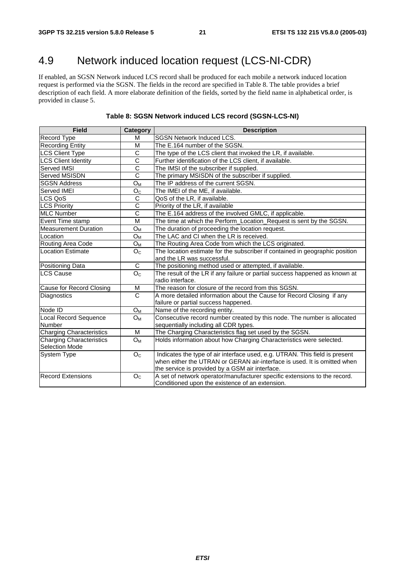## 4.9 Network induced location request (LCS-NI-CDR)

If enabled, an SGSN Network induced LCS record shall be produced for each mobile a network induced location request is performed via the SGSN. The fields in the record are specified in Table 8. The table provides a brief description of each field. A more elaborate definition of the fields, sorted by the field name in alphabetical order, is provided in clause 5.

| <b>Field</b>                                             | Category                  | <b>Description</b>                                                                                                                                                                                         |  |
|----------------------------------------------------------|---------------------------|------------------------------------------------------------------------------------------------------------------------------------------------------------------------------------------------------------|--|
| Record Type                                              | м                         | SGSN Network Induced LCS.                                                                                                                                                                                  |  |
| <b>Recording Entity</b>                                  | M                         | The E.164 number of the SGSN.                                                                                                                                                                              |  |
| <b>LCS Client Type</b>                                   | C                         | The type of the LCS client that invoked the LR, if available.                                                                                                                                              |  |
| <b>LCS Client Identity</b>                               | $\overline{\text{c}}$     | Further identification of the LCS client, if available.                                                                                                                                                    |  |
| Served IMSI                                              | $\mathsf C$               | The IMSI of the subscriber if supplied.                                                                                                                                                                    |  |
| Served MSISDN                                            | $\overline{C}$            | The primary MSISDN of the subscriber if supplied.                                                                                                                                                          |  |
| <b>SGSN Address</b>                                      | $O_{M}$                   | The IP address of the current SGSN.                                                                                                                                                                        |  |
| Served IMEI                                              | O <sub>C</sub>            | The IMEI of the ME, if available.                                                                                                                                                                          |  |
| LCS QoS                                                  | $\overline{C}$            | QoS of the LR, if available.                                                                                                                                                                               |  |
| <b>LCS Priority</b>                                      | $\overline{\text{c}}$     | Priority of the LR, if available                                                                                                                                                                           |  |
| <b>MLC Number</b>                                        | $\overline{\text{c}}$     | The E.164 address of the involved GMLC, if applicable.                                                                                                                                                     |  |
| Event Time stamp                                         | M                         | The time at which the Perform_Location_Request is sent by the SGSN.                                                                                                                                        |  |
| <b>Measurement Duration</b>                              | $O_{M}$                   | The duration of proceeding the location request.                                                                                                                                                           |  |
| Location                                                 | $O_{M}$                   | The LAC and CI when the LR is received.                                                                                                                                                                    |  |
| Routing Area Code                                        | $\mathsf{O}_{\mathsf{M}}$ | The Routing Area Code from which the LCS originated.                                                                                                                                                       |  |
| <b>Location Estimate</b>                                 | O <sub>C</sub>            | The location estimate for the subscriber if contained in geographic position<br>and the LR was successful.                                                                                                 |  |
| Positioning Data                                         | C                         | The positioning method used or attempted, if available.                                                                                                                                                    |  |
| <b>LCS Cause</b>                                         | O <sub>C</sub>            | The result of the LR if any failure or partial success happened as known at<br>radio interface.                                                                                                            |  |
| Cause for Record Closing                                 | M                         | The reason for closure of the record from this SGSN.                                                                                                                                                       |  |
| Diagnostics                                              | $\mathsf{C}$              | A more detailed information about the Cause for Record Closing if any<br>failure or partial success happened.                                                                                              |  |
| Node ID                                                  | $O_M$                     | Name of the recording entity.                                                                                                                                                                              |  |
| Local Record Sequence<br>Number                          | $O_{M}$                   | Consecutive record number created by this node. The number is allocated<br>sequentially including all CDR types.                                                                                           |  |
| <b>Charging Characteristics</b>                          | м                         | The Charging Characteristics flag set used by the SGSN.                                                                                                                                                    |  |
| <b>Charging Characteristics</b><br><b>Selection Mode</b> | $O_M$                     | Holds information about how Charging Characteristics were selected.                                                                                                                                        |  |
| <b>System Type</b>                                       | O <sub>C</sub>            | Indicates the type of air interface used, e.g. UTRAN. This field is present<br>when either the UTRAN or GERAN air-interface is used. It is omitted when<br>the service is provided by a GSM air interface. |  |
| <b>Record Extensions</b>                                 | O <sub>C</sub>            | A set of network operator/manufacturer specific extensions to the record.<br>Conditioned upon the existence of an extension.                                                                               |  |

#### **Table 8: SGSN Network induced LCS record (SGSN-LCS-NI)**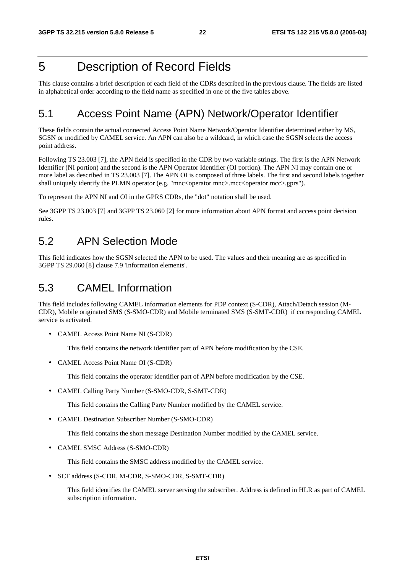## 5 Description of Record Fields

This clause contains a brief description of each field of the CDRs described in the previous clause. The fields are listed in alphabetical order according to the field name as specified in one of the five tables above.

### 5.1 Access Point Name (APN) Network/Operator Identifier

These fields contain the actual connected Access Point Name Network/Operator Identifier determined either by MS, SGSN or modified by CAMEL service. An APN can also be a wildcard, in which case the SGSN selects the access point address.

Following TS 23.003 [7], the APN field is specified in the CDR by two variable strings. The first is the APN Network Identifier (NI portion) and the second is the APN Operator Identifier (OI portion). The APN NI may contain one or more label as described in TS 23.003 [7]. The APN OI is composed of three labels. The first and second labels together shall uniquely identify the PLMN operator (e.g. "mnc<operator mnc>.mcc<operator mcc>.gprs").

To represent the APN NI and OI in the GPRS CDRs, the "dot" notation shall be used.

See 3GPP TS 23.003 [7] and 3GPP TS 23.060 [2] for more information about APN format and access point decision rules.

### 5.2 APN Selection Mode

This field indicates how the SGSN selected the APN to be used. The values and their meaning are as specified in 3GPP TS 29.060 [8] clause 7.9 'Information elements'.

### 5.3 CAMEL Information

This field includes following CAMEL information elements for PDP context (S-CDR), Attach/Detach session (M-CDR), Mobile originated SMS (S-SMO-CDR) and Mobile terminated SMS (S-SMT-CDR) if corresponding CAMEL service is activated.

• CAMEL Access Point Name NI (S-CDR)

This field contains the network identifier part of APN before modification by the CSE.

• CAMEL Access Point Name OI (S-CDR)

This field contains the operator identifier part of APN before modification by the CSE.

• CAMEL Calling Party Number (S-SMO-CDR, S-SMT-CDR)

This field contains the Calling Party Number modified by the CAMEL service.

• CAMEL Destination Subscriber Number (S-SMO-CDR)

This field contains the short message Destination Number modified by the CAMEL service.

• CAMEL SMSC Address (S-SMO-CDR)

This field contains the SMSC address modified by the CAMEL service.

• SCF address (S-CDR, M-CDR, S-SMO-CDR, S-SMT-CDR)

 This field identifies the CAMEL server serving the subscriber. Address is defined in HLR as part of CAMEL subscription information.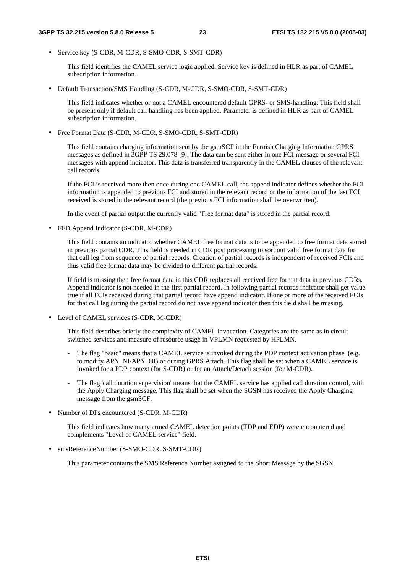• Service key (S-CDR, M-CDR, S-SMO-CDR, S-SMT-CDR)

 This field identifies the CAMEL service logic applied. Service key is defined in HLR as part of CAMEL subscription information.

• Default Transaction/SMS Handling (S-CDR, M-CDR, S-SMO-CDR, S-SMT-CDR)

 This field indicates whether or not a CAMEL encountered default GPRS- or SMS-handling. This field shall be present only if default call handling has been applied. Parameter is defined in HLR as part of CAMEL subscription information.

• Free Format Data (S-CDR, M-CDR, S-SMO-CDR, S-SMT-CDR)

 This field contains charging information sent by the gsmSCF in the Furnish Charging Information GPRS messages as defined in 3GPP TS 29.078 [9]. The data can be sent either in one FCI message or several FCI messages with append indicator. This data is transferred transparently in the CAMEL clauses of the relevant call records.

 If the FCI is received more then once during one CAMEL call, the append indicator defines whether the FCI information is appended to previous FCI and stored in the relevant record or the information of the last FCI received is stored in the relevant record (the previous FCI information shall be overwritten).

In the event of partial output the currently valid "Free format data" is stored in the partial record.

• FFD Append Indicator (S-CDR, M-CDR)

 This field contains an indicator whether CAMEL free format data is to be appended to free format data stored in previous partial CDR. This field is needed in CDR post processing to sort out valid free format data for that call leg from sequence of partial records. Creation of partial records is independent of received FCIs and thus valid free format data may be divided to different partial records.

 If field is missing then free format data in this CDR replaces all received free format data in previous CDRs. Append indicator is not needed in the first partial record. In following partial records indicator shall get value true if all FCIs received during that partial record have append indicator. If one or more of the received FCIs for that call leg during the partial record do not have append indicator then this field shall be missing.

• Level of CAMEL services (S-CDR, M-CDR)

 This field describes briefly the complexity of CAMEL invocation. Categories are the same as in circuit switched services and measure of resource usage in VPLMN requested by HPLMN.

- The flag "basic" means that a CAMEL service is invoked during the PDP context activation phase (e.g. to modify APN\_NI/APN\_OI) or during GPRS Attach. This flag shall be set when a CAMEL service is invoked for a PDP context (for S-CDR) or for an Attach/Detach session (for M-CDR).
- The flag 'call duration supervision' means that the CAMEL service has applied call duration control, with the Apply Charging message. This flag shall be set when the SGSN has received the Apply Charging message from the gsmSCF.
- Number of DPs encountered (S-CDR, M-CDR)

 This field indicates how many armed CAMEL detection points (TDP and EDP) were encountered and complements "Level of CAMEL service" field.

• smsReferenceNumber (S-SMO-CDR, S-SMT-CDR)

This parameter contains the SMS Reference Number assigned to the Short Message by the SGSN.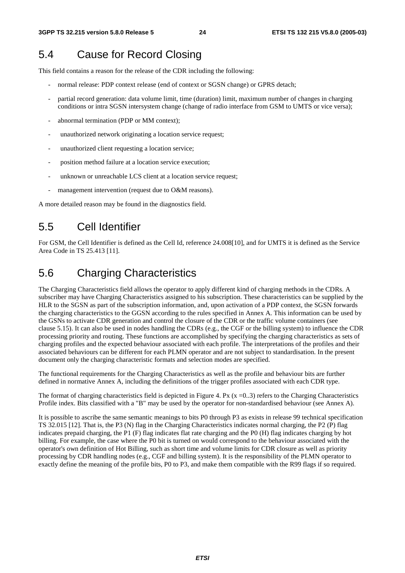## 5.4 Cause for Record Closing

This field contains a reason for the release of the CDR including the following:

- normal release: PDP context release (end of context or SGSN change) or GPRS detach;
- partial record generation: data volume limit, time (duration) limit, maximum number of changes in charging conditions or intra SGSN intersystem change (change of radio interface from GSM to UMTS or vice versa);
- abnormal termination (PDP or MM context);
- unauthorized network originating a location service request;
- unauthorized client requesting a location service;
- position method failure at a location service execution;
- unknown or unreachable LCS client at a location service request;
- management intervention (request due to O&M reasons).

A more detailed reason may be found in the diagnostics field.

## 5.5 Cell Identifier

For GSM, the Cell Identifier is defined as the Cell Id, reference 24.008[10], and for UMTS it is defined as the Service Area Code in TS 25.413 [11].

## 5.6 Charging Characteristics

The Charging Characteristics field allows the operator to apply different kind of charging methods in the CDRs. A subscriber may have Charging Characteristics assigned to his subscription. These characteristics can be supplied by the HLR to the SGSN as part of the subscription information, and, upon activation of a PDP context, the SGSN forwards the charging characteristics to the GGSN according to the rules specified in Annex A. This information can be used by the GSNs to activate CDR generation and control the closure of the CDR or the traffic volume containers (see clause 5.15). It can also be used in nodes handling the CDRs (e.g., the CGF or the billing system) to influence the CDR processing priority and routing. These functions are accomplished by specifying the charging characteristics as sets of charging profiles and the expected behaviour associated with each profile. The interpretations of the profiles and their associated behaviours can be different for each PLMN operator and are not subject to standardisation. In the present document only the charging characteristic formats and selection modes are specified.

The functional requirements for the Charging Characteristics as well as the profile and behaviour bits are further defined in normative Annex A, including the definitions of the trigger profiles associated with each CDR type.

The format of charging characteristics field is depicted in Figure 4. Px  $(x = 0.3)$  refers to the Charging Characteristics Profile index. Bits classified with a "B" may be used by the operator for non-standardised behaviour (see Annex A).

It is possible to ascribe the same semantic meanings to bits P0 through P3 as exists in release 99 technical specification TS 32.015 [12]. That is, the P3 (N) flag in the Charging Characteristics indicates normal charging, the P2 (P) flag indicates prepaid charging, the P1 (F) flag indicates flat rate charging and the P0 (H) flag indicates charging by hot billing. For example, the case where the P0 bit is turned on would correspond to the behaviour associated with the operator's own definition of Hot Billing, such as short time and volume limits for CDR closure as well as priority processing by CDR handling nodes (e.g., CGF and billing system). It is the responsibility of the PLMN operator to exactly define the meaning of the profile bits, P0 to P3, and make them compatible with the R99 flags if so required.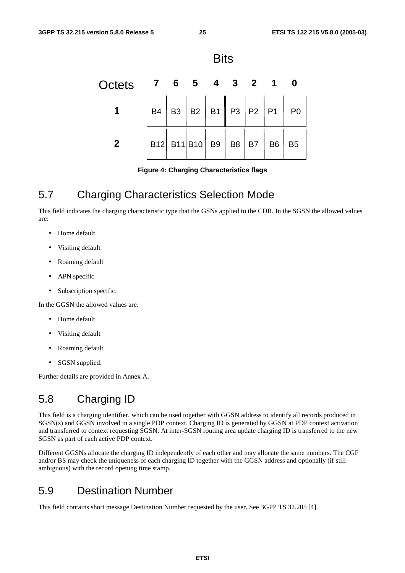

**Figure 4: Charging Characteristics flags** 

### 5.7 Charging Characteristics Selection Mode

This field indicates the charging characteristic type that the GSNs applied to the CDR. In the SGSN the allowed values are:

- Home default
- Visiting default
- Roaming default
- APN specific
- Subscription specific.

In the GGSN the allowed values are:

- Home default
- Visiting default
- Roaming default
- SGSN supplied.

Further details are provided in Annex A.

### 5.8 Charging ID

This field is a charging identifier, which can be used together with GGSN address to identify all records produced in SGSN(s) and GGSN involved in a single PDP context. Charging ID is generated by GGSN at PDP context activation and transferred to context requesting SGSN. At inter-SGSN routing area update charging ID is transferred to the new SGSN as part of each active PDP context.

Different GGSNs allocate the charging ID independently of each other and may allocate the same numbers. The CGF and/or BS may check the uniqueness of each charging ID together with the GGSN address and optionally (if still ambiguous) with the record opening time stamp.

### 5.9 Destination Number

This field contains short message Destination Number requested by the user. See 3GPP TS 32.205 [4].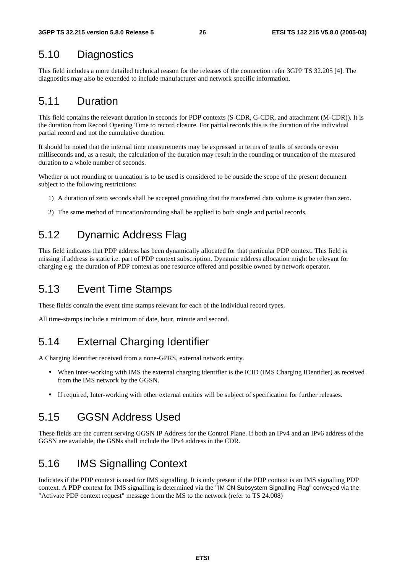### 5.10 Diagnostics

This field includes a more detailed technical reason for the releases of the connection refer 3GPP TS 32.205 [4]. The diagnostics may also be extended to include manufacturer and network specific information.

### 5.11 Duration

This field contains the relevant duration in seconds for PDP contexts (S-CDR, G-CDR, and attachment (M-CDR)). It is the duration from Record Opening Time to record closure. For partial records this is the duration of the individual partial record and not the cumulative duration.

It should be noted that the internal time measurements may be expressed in terms of tenths of seconds or even milliseconds and, as a result, the calculation of the duration may result in the rounding or truncation of the measured duration to a whole number of seconds.

Whether or not rounding or truncation is to be used is considered to be outside the scope of the present document subject to the following restrictions:

- 1) A duration of zero seconds shall be accepted providing that the transferred data volume is greater than zero.
- 2) The same method of truncation/rounding shall be applied to both single and partial records.

### 5.12 Dynamic Address Flag

This field indicates that PDP address has been dynamically allocated for that particular PDP context. This field is missing if address is static i.e. part of PDP context subscription. Dynamic address allocation might be relevant for charging e.g. the duration of PDP context as one resource offered and possible owned by network operator.

## 5.13 Event Time Stamps

These fields contain the event time stamps relevant for each of the individual record types.

All time-stamps include a minimum of date, hour, minute and second.

### 5.14 External Charging Identifier

A Charging Identifier received from a none-GPRS, external network entity.

- When inter-working with IMS the external charging identifier is the ICID (IMS Charging IDentifier) as received from the IMS network by the GGSN.
- If required, Inter-working with other external entities will be subject of specification for further releases.

### 5.15 GGSN Address Used

These fields are the current serving GGSN IP Address for the Control Plane. If both an IPv4 and an IPv6 address of the GGSN are available, the GSNs shall include the IPv4 address in the CDR.

## 5.16 IMS Signalling Context

Indicates if the PDP context is used for IMS signalling. It is only present if the PDP context is an IMS signalling PDP context. A PDP context for IMS signalling is determined via the "IM CN Subsystem Signalling Flag" conveyed via the "Activate PDP context request" message from the MS to the network (refer to TS 24.008)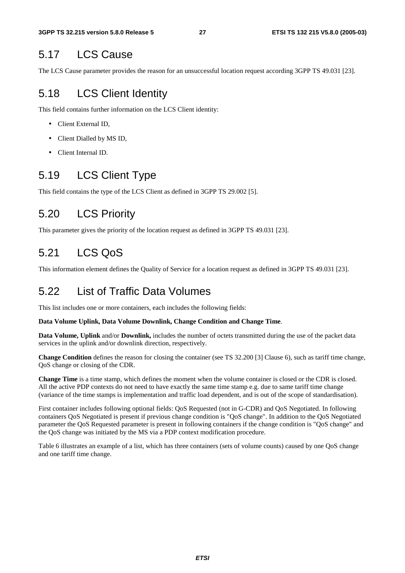### 5.17 LCS Cause

The LCS Cause parameter provides the reason for an unsuccessful location request according 3GPP TS 49.031 [23].

## 5.18 LCS Client Identity

This field contains further information on the LCS Client identity:

- Client External ID,
- Client Dialled by MS ID,
- Client Internal ID.

### 5.19 LCS Client Type

This field contains the type of the LCS Client as defined in 3GPP TS 29.002 [5].

### 5.20 LCS Priority

This parameter gives the priority of the location request as defined in 3GPP TS 49.031 [23].

### 5.21 LCS QoS

This information element defines the Quality of Service for a location request as defined in 3GPP TS 49.031 [23].

### 5.22 List of Traffic Data Volumes

This list includes one or more containers, each includes the following fields:

#### **Data Volume Uplink, Data Volume Downlink, Change Condition and Change Time**.

**Data Volume, Uplink** and/or **Downlink,** includes the number of octets transmitted during the use of the packet data services in the uplink and/or downlink direction, respectively.

**Change Condition** defines the reason for closing the container (see TS 32.200 [3] Clause 6), such as tariff time change, QoS change or closing of the CDR.

**Change Time** is a time stamp, which defines the moment when the volume container is closed or the CDR is closed. All the active PDP contexts do not need to have exactly the same time stamp e.g. due to same tariff time change (variance of the time stamps is implementation and traffic load dependent, and is out of the scope of standardisation).

First container includes following optional fields: QoS Requested (not in G-CDR) and QoS Negotiated. In following containers QoS Negotiated is present if previous change condition is "QoS change". In addition to the QoS Negotiated parameter the QoS Requested parameter is present in following containers if the change condition is "QoS change" and the QoS change was initiated by the MS via a PDP context modification procedure.

Table 6 illustrates an example of a list, which has three containers (sets of volume counts) caused by one QoS change and one tariff time change.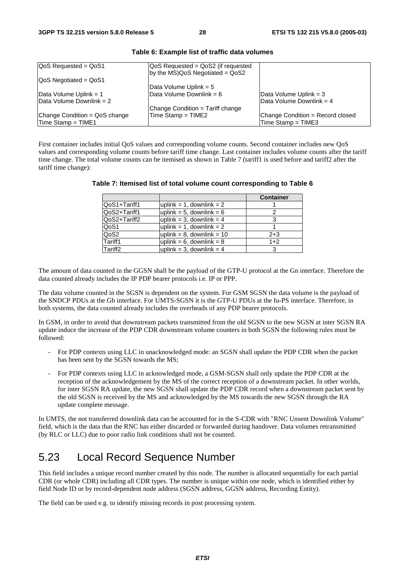| $QoS$ Requested = $QoS1$         | QoS Requested = QoS2 (if requested<br>$ by the MS)QoS Negotiated = QoS2$ |                                  |
|----------------------------------|--------------------------------------------------------------------------|----------------------------------|
| $\sqrt{QoS}$ Negotiated = $QoS1$ |                                                                          |                                  |
|                                  | Data Volume Uplink = 5                                                   |                                  |
| Data Volume Uplink = 1           | Data Volume Downlink = 6                                                 | Data Volume Uplink = 3           |
| Data Volume Downlink = 2         |                                                                          | Data Volume Downlink = 4         |
|                                  | Change Condition = Tariff change                                         |                                  |
| Change Condition = QoS change    | Time Stamp = TIME2                                                       | Change Condition = Record closed |
| $Time$ Stamp = TIME1             |                                                                          | Time Stamp = TIME3               |

#### **Table 6: Example list of traffic data volumes**

First container includes initial QoS values and corresponding volume counts. Second container includes new QoS values and corresponding volume counts before tariff time change. Last container includes volume counts after the tariff time change. The total volume counts can be itemised as shown in Table 7 (tariff1 is used before and tariff2 after the tariff time change):

|                     |                                | <b>Container</b> |
|---------------------|--------------------------------|------------------|
| QoS1+Tariff1        | uplink = 1, downlink = $2$     |                  |
| QoS2+Tariff1        | uplink = 5, downlink = $6$     |                  |
| QoS2+Tariff2        | uplink = 3, downlink = $4$     | 3                |
| QoS1                | uplink = 1, downlink = $2$     |                  |
| QoS2                | uplink = $8$ , downlink = $10$ | $2 + 3$          |
| Tariff1             | uplink = $6$ , downlink = $8$  | $1+2$            |
| Tariff <sub>2</sub> | uplink = 3, downlink = $4$     | 3                |

#### **Table 7: Itemised list of total volume count corresponding to Table 6**

The amount of data counted in the GGSN shall be the payload of the GTP-U protocol at the Gn interface. Therefore the data counted already includes the IP PDP bearer protocols i.e. IP or PPP.

The data volume counted in the SGSN is dependent on the system. For GSM SGSN the data volume is the payload of the SNDCP PDUs at the Gb interface. For UMTS-SGSN it is the GTP-U PDUs at the Iu-PS interface. Therefore, in both systems, the data counted already includes the overheads of any PDP bearer protocols.

In GSM, in order to avoid that downstream packets transmitted from the old SGSN to the new SGSN at inter SGSN RA update induce the increase of the PDP CDR downstream volume counters in both SGSN the following rules must be followed:

- For PDP contexts using LLC in unacknowledged mode: an SGSN shall update the PDP CDR when the packet has been sent by the SGSN towards the MS;
- For PDP contexts using LLC in acknowledged mode, a GSM-SGSN shall only update the PDP CDR at the reception of the acknowledgement by the MS of the correct reception of a downstream packet. In other worlds, for inter SGSN RA update, the new SGSN shall update the PDP CDR record when a downstream packet sent by the old SGSN is received by the MS and acknowledged by the MS towards the new SGSN through the RA update complete message.

In UMTS, the not transferred downlink data can be accounted for in the S-CDR with "RNC Unsent Downlink Volume" field, which is the data that the RNC has either discarded or forwarded during handover. Data volumes retransmitted (by RLC or LLC) due to poor radio link conditions shall not be counted.

### 5.23 Local Record Sequence Number

This field includes a unique record number created by this node. The number is allocated sequentially for each partial CDR (or whole CDR) including all CDR types. The number is unique within one node, which is identified either by field Node ID or by record-dependent node address (SGSN address, GGSN address, Recording Entity).

The field can be used e.g. to identify missing records in post processing system.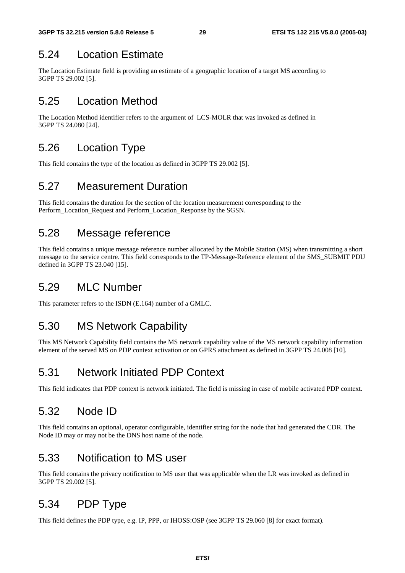## 5.24 Location Estimate

The Location Estimate field is providing an estimate of a geographic location of a target MS according to 3GPP TS 29.002 [5].

## 5.25 Location Method

The Location Method identifier refers to the argument of LCS-MOLR that was invoked as defined in 3GPP TS 24.080 [24].

## 5.26 Location Type

This field contains the type of the location as defined in 3GPP TS 29.002 [5].

### 5.27 Measurement Duration

This field contains the duration for the section of the location measurement corresponding to the Perform\_Location\_Request and Perform\_Location\_Response by the SGSN.

### 5.28 Message reference

This field contains a unique message reference number allocated by the Mobile Station (MS) when transmitting a short message to the service centre. This field corresponds to the TP-Message-Reference element of the SMS\_SUBMIT PDU defined in 3GPP TS 23.040 [15].

## 5.29 MLC Number

This parameter refers to the ISDN (E.164) number of a GMLC.

## 5.30 MS Network Capability

This MS Network Capability field contains the MS network capability value of the MS network capability information element of the served MS on PDP context activation or on GPRS attachment as defined in 3GPP TS 24.008 [10].

## 5.31 Network Initiated PDP Context

This field indicates that PDP context is network initiated. The field is missing in case of mobile activated PDP context.

## 5.32 Node ID

This field contains an optional, operator configurable, identifier string for the node that had generated the CDR. The Node ID may or may not be the DNS host name of the node.

### 5.33 Notification to MS user

This field contains the privacy notification to MS user that was applicable when the LR was invoked as defined in 3GPP TS 29.002 [5].

## 5.34 PDP Type

This field defines the PDP type, e.g. IP, PPP, or IHOSS:OSP (see 3GPP TS 29.060 [8] for exact format).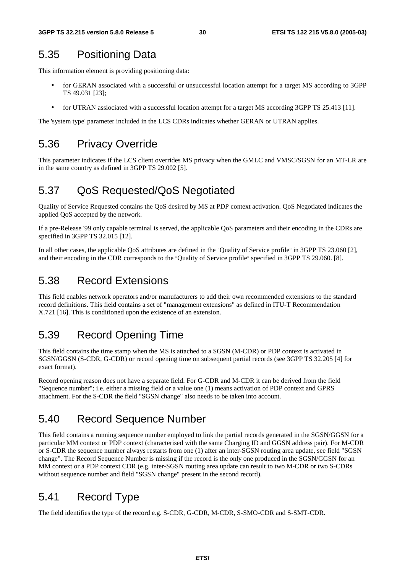### 5.35 Positioning Data

This information element is providing positioning data:

- for GERAN associated with a successful or unsuccessful location attempt for a target MS according to 3GPP TS 49.031 [23];
- for UTRAN assiociated with a successful location attempt for a target MS according 3GPP TS 25.413 [11].

The 'system type' parameter included in the LCS CDRs indicates whether GERAN or UTRAN applies.

### 5.36 Privacy Override

This parameter indicates if the LCS client overrides MS privacy when the GMLC and VMSC/SGSN for an MT-LR are in the same country as defined in 3GPP TS 29.002 [5].

### 5.37 QoS Requested/QoS Negotiated

Quality of Service Requested contains the QoS desired by MS at PDP context activation. QoS Negotiated indicates the applied QoS accepted by the network.

If a pre-Release '99 only capable terminal is served, the applicable QoS parameters and their encoding in the CDRs are specified in 3GPP TS 32.015 [12].

In all other cases, the applicable QoS attributes are defined in the "Quality of Service profile" in 3GPP TS 23.060 [2], and their encoding in the CDR corresponds to the "Quality of Service profile" specified in 3GPP TS 29.060. [8].

### 5.38 Record Extensions

This field enables network operators and/or manufacturers to add their own recommended extensions to the standard record definitions. This field contains a set of "management extensions" as defined in ITU-T Recommendation X.721 [16]. This is conditioned upon the existence of an extension.

### 5.39 Record Opening Time

This field contains the time stamp when the MS is attached to a SGSN (M-CDR) or PDP context is activated in SGSN/GGSN (S-CDR, G-CDR) or record opening time on subsequent partial records (see 3GPP TS 32.205 [4] for exact format).

Record opening reason does not have a separate field. For G-CDR and M-CDR it can be derived from the field "Sequence number"; i.e. either a missing field or a value one (1) means activation of PDP context and GPRS attachment. For the S-CDR the field "SGSN change" also needs to be taken into account.

### 5.40 Record Sequence Number

This field contains a running sequence number employed to link the partial records generated in the SGSN/GGSN for a particular MM context or PDP context (characterised with the same Charging ID and GGSN address pair). For M-CDR or S-CDR the sequence number always restarts from one (1) after an inter-SGSN routing area update, see field "SGSN change". The Record Sequence Number is missing if the record is the only one produced in the SGSN/GGSN for an MM context or a PDP context CDR (e.g. inter-SGSN routing area update can result to two M-CDR or two S-CDRs without sequence number and field "SGSN change" present in the second record).

### 5.41 Record Type

The field identifies the type of the record e.g. S-CDR, G-CDR, M-CDR, S-SMO-CDR and S-SMT-CDR.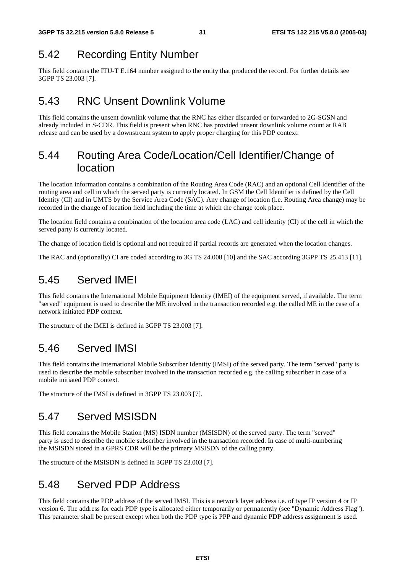### 5.42 Recording Entity Number

This field contains the ITU-T E.164 number assigned to the entity that produced the record. For further details see 3GPP TS 23.003 [7].

### 5.43 RNC Unsent Downlink Volume

This field contains the unsent downlink volume that the RNC has either discarded or forwarded to 2G-SGSN and already included in S-CDR. This field is present when RNC has provided unsent downlink volume count at RAB release and can be used by a downstream system to apply proper charging for this PDP context.

### 5.44 Routing Area Code/Location/Cell Identifier/Change of location

The location information contains a combination of the Routing Area Code (RAC) and an optional Cell Identifier of the routing area and cell in which the served party is currently located. In GSM the Cell Identifier is defined by the Cell Identity (CI) and in UMTS by the Service Area Code (SAC). Any change of location (i.e. Routing Area change) may be recorded in the change of location field including the time at which the change took place.

The location field contains a combination of the location area code (LAC) and cell identity (CI) of the cell in which the served party is currently located.

The change of location field is optional and not required if partial records are generated when the location changes.

The RAC and (optionally) CI are coded according to 3G TS 24.008 [10] and the SAC according 3GPP TS 25.413 [11].

### 5.45 Served IMEI

This field contains the International Mobile Equipment Identity (IMEI) of the equipment served, if available. The term "served" equipment is used to describe the ME involved in the transaction recorded e.g. the called ME in the case of a network initiated PDP context.

The structure of the IMEI is defined in 3GPP TS 23.003 [7].

### 5.46 Served IMSI

This field contains the International Mobile Subscriber Identity (IMSI) of the served party. The term "served" party is used to describe the mobile subscriber involved in the transaction recorded e.g. the calling subscriber in case of a mobile initiated PDP context.

The structure of the IMSI is defined in 3GPP TS 23.003 [7].

### 5.47 Served MSISDN

This field contains the Mobile Station (MS) ISDN number (MSISDN) of the served party. The term "served" party is used to describe the mobile subscriber involved in the transaction recorded. In case of multi-numbering the MSISDN stored in a GPRS CDR will be the primary MSISDN of the calling party.

The structure of the MSISDN is defined in 3GPP TS 23.003 [7].

### 5.48 Served PDP Address

This field contains the PDP address of the served IMSI. This is a network layer address i.e. of type IP version 4 or IP version 6. The address for each PDP type is allocated either temporarily or permanently (see "Dynamic Address Flag"). This parameter shall be present except when both the PDP type is PPP and dynamic PDP address assignment is used.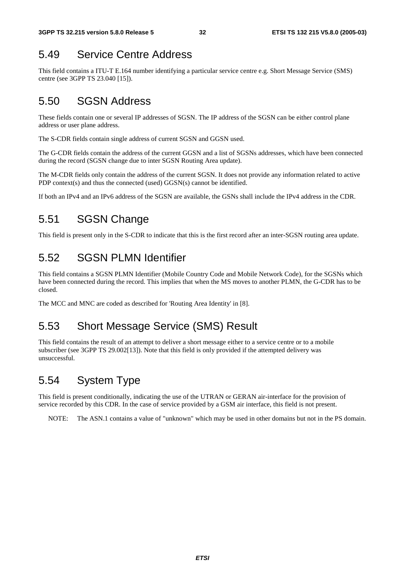## 5.49 Service Centre Address

This field contains a ITU-T E.164 number identifying a particular service centre e.g. Short Message Service (SMS) centre (see 3GPP TS 23.040 [15]).

## 5.50 SGSN Address

These fields contain one or several IP addresses of SGSN. The IP address of the SGSN can be either control plane address or user plane address.

The S-CDR fields contain single address of current SGSN and GGSN used.

The G-CDR fields contain the address of the current GGSN and a list of SGSNs addresses, which have been connected during the record (SGSN change due to inter SGSN Routing Area update).

The M-CDR fields only contain the address of the current SGSN. It does not provide any information related to active PDP context(s) and thus the connected (used) GGSN(s) cannot be identified.

If both an IPv4 and an IPv6 address of the SGSN are available, the GSNs shall include the IPv4 address in the CDR.

## 5.51 SGSN Change

This field is present only in the S-CDR to indicate that this is the first record after an inter-SGSN routing area update.

## 5.52 SGSN PLMN Identifier

This field contains a SGSN PLMN Identifier (Mobile Country Code and Mobile Network Code), for the SGSNs which have been connected during the record. This implies that when the MS moves to another PLMN, the G-CDR has to be closed.

The MCC and MNC are coded as described for 'Routing Area Identity' in [8].

## 5.53 Short Message Service (SMS) Result

This field contains the result of an attempt to deliver a short message either to a service centre or to a mobile subscriber (see 3GPP TS 29.002[13]). Note that this field is only provided if the attempted delivery was unsuccessful.

### 5.54 System Type

This field is present conditionally, indicating the use of the UTRAN or GERAN air-interface for the provision of service recorded by this CDR. In the case of service provided by a GSM air interface, this field is not present.

NOTE: The ASN.1 contains a value of "unknown" which may be used in other domains but not in the PS domain.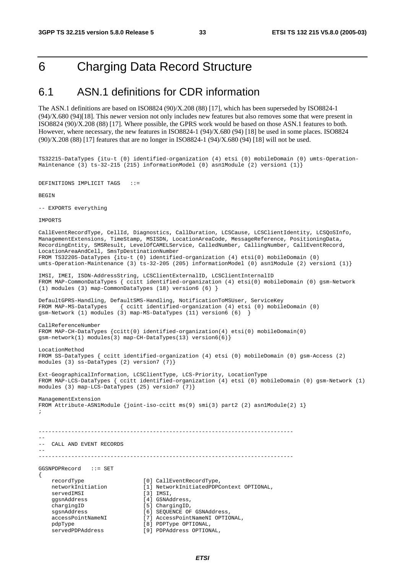## 6 Charging Data Record Structure

### 6.1 ASN.1 definitions for CDR information

The ASN.1 definitions are based on ISO8824 (90)/X.208 (88) [17], which has been superseded by ISO8824-1  $(94)/X.680 (94)$ [18]. This newer version not only includes new features but also removes some that were present in ISO8824 (90)/X.208 (88) [17]. Where possible, the GPRS work would be based on those ASN.1 features to both. However, where necessary, the new features in ISO8824-1 (94)/X.680 (94) [18] be used in some places. ISO8824 (90)/X.208 (88) [17] features that are no longer in ISO8824-1 (94)/X.680 (94) [18] will not be used.

TS32215-DataTypes {itu-t (0) identified-organization (4) etsi (0) mobileDomain (0) umts-Operation-Maintenance (3) ts-32-215 (215) informationModel (0) asn1Module (2) version1 (1)}

DEFINITIONS IMPLICIT TAGS ::=

**BEGIN** 

-- EXPORTS everything

**IMPORTS** 

CallEventRecordType, CellId, Diagnostics, CallDuration, LCSCause, LCSClientIdentity, LCSQoSInfo, ManagementExtensions, TimeStamp, MSISDN, LocationAreaCode, MessageReference, PositioningData, RecordingEntity, SMSResult, LevelOfCAMELService, CalledNumber, CallingNumber, CallEventRecord, LocationAreaAndCell, SmsTpDestinationNumber FROM TS32205-DataTypes {itu-t (0) identified-organization (4) etsi(0) mobileDomain (0) umts-Operation-Maintenance (3) ts-32-205 (205) informationModel (0) asn1Module (2) version1 (1)} IMSI, IMEI, ISDN-AddressString, LCSClientExternalID, LCSClientInternalID FROM MAP-CommonDataTypes { ccitt identified-organization (4) etsi(0) mobileDomain (0) gsm-Network (1) modules (3) map-CommonDataTypes (18) version6 (6) } DefaultGPRS-Handling, DefaultSMS-Handling, NotificationToMSUser, ServiceKey FROM MAP-MS-DataTypes { ccitt identified-organization (4) etsi (0) mobileDomain (0) gsm-Network (1) modules (3) map-MS-DataTypes (11) version6 (6) } CallReferenceNumber FROM MAP-CH-DataTypes {ccitt(0) identified-organization(4) etsi(0) mobileDomain(0) gsm-network(1) modules(3) map-CH-DataTypes(13) version6(6)} LocationMethod FROM SS-DataTypes { ccitt identified-organization (4) etsi (0) mobileDomain (0) gsm-Access (2) modules (3) ss-DataTypes (2) version7 (7)} Ext-GeographicalInformation, LCSClientType, LCS-Priority, LocationType FROM MAP-LCS-DataTypes { ccitt identified-organization (4) etsi (0) mobileDomain (0) gsm-Network (1) modules (3) map-LCS-DataTypes (25) version7 (7)} ManagementExtension FROM Attribute-ASN1Module {joint-iso-ccitt ms(9) smi(3) part2 (2) asn1Module(2) 1} ; ------------------------------------------------------------------------------ -- -- CALL AND EVENT RECORDS -- ------------------------------------------------------------------------------ GGSNPDPRecord ::= SET { recordType [0] CallEventRecordType,<br>networkInitiation [1] NetworkInitiatedPDPC [1] NetworkInitiatedPDPContext OPTIONAL, servedIMSI [3] IMSI, ggsnAddress [4] GSNAddress, chargingID [5] ChargingID,<br>sqsnAddress [6] SEQUENCE OF [6] SEQUENCE OF GSNAddress, accessPointNameNI [7] AccessPointNameNI OPTIONAL, pdpType [8] PDPType OPTIONAL, servedPDPAddress [9] PDPAddress OPTIONAL,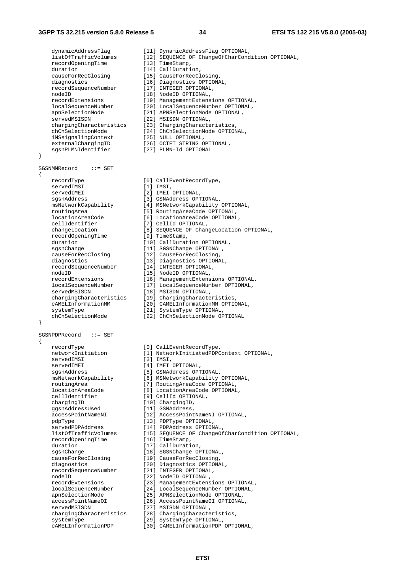#### **3GPP TS 32.215 version 5.8.0 Release 5 34 ETSI TS 132 215 V5.8.0 (2005-03)**

}

{

}

{

dynamicAddressFlag [11] DynamicAddressFlag OPTIONAL,<br>listOfTrafficVolumes [12] SEOUENCE OF ChangeOfCharCond list Simulations (12) SEQUENCE OF ChangeOfCharCondition OPTIONAL,<br>[13] TimeStamp, recordOpeningTime duration [14] CallDuration, causeForRecClosing [15] CauseForRecClosing, diagnostics [16] Diagnostics OPTIONAL,<br>recordSequenceNumber [17] INTEGER OPTIONAL, recordSequenceNumber [17] INTEGER OPTIONAL, nodeID [18] NodeID OPTIONAL, recordExtensions [19] ManagementExtensions OPTIONAL, localSequenceNumber [20] LocalSequenceNumber OPTIONAL, apnSelectionMode [21] APNSelectionMode OPTIONAL, servedMSISDN [22] MSISDN OPTIONAL, chargingCharacteristics [23] ChargingCharacteristics, chChSelectionMode [24] ChChSelectionMode OPTIONAL, iMSsignalingContext [25] NULL OPTIONAL, externalChargingID [26] OCTET STRING OPTIONAL, sgsnPLMNIdentifier [27] PLMN-Id OPTIONAL SGSNMMRecord ::= SET recordType [0] CallEventRecordType, servedIMSI [1] IMSI,<br>servedIMEI [2] IMEI [2] IMEI OPTIONAL, sgsnAddress [3] GSNAddress OPTIONAL, msNetworkCapability [4] MSNetworkCapability OPTIONAL, routingArea [5] RoutingAreaCode OPTIONAL, locationAreaCode [6] LocationAreaCode OPTIONAL, cellIdentifier [7] CellId OPTIONAL, changeLocation [8] SEQUENCE OF ChangeLocation OPTIONAL,<br>
recordOpeningTime [9] TimeStamp, recordOpeningTime [9] TimeStamp, duration  $[10]$  CallDuration OPTIONAL, sgsnChange [11] SGSNChange OPTIONAL, systemative<br>causeForRecClosing [12] CauseForRecClosing<br>diagnostics [12] CauseForRecClosing diagnostics [13] Diagnostics OPTIONAL, recordSequenceNumber [14] INTEGER OPTIONAL, nodeID [15] NodeID OPTIONAL, recordExtensions [16] ManagementExtensions OPTIONAL, localSequenceNumber [17] LocalSequenceNumber OPTIONAL, servedMSISDN [18] MSISDN OPTIONAL, chargingCharacteristics [19] ChargingCharacteristics, cAMELInformationMM [20] CAMELInformationMM OPTIONAL, servedMSISDN (10) Notion, 0110.000, 0110.000, 0110.000, 0110.000, 0110.000, 012.000, 02.000, 02.000, 02.000, 0<br>
CAMELInformationMM [20] CAMELInformationMM OPTIONAL,<br>
systemType [21] SystemType OPTIONAL, chChSelectionMode [22] ChChSelectionMode OPTIONAL SGSNPDPRecord ::= SET recordType [0] CallEventRecordType,<br>networkInitiation [1] NetworkInitiatedPDPC networkInitiation [1] NetworkInitiatedPDPContext OPTIONAL,<br>servedIMSI [3] IMSI, [3] IMSI, servedIMEI [4] IMEI OPTIONAL, sgsnAddress [5] GSNAddress OPTIONAL, msNetworkCapability [6] MSNetworkCapability OPTIONAL, routingArea [7] RoutingAreaCode OPTIONAL, 1, Routingal eacode of 1100All,<br>locationAreaCode [8] LocationAreaCode OPTIONAL, cellIdentifier [9] CellId OPTIONAL,<br>chargingID [10] ChargingID, chargingID [10] ChargingID, ggsnAddressUsed [11] GSNAddress, accessPointNameNI [12] AccessPointNameNI OPTIONAL, pdpType [13] PDPType OPTIONAL, servedPDPAddress [14] PDPAddress OPTIONAL, listOfTrafficVolumes [15] SEQUENCE OF ChangeOfCharCondition OPTIONAL, recordOpeningTime [16] TimeStamp, duration [17] CallDuration sgsnChange [18] SGSNChange OPTIONAL,<br>causeForRecClosing [19] CauseForRecClosing, causeForRecClosing [19] CauseForRecClosing,<br>diagnostics [20] Diagnostics OPTIONA .<br>[20] Diagnostics OPTIONAL, recordSequenceNumber [21] INTEGER OPTIONAL, nodeID [22] NodeID OPTIONAL,<br>recordExtensions [23] ManagementExtens recordExtensions [23] ManagementExtensions OPTIONAL, localSequenceNumber [24] LocalSequenceNumber OPTIONAL, apnSelectionMode [25] APNSelectionMode OPTIONAL, accessPointNameOI [26] AccessPointNameOI OPTIONAL, servedMSISDN [27] MSISDN OPTIONAL, chargingCharacteristics [28] ChargingCharacteristics,<br>systemType [29] SystemType OPTIONAL, systemType [29] SystemType OPTIONAL,<br>
cAMELInformationPDP [30] CAMELInformationPDP [30] CAMELInformationPDP OPTIONAL,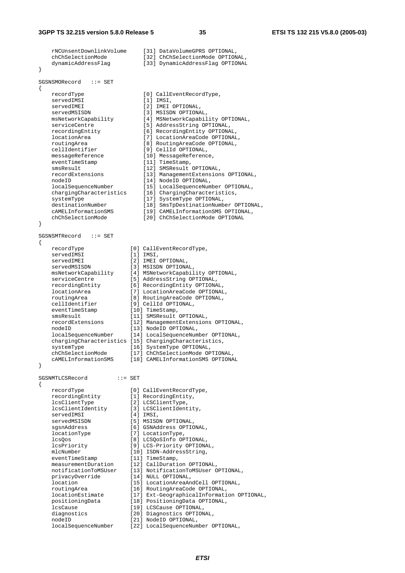rNCUnsentDownlinkVolume [31] DataVolumeGPRS OPTIONAL, chChSelectionMode [32] ChChSelectionMode OPTIONAL, dynamicAddressFlag [33] DynamicAddressFlag OPTIONAL } SGSNSMORecord ::= SET { recordType [0] CallEventRecordType,<br>servedIMSI [1] TMST [1] IMSI, servedIMEI [2] IMEI OPTIONAL, servedMSISDN [3] MSISDN OPTIONAL,<br>msNetworkCapability [4] MSNetworkCapabil msNetworkCapability [4] MSNetworkCapability OPTIONAL, serviceCentre [5] AddressString OPTIONAL, serviceCentre [5] AddressString OPTIONAL,<br>
recordingEntity [6] RecordingEntity OPTIONAL,<br>
locationArea [7] LocationAreaCode OPTIONAL locationArea [7] LocationAreaCode OPTIONAL, routingArea [8] RoutingAreaCode OPTIONAL, cellIdentifier [9] CellId OPTIONAL, messageReference [10] MessageReference, eventTimeStamp [11] TimeStamp,<br>smsResult [12] SMSResult smsResult [12] SMSResult OPTIONAL,<br>
recordExtensions [13] ManagementExtension [13] ManagementExtensions OPTIONAL,<br>[14] NodeID OPTIONAL, nodeID [14] NodeID OPTIONAL, localSequenceNumber [15] LocalSequenceNumber OPTIONAL, chargingCharacteristics [16] ChargingCharacteristics, systemType  $[17]$  SystemType OPTIONAL, destinationNumber [18] SmsTpDestinationNumber OPTIONAL, cAMELInformationSMS [19] CAMELInformationSMS OPTIONAL, chChSelectionMode [20] ChChSelectionMode OPTIONAL } SGSNSMTRecord ::= SET { recordType [0] CallEventRecordType, servedIMSI [1] IMSI, servedIMEI [2] IMEI OPTIONAL, servedMSISDN [3] MSISDN OPTIONAL, msNetworkCapability [4] MSNetworkCapability OPTIONAL, serviceCentre [5] AddressString OPTIONAL, recordingEntity [6] RecordingEntity OPTIONAL, locationArea [7] LocationAreaCode OPTIONAL, routingArea [8] RoutingAreaCode OPTIONAL, cellIdentifier [9] CellId OPTIONAL, eventTimeStamp [10] TimeStamp, smsResult [11] SMSResult OPTIONAL, recordExtensions [12] ManagementExtensions OPTIONAL, nodeID [13] NodeID OPTIONAL, localSequenceNumber [14] LocalSequenceNumber OPTIONAL, chargingCharacteristics [15] ChargingCharacteristics, systemType [16] SystemType OPTIONAL, chChSelectionMode [17] ChChSelectionMode OPTIONAL, cAMELInformationSMS [18] CAMELInformationSMS OPTIONAL } SGSNMTLCSRecord ::= SET { recordType [0] CallEventRecordType, recordingEntity [1] RecordingEntity, lcsClientType [2] LCSClientType, lcsClientIdentity [3] LCSClientIdentity, servedIMSI [4] IMSI, servedMSISDN [5] MSISDN OPTIONAL, sgsnAddress [6] GSNAddress OPTIONAL, locationType [7] LocationType, lcsQos [8] LCSQoSInfo OPTIONAL, lcsPriority [9] LCS-Priority OPTIONAL, mlcNumber [10] ISDN-AddressString, eventTimeStamp [11] TimeStamp, measurementDuration [12] CallDuration OPTIONAL, notificationToMSUser [13] NotificationToMSUser OPTIONAL, privacyOverride [14] NULL OPTIONAL, location [15] LocationAreaAndCell OPTIONAL, routingArea [16] RoutingAreaCode OPTIONAL, locationEstimate [17] Ext-GeographicalInformation OPTIONAL, positioningData [18] PositioningData OPTIONAL, lcsCause [19] LCSCause OPTIONAL, diagnostics [20] Diagnostics OPTIONAL,<br>
nodeID [21] NodeID OPTIONAL, nodeID [21] NodeID OPTIONAL,<br>localSequenceNumber [22] LocalSequenceNum

**ETSI** 

[22] LocalSequenceNumber OPTIONAL,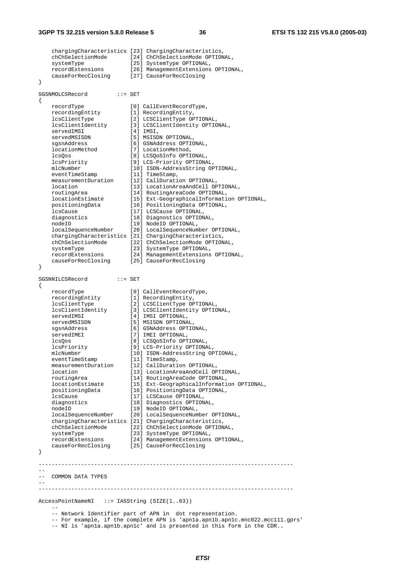chargingCharacteristics [23] ChargingCharacteristics, chChSelectionMode [24] ChChSelectionMode OPTIONAL, systemType [25] SystemType OPTIONAL, recordExtensions [26] ManagementExtensions OPTIONAL, causeForRecClosing [27] CauseForRecClosing } SGSNMOLCSRecord ::= SET { recordType [0] CallEventRecordType, recordingEntity [1] RecordingEntity, lcsClientType [2] LCSClientType OPTIONAL, lcsClientIdentity [3] LCSClientIdentity OPTIONAL, servedIMSI [4] IMSI, servedMSISDN [5] MSISDN OPTIONAL, sgsnAddress [6] GSNAddress OPTIONAL, locationMethod [7] LocationMethod, lcsQos [8] LCSQoSInfo OPTIONAL, lcsPriority [9] LCS-Priority OPTIONAL, mlcNumber [10] ISDN-AddressString OPTIONAL, eventTimeStamp [11] TimeStamp, measurementDuration [12] CallDuration OPTIONAL, location [13] LocationAreaAndCell OPTIONAL, routingArea [14] RoutingAreaCode OPTIONAL, locationEstimate [15] Ext-GeographicalInformation OPTIONAL, positioningData [16] PositioningData OPTIONAL, lcsCause [17] LCSCause OPTIONAL, diagnostics [18] Diagnostics OPTIONAL, nodeID [19] NodeID OPTIONAL, localSequenceNumber [20] LocalSequenceNumber OPTIONAL, chargingCharacteristics [21] ChargingCharacteristics, chChSelectionMode [22] ChChSelectionMode OPTIONAL, systemType [23] SystemType OPTIONAL, recordExtensions [24] ManagementExtensions OPTIONAL, causeForRecClosing [25] CauseForRecClosing } SGSNNILCSRecord ::= SET { recordType [0] CallEventRecordType, recordingEntity [1] RecordingEntity, lcsClientType [2] LCSClientType OPTIONAL, lcsClientIdentity [3] LCSClientIdentity OPTIONAL, servedIMSI [4] IMSI OPTIONAL, servedMSISDN [5] MSISDN OPTIONAL, sgsnAddress [6] GSNAddress OPTIONAL, servedIMEI [7] IMEI OPTIONAL, lcsQos [8] LCSQoSInfo OPTIONAL, lcsPriority [9] LCS-Priority OPTIONAL, mlcNumber [10] ISDN-AddressString OPTIONAL, eventTimeStamp [11] TimeStamp, measurementDuration [12] CallDuration OPTIONAL, location [13] LocationAreaAndCell OPTIONAL, routingArea [14] RoutingAreaCode OPTIONAL, locationEstimate [15] Ext-GeographicalInformation OPTIONAL, positioningData [16] PositioningData OPTIONAL, lcsCause [17] LCSCause OPTIONAL, diagnostics [18] Diagnostics OPTIONAL, nodeID [19] NodeID OPTIONAL, localSequenceNumber [20] LocalSequenceNumber OPTIONAL, chargingCharacteristics [21] ChargingCharacteristics, chChSelectionMode [22] ChChSelectionMode OPTIONAL, systemType [23] SystemType OPTIONAL, recordExtensions [24] ManagementExtensions OPTIONAL, causeForRecClosing [25] CauseForRecClosing } ------------------------------------------------------------------------------ -- -- COMMON DATA TYPES -- ------------------------------------------------------------------------------ AccessPointNameNI ::= IA5String (SIZE(1..63))  $-$ -- Network Identifier part of APN in dot representation.

-- For example, if the complete APN is 'apn1a.apn1b.apn1c.mnc022.mcc111.gprs'

-- NI is 'apn1a.apn1b.apn1c' and is presented in this form in the CDR.**.**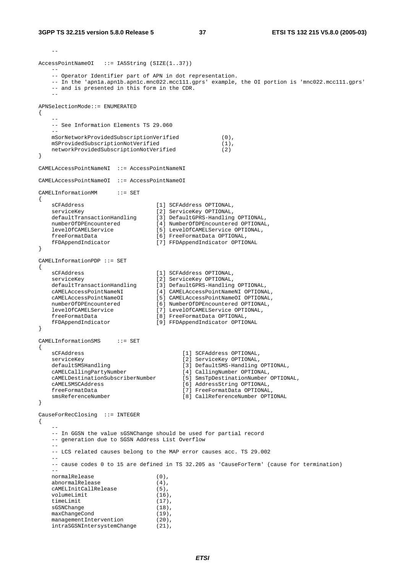```
-AccessPointNameOI ::= IA5String (SIZE(1..37))
   - -- Operator Identifier part of APN in dot representation. 
    -- In the 'apn1a.apn1b.apn1c.mnc022.mcc111.gprs' example, the OI portion is 'mnc022.mcc111.gprs' 
    -- and is presented in this form in the CDR. 
 -- 
APNSelectionMode::= ENUMERATED 
{ 
- -- See Information Elements TS 29.060 
    -- 
    mSorNetworkProvidedSubscriptionVerified (0), 
    mSProvidedSubscriptionNotVerified (1), 
    networkProvidedSubscriptionNotVerified (2) 
} 
CAMELAccessPointNameNI ::= AccessPointNameNI 
CAMELAccessPointNameOI ::= AccessPointNameOI 
CAMELInformationMM ::= SET 
{ 
 sCFAddress [1] SCFAddress OPTIONAL, 
 serviceKey [2] ServiceKey OPTIONAL, 
 defaultTransactionHandling [3] DefaultGPRS-Handling OPTIONAL, 
 numberOfDPEncountered [4] NumberOfDPEncountered OPTIONAL, 
 levelOfCAMELService [5] LevelOfCAMELService OPTIONAL, 
 freeFormatData [6] FreeFormatData OPTIONAL, 
    fFDAppendIndicator [7] FFDAppendIndicator OPTIONAL 
} 
CAMELInformationPDP ::= SET 
{ 
 sCFAddress [1] SCFAddress OPTIONAL, 
 serviceKey [2] ServiceKey OPTIONAL, 
 defaultTransactionHandling [3] DefaultGPRS-Handling OPTIONAL, 
 cAMELAccessPointNameNI [4] CAMELAccessPointNameNI OPTIONAL, 
 cAMELAccessPointNameOI [5] CAMELAccessPointNameOI OPTIONAL, 
 numberOfDPEncountered [6] NumberOfDPEncountered OPTIONAL, 
 levelOfCAMELService [7] LevelOfCAMELService OPTIONAL, 
 freeFormatData [8] FreeFormatData OPTIONAL, 
    fFDAppendIndicator [9] FFDAppendIndicator OPTIONAL 
} 
CAMELInformationSMS ::= SET 
{ 
    sCFAddress [1] SCFAddress OPTIONAL, 
   serviceKey [2] ServiceKey OPTIONAL,<br>defaultSMSHandling [3] DefaultSMS-Handling
   defaultSMSHandling<br>
cAMELCallingPartyNumber [3] DefaultSMS-Handling OPTIONAL,<br>
[4] CallingNumber OPTIONAL,
 cAMELCallingPartyNumber [4] CallingNumber OPTIONAL, 
 cAMELDestinationSubscriberNumber [5] SmsTpDestinationNumber OPTIONAL, 
 cAMELSMSCAddress [6] AddressString OPTIONAL, 
    freeFormatData [7] FreeFormatData OPTIONAL, 
    smsReferenceNumber [8] CallReferenceNumber OPTIONAL 
} 
CauseForRecClosing ::= INTEGER 
{ 
 -- 
    -- In GGSN the value sGSNChange should be used for partial record 
    -- generation due to SGSN Address List Overflow 
 -- 
    -- LCS related causes belong to the MAP error causes acc. TS 29.002 
 -- 
    -- cause codes 0 to 15 are defined in TS 32.205 as 'CauseForTerm' (cause for termination) 
   -normalRelease (0),
   abnormalRelease (4),<br>
cAMELInitCallRelease (5),
    cAMELInitCallRelease (5), 
   volumeLimit (16),<br>timeLimit (17),
   timeLimit
   sGSNChange (18),<br>maxChangeCond (19),
   maxChangeCond (19),<br>managementIntervention (20),
    managementIntervention (20), 
   intraSGSNIntersystemChange (21),
```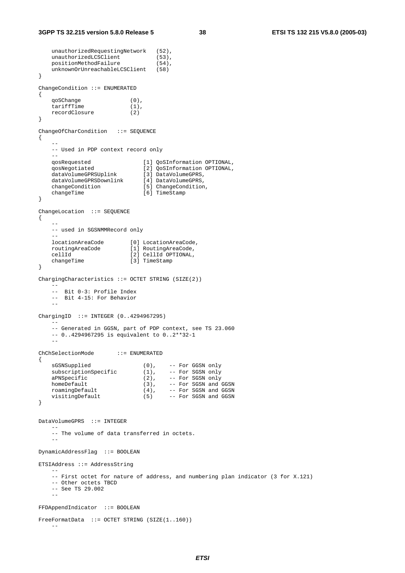```
unauthorizedRequestingNetwork (52),<br>unauthorizedLCSClient (53),<br>nositionMethodFoilume (11)
    unauthorizedLCSClient (53),<br>positionMethodFailure (54).
     positionMethodFailure (54), 
     unknownOrUnreachableLCSClient (58) 
} 
ChangeCondition ::= ENUMERATED 
{ 
     qoSChange (0), 
     tariffTime (1), 
     recordClosure (2) 
} 
ChangeOfCharCondition ::= SEQUENCE 
\{ -- 
     -- Used in PDP context record only 
- qosRequested [1] QoSInformation OPTIONAL, 
 qosNegotiated [2] QoSInformation OPTIONAL, 
 dataVolumeGPRSUplink [3] DataVolumeGPRS, 
 dataVolumeGPRSDownlink [4] DataVolumeGPRS, 
 changeCondition [5] ChangeCondition, 
changeTime [6] TimeStamp
} 
ChangeLocation ::= SEQUENCE 
{ 
- -- used in SGSNMMRecord only 
     -- 
 locationAreaCode [0] LocationAreaCode, 
 routingAreaCode [1] RoutingAreaCode, 
     cellId [2] CellId OPTIONAL, 
     changeTime [3] TimeStamp 
} 
ChargingCharacteristics ::= OCTET STRING (SIZE(2)) 
 -- 
     -- Bit 0-3: Profile Index 
     -- Bit 4-15: For Behavior 
 -- 
ChargingID ::= INTEGER (0..4294967295) 
 -- 
     -- Generated in GGSN, part of PDP context, see TS 23.060 
     -- 0..4294967295 is equivalent to 0..2**32-1 
    -ChChSelectionMode ::= ENUMERATED 
{ 
    sGSNSupplied (0), -- For GGSN only<br>subscriptionSpecific (1), -- For SGSN only
                                 (1), -- For SGSN only<br>(2), -- For SGSN only
   and approximate the state of the SAPNS<br>approximate the SSN only of SSN only in the SSN only in the SSN of SSN only in the SSN of SSN of SSN of SSN on<br>(3),
    anso-re-example and the contract of the series of the series of the series of the series of the contract of the contract of the contract of the contract of the contract of the contract of the contract of the contract of th
 roamingDefault (4), -- For SGSN and GGSN 
 visitingDefault (5) -- For SGSN and GGSN 
} 
DataVolumeGPRS ::= INTEGER
 -- 
     -- The volume of data transferred in octets. 
-DynamicAddressFlag ::= BOOLEAN 
ETSIAddress ::= AddressString 
- -- First octet for nature of address, and numbering plan indicator (3 for X.121) 
     -- Other octets TBCD 
     -- See TS 29.002 
 -- 
FFDAppendIndicator ::= BOOLEAN 
FreeFormatData ::= OCTET STRING (SIZE(1..160)) 
     --
```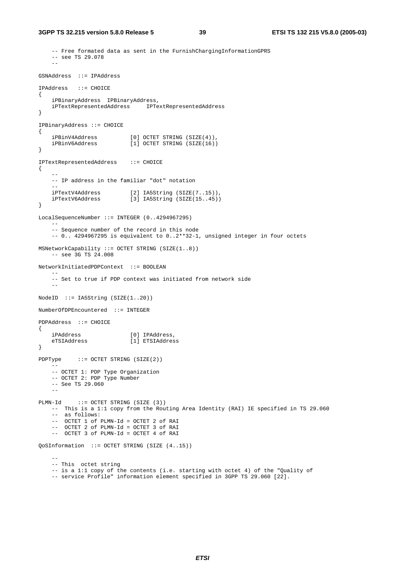```
 -- Free formated data as sent in the FurnishChargingInformationGPRS 
     -- see TS 29.078 
 -- 
GSNAddress ::= IPAddress 
IPAddress ::= CHOICE 
{ 
     iPBinaryAddress IPBinaryAddress, 
     iPTextRepresentedAddress IPTextRepresentedAddress 
} 
IPBinaryAddress ::= CHOICE 
{ 
   iPBinV4Address [0] OCTET STRING (SIZE(4)),<br>iPBinV6Address [1] OCTET STRING (SIZE(16))
                           [1] OCTET STRING (SIZE(16))
} 
IPTextRepresentedAddress ::= CHOICE 
{ 
 -- 
    -- IP address in the familiar "dot" notation 
-iPTextV4Address [2] IA5String (SIZE(7..15)),<br>iPTextV6Address [3] IA5String (SIZE(15..45))
                            [3] IA5String (SIZE(15..45))
} 
LocalSequenceNumber ::= INTEGER (0..4294967295) 
- -- Sequence number of the record in this node 
     -- 0.. 4294967295 is equivalent to 0..2**32-1, unsigned integer in four octets 
MSNetworkCapability ::= OCTET STRING (SIZE(1..8)) 
    -- see 3G TS 24.008
NetworkInitiatedPDPContext ::= BOOLEAN 
 -- 
     -- Set to true if PDP context was initiated from network side 
 -- 
NodeID ::= IA5String (SIZE(1..20)) 
NumberOfDPEncountered ::= INTEGER 
PDPAddress ::= CHOICE 
{ 
    iPAddress [0] IPAddress, 
                         enders<br>[1] ETSIAddress
} 
PDPType ::= OCTET STRING (SIZE(2)) 
- -- OCTET 1: PDP Type Organization 
     -- OCTET 2: PDP Type Number 
     -- See TS 29.060 
 -- 
PLMN-Id ::= OCTET STRING (SIZE (3)) 
     -- This is a 1:1 copy from the Routing Area Identity (RAI) IE specified in TS 29.060 
     -- as follows: 
     -- OCTET 1 of PLMN-Id = OCTET 2 of RAI 
     -- OCTET 2 of PLMN-Id = OCTET 3 of RAI 
     -- OCTET 3 of PLMN-Id = OCTET 4 of RAI 
QoSInformation ::= OCTET STRING (SIZE (4..15)) 
 -- 
     -- This octet string 
     -- is a 1:1 copy of the contents (i.e. starting with octet 4) of the "Quality of 
     -- service Profile" information element specified in 3GPP TS 29.060 [22].
```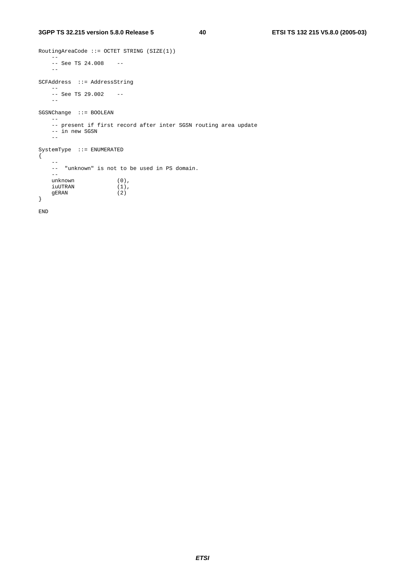```
RoutingAreaCode ::= OCTET STRING (SIZE(1)) 
 -- 
 -- See TS 24.008 -- 
   -SCFAddress ::= AddressString 
   - -- See TS 29.002 -- 
   \mathbb{L}^{\perp}SGSNChange ::= BOOLEAN 
- -- present if first record after inter SGSN routing area update 
 -- in new SGSN 
   \perp \perpSystemType ::= ENUMERATED 
{ 
   \rightarrow -- "unknown" is not to be used in PS domain. 
  --<br>unknown
 unknown (0), 
 iuUTRAN (1), 
 gERAN (2) 
}
```
END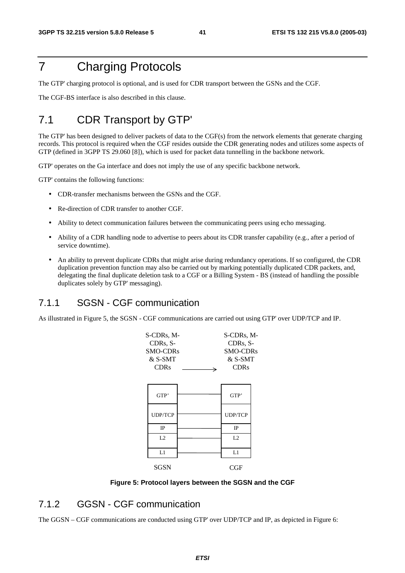## 7 Charging Protocols

The GTP' charging protocol is optional, and is used for CDR transport between the GSNs and the CGF.

The CGF-BS interface is also described in this clause.

## 7.1 CDR Transport by GTP'

The GTP' has been designed to deliver packets of data to the CGF(s) from the network elements that generate charging records. This protocol is required when the CGF resides outside the CDR generating nodes and utilizes some aspects of GTP (defined in 3GPP TS 29.060 [8]), which is used for packet data tunnelling in the backbone network.

GTP' operates on the Ga interface and does not imply the use of any specific backbone network.

GTP' contains the following functions:

- CDR-transfer mechanisms between the GSNs and the CGF.
- Re-direction of CDR transfer to another CGF.
- Ability to detect communication failures between the communicating peers using echo messaging.
- Ability of a CDR handling node to advertise to peers about its CDR transfer capability (e.g., after a period of service downtime).
- An ability to prevent duplicate CDRs that might arise during redundancy operations. If so configured, the CDR duplication prevention function may also be carried out by marking potentially duplicated CDR packets, and, delegating the final duplicate deletion task to a CGF or a Billing System - BS (instead of handling the possible duplicates solely by GTP' messaging).

#### 7.1.1 SGSN - CGF communication

As illustrated in Figure 5, the SGSN - CGF communications are carried out using GTP' over UDP/TCP and IP.



**Figure 5: Protocol layers between the SGSN and the CGF** 

#### 7.1.2 GGSN - CGF communication

The GGSN – CGF communications are conducted using GTP' over UDP/TCP and IP, as depicted in Figure 6: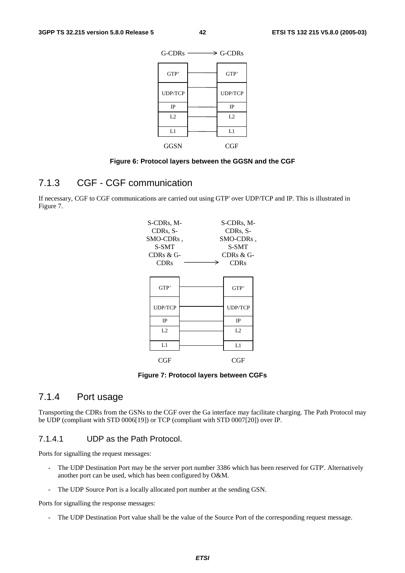

#### **Figure 6: Protocol layers between the GGSN and the CGF**

#### 7.1.3 CGF - CGF communication

If necessary, CGF to CGF communications are carried out using GTP' over UDP/TCP and IP. This is illustrated in Figure 7.

| S-CDRs, M-<br>CDRs, S-<br>SMO-CDRs,<br>S-SMT<br>CDRs & G-<br><b>CDRs</b> | S-CDRs, M-<br>CDRs, S-<br>SMO-CDRs,<br><b>S-SMT</b><br>CDRs & G-<br><b>CDRs</b> |
|--------------------------------------------------------------------------|---------------------------------------------------------------------------------|
| GTP'                                                                     | GTP'                                                                            |
| <b>UDP/TCP</b>                                                           | <b>UDP/TCP</b>                                                                  |
| IP                                                                       | <b>IP</b>                                                                       |
| L <sub>2</sub>                                                           | L <sub>2</sub>                                                                  |
| L1                                                                       | L1                                                                              |
| CGF                                                                      | CGF                                                                             |

**Figure 7: Protocol layers between CGFs** 

#### 7.1.4 Port usage

Transporting the CDRs from the GSNs to the CGF over the Ga interface may facilitate charging. The Path Protocol may be UDP (compliant with STD 0006[19]) or TCP (compliant with STD 0007[20]) over IP.

#### 7.1.4.1 UDP as the Path Protocol.

Ports for signalling the request messages:

- The UDP Destination Port may be the server port number 3386 which has been reserved for GTP'. Alternatively another port can be used, which has been configured by O&M.
- The UDP Source Port is a locally allocated port number at the sending GSN.

Ports for signalling the response messages:

- The UDP Destination Port value shall be the value of the Source Port of the corresponding request message.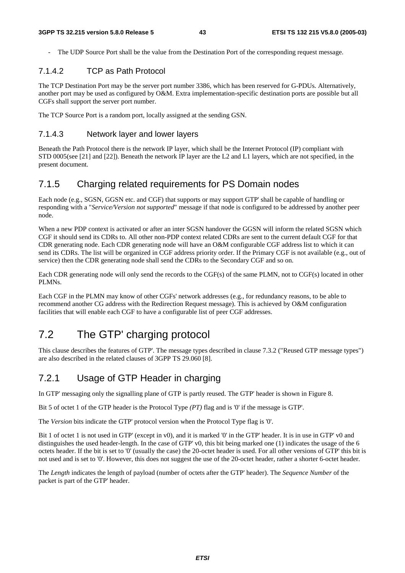- The UDP Source Port shall be the value from the Destination Port of the corresponding request message.

#### 7.1.4.2 TCP as Path Protocol

The TCP Destination Port may be the server port number 3386, which has been reserved for G-PDUs. Alternatively, another port may be used as configured by O&M. Extra implementation-specific destination ports are possible but all CGFs shall support the server port number.

The TCP Source Port is a random port, locally assigned at the sending GSN.

#### 7.1.4.3 Network layer and lower layers

Beneath the Path Protocol there is the network IP layer, which shall be the Internet Protocol (IP) compliant with STD 0005(see [21] and [22]). Beneath the network IP layer are the L2 and L1 layers, which are not specified, in the present document.

#### 7.1.5 Charging related requirements for PS Domain nodes

Each node (e.g., SGSN, GGSN etc. and CGF) that supports or may support GTP' shall be capable of handling or responding with a "*Service/Version not supported*" message if that node is configured to be addressed by another peer node.

When a new PDP context is activated or after an inter SGSN handover the GGSN will inform the related SGSN which CGF it should send its CDRs to. All other non-PDP context related CDRs are sent to the current default CGF for that CDR generating node. Each CDR generating node will have an O&M configurable CGF address list to which it can send its CDRs. The list will be organized in CGF address priority order. If the Primary CGF is not available (e.g., out of service) then the CDR generating node shall send the CDRs to the Secondary CGF and so on.

Each CDR generating node will only send the records to the CGF(s) of the same PLMN, not to CGF(s) located in other PLMNs.

Each CGF in the PLMN may know of other CGFs' network addresses (e.g., for redundancy reasons, to be able to recommend another CG address with the Redirection Request message). This is achieved by O&M configuration facilities that will enable each CGF to have a configurable list of peer CGF addresses.

## 7.2 The GTP' charging protocol

This clause describes the features of GTP'. The message types described in clause 7.3.2 ("Reused GTP message types") are also described in the related clauses of 3GPP TS 29.060 [8].

### 7.2.1 Usage of GTP Header in charging

In GTP' messaging only the signalling plane of GTP is partly reused. The GTP' header is shown in Figure 8.

Bit 5 of octet 1 of the GTP header is the Protocol Type *(PT)* flag and is '0' if the message is GTP'.

The *Version* bits indicate the GTP' protocol version when the Protocol Type flag is '0'.

Bit 1 of octet 1 is not used in GTP' (except in v0), and it is marked '0' in the GTP' header. It is in use in GTP' v0 and distinguishes the used header-length. In the case of GTP' v0, this bit being marked one (1) indicates the usage of the 6 octets header. If the bit is set to '0' (usually the case) the 20-octet header is used. For all other versions of GTP' this bit is not used and is set to '0'. However, this does not suggest the use of the 20-octet header, rather a shorter 6-octet header.

The *Length* indicates the length of payload (number of octets after the GTP' header). The *Sequence Number* of the packet is part of the GTP' header.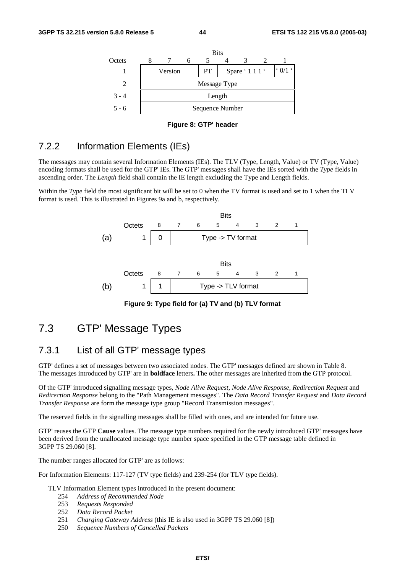



#### 7.2.2 Information Elements (IEs)

The messages may contain several Information Elements (IEs). The TLV (Type, Length, Value) or TV (Type, Value) encoding formats shall be used for the GTP' IEs. The GTP' messages shall have the IEs sorted with the *Type* fields in ascending order. The *Length* field shall contain the IE length excluding the Type and Length fields.

Within the *Type* field the most significant bit will be set to 0 when the TV format is used and set to 1 when the TLV format is used. This is illustrated in Figures 9a and b, respectively.



**Figure 9: Type field for (a) TV and (b) TLV format** 

### 7.3 GTP' Message Types

#### 7.3.1 List of all GTP' message types

GTP' defines a set of messages between two associated nodes. The GTP' messages defined are shown in Table 8. The messages introduced by GTP' are in **boldface** letters**.** The other messages are inherited from the GTP protocol.

Of the GTP' introduced signalling message types, *Node Alive Request*, *Node Alive Response*, *Redirection Request* and *Redirection Response* belong to the "Path Management messages". The *Data Record Transfer Request* and *Data Record Transfer Response* are form the message type group "Record Transmission messages".

The reserved fields in the signalling messages shall be filled with ones, and are intended for future use.

GTP' reuses the GTP **Cause** values. The message type numbers required for the newly introduced GTP' messages have been derived from the unallocated message type number space specified in the GTP message table defined in 3GPP TS 29.060 [8].

The number ranges allocated for GTP' are as follows:

For Information Elements: 117-127 (TV type fields) and 239-254 (for TLV type fields).

#### TLV Information Element types introduced in the present document:

- 254 *Address of Recommended Node*
- 253 *Requests Responded*
- 252 *Data Record Packet*
- 251 *Charging Gateway Address* (this IE is also used in 3GPP TS 29.060 [8])
- 250 *Sequence Numbers of Cancelled Packets*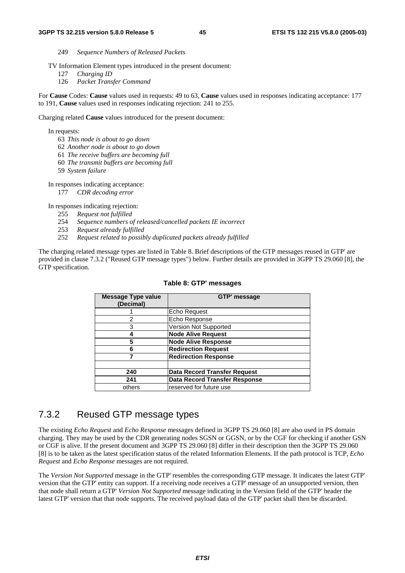- 249 *Sequence Numbers of Released Packets*
- TV Information Element types introduced in the present document:
	- 127 *Charging ID*
	- 126 *Packet Transfer Command*

For **Cause** Codes: **Cause** values used in requests: 49 to 63, **Cause** values used in responses indicating acceptance: 177 to 191, **Cause** values used in responses indicating rejection: 241 to 255.

Charging related **Cause** values introduced for the present document:

In requests:

- 63 *This node is about to go down*
- 62 *Another node is about to go down*
- 61 *The receive buffers are becoming full*
- 60 *The transmit buffers are becoming full*
- 59 *System failure*

In responses indicating acceptance:

177 *CDR decoding error*

In responses indicating rejection:

- 255 *Request not fulfilled*
- 254 *Sequence numbers of released/cancelled packets IE incorrect*
- 253 *Request already fulfilled*
- 252 *Request related to possibly duplicated packets already fulfilled*

The charging related message types are listed in Table 8. Brief descriptions of the GTP messages reused in GTP' are provided in clause 7.3.2 ("Reused GTP message types") below. Further details are provided in 3GPP TS 29.060 [8], the GTP specification.

| <b>Message Type value</b><br>(Decimal) | <b>GTP' message</b>                  |  |
|----------------------------------------|--------------------------------------|--|
|                                        | Echo Request                         |  |
| 2                                      | Echo Response                        |  |
| 3                                      | Version Not Supported                |  |
|                                        | <b>Node Alive Request</b>            |  |
| 5                                      | <b>Node Alive Response</b>           |  |
| 6                                      | <b>Redirection Request</b>           |  |
|                                        | <b>Redirection Response</b>          |  |
|                                        |                                      |  |
| 240                                    | <b>Data Record Transfer Request</b>  |  |
| 241                                    | <b>Data Record Transfer Response</b> |  |
| others                                 | reserved for future use              |  |

#### **Table 8: GTP' messages**

#### 7.3.2 Reused GTP message types

The existing *Echo Request* and *Echo Response* messages defined in 3GPP TS 29.060 [8] are also used in PS domain charging. They may be used by the CDR generating nodes SGSN or GGSN, or by the CGF for checking if another GSN or CGF is alive. If the present document and 3GPP TS 29.060 [8] differ in their description then the 3GPP TS 29.060 [8] is to be taken as the latest specification status of the related Information Elements. If the path protocol is TCP, *Echo Request* and *Echo Response* messages are not required.

The *Version Not Supported* message in the GTP' resembles the corresponding GTP message. It indicates the latest GTP' version that the GTP' entity can support. If a receiving node receives a GTP' message of an unsupported version, then that node shall return a GTP' *Version Not Supported* message indicating in the Version field of the GTP' header the latest GTP' version that that node supports. The received payload data of the GTP' packet shall then be discarded.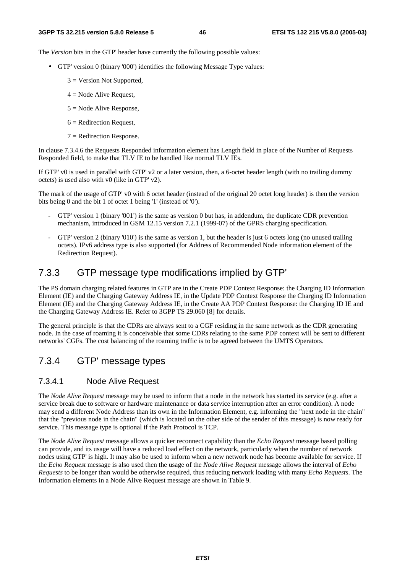The *Version* bits in the GTP' header have currently the following possible values:

- GTP' version 0 (binary '000') identifies the following Message Type values:
	- $3$  = Version Not Supported,
	- $4$  = Node Alive Request,
	- $5 =$  Node Alive Response,
	- $6$  = Redirection Request,
	- $7$  = Redirection Response.

In clause 7.3.4.6 the Requests Responded information element has Length field in place of the Number of Requests Responded field, to make that TLV IE to be handled like normal TLV IEs.

If GTP' v0 is used in parallel with GTP' v2 or a later version, then, a 6-octet header length (with no trailing dummy octets) is used also with v0 (like in GTP' v2).

The mark of the usage of GTP' v0 with 6 octet header (instead of the original 20 octet long header) is then the version bits being 0 and the bit 1 of octet 1 being '1' (instead of '0').

- GTP' version 1 (binary '001') is the same as version 0 but has, in addendum, the duplicate CDR prevention mechanism, introduced in GSM 12.15 version 7.2.1 (1999-07) of the GPRS charging specification.
- GTP' version 2 (binary '010') is the same as version 1, but the header is just 6 octets long (no unused trailing octets). IPv6 address type is also supported (for Address of Recommended Node information element of the Redirection Request).

#### 7.3.3 GTP message type modifications implied by GTP'

The PS domain charging related features in GTP are in the Create PDP Context Response: the Charging ID Information Element (IE) and the Charging Gateway Address IE, in the Update PDP Context Response the Charging ID Information Element (IE) and the Charging Gateway Address IE, in the Create AA PDP Context Response: the Charging ID IE and the Charging Gateway Address IE. Refer to 3GPP TS 29.060 [8] for details.

The general principle is that the CDRs are always sent to a CGF residing in the same network as the CDR generating node. In the case of roaming it is conceivable that some CDRs relating to the same PDP context will be sent to different networks' CGFs. The cost balancing of the roaming traffic is to be agreed between the UMTS Operators.

### 7.3.4 GTP' message types

#### 7.3.4.1 Node Alive Request

The *Node Alive Request* message may be used to inform that a node in the network has started its service (e.g. after a service break due to software or hardware maintenance or data service interruption after an error condition). A node may send a different Node Address than its own in the Information Element, e.g. informing the "next node in the chain" that the "previous node in the chain" (which is located on the other side of the sender of this message) is now ready for service. This message type is optional if the Path Protocol is TCP.

The *Node Alive Request* message allows a quicker reconnect capability than the *Echo Request* message based polling can provide, and its usage will have a reduced load effect on the network, particularly when the number of network nodes using GTP' is high. It may also be used to inform when a new network node has become available for service. If the *Echo Request* message is also used then the usage of the *Node Alive Request* message allows the interval of *Echo Requests* to be longer than would be otherwise required, thus reducing network loading with many *Echo Requests*. The Information elements in a Node Alive Request message are shown in Table 9.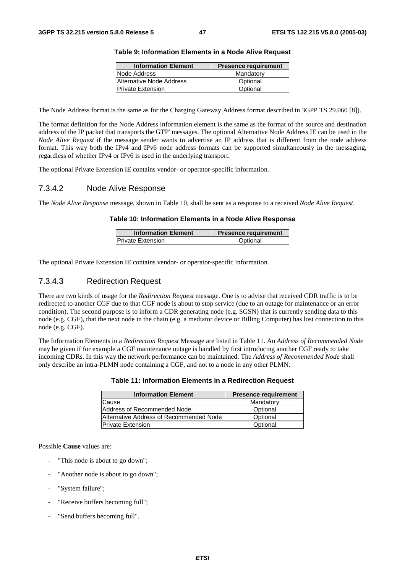| <b>Information Element</b> | <b>Presence requirement</b> |
|----------------------------|-----------------------------|
| Node Address               | Mandatory                   |
| Alternative Node Address   | Optional                    |
| <b>Private Extension</b>   | Optional                    |
|                            |                             |

#### **Table 9: Information Elements in a Node Alive Request**

The Node Address format is the same as for the Charging Gateway Address format described in 3GPP TS 29.060 [8]).

The format definition for the Node Address information element is the same as the format of the source and destination address of the IP packet that transports the GTP' messages. The optional Alternative Node Address IE can be used in the *Node Alive Request* if the message sender wants to advertise an IP address that is different from the node address format. This way both the IPv4 and IPv6 node address formats can be supported simultaneously in the messaging, regardless of whether IPv4 or IPv6 is used in the underlying transport.

The optional Private Extension IE contains vendor- or operator-specific information.

#### 7.3.4.2 Node Alive Response

The *Node Alive Response* message, shown in Table 10, shall be sent as a response to a received *Node Alive Request*.

#### **Table 10: Information Elements in a Node Alive Response**

| <b>Information Element</b> | <b>Presence requirement</b> |  |  |
|----------------------------|-----------------------------|--|--|
| <b>IPrivate Extension</b>  | Optional                    |  |  |

The optional Private Extension IE contains vendor- or operator-specific information.

#### 7.3.4.3 Redirection Request

There are two kinds of usage for the *Redirection Request* message. One is to advise that received CDR traffic is to be redirected to another CGF due to that CGF node is about to stop service (due to an outage for maintenance or an error condition). The second purpose is to inform a CDR generating node (e.g. SGSN) that is currently sending data to this node (e.g. CGF), that the next node in the chain (e.g. a mediator device or Billing Computer) has lost connection to this node (e.g. CGF).

The Information Elements in a *Redirection Request* Message are listed in Table 11. An *Address of Recommended Node* may be given if for example a CGF maintenance outage is handled by first introducing another CGF ready to take incoming CDRs. In this way the network performance can be maintained. The *Address of Recommended Node* shall only describe an intra-PLMN node containing a CGF, and not to a node in any other PLMN.

#### **Table 11: Information Elements in a Redirection Request**

| <b>Information Element</b>              | <b>Presence requirement</b> |
|-----------------------------------------|-----------------------------|
| Cause                                   | Mandatory                   |
| Address of Recommended Node             | Optional                    |
| Alternative Address of Recommended Node | Optional                    |
| <b>Private Extension</b>                | Optional                    |

#### Possible **Cause** values are:

- "This node is about to go down";
- "Another node is about to go down";
- "System failure":
- "Receive buffers becoming full";
- "Send buffers becoming full".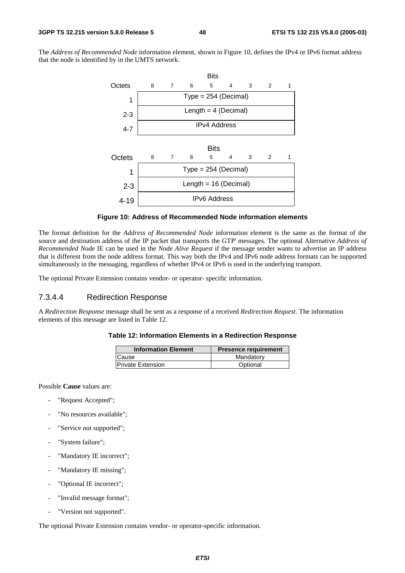The *Address of Recommended Node* information element, shown in Figure 10, defines the IPv4 or IPv6 format address that the node is identified by in the UMTS network.



#### **Figure 10: Address of Recommended Node information elements**

The format definition for the *Address of Recommended Node* information element is the same as the format of the source and destination address of the IP packet that transports the GTP' messages. The optional Alternative *Address of Recommended Node* IE can be used in the *Node Alive Request* if the message sender wants to advertise an IP address that is different from the node address format. This way both the IPv4 and IPv6 node address formats can be supported simultaneously in the messaging, regardless of whether IPv4 or IPv6 is used in the underlying transport.

The optional Private Extension contains vendor- or operator- specific information.

#### 7.3.4.4 Redirection Response

A *Redirection Response* message shall be sent as a response of a received *Redirection Request*. The information elements of this message are listed in Table 12.

#### **Table 12: Information Elements in a Redirection Response**

| <b>Information Element</b> | <b>Presence requirement</b> |  |
|----------------------------|-----------------------------|--|
| Cause                      | Mandatory                   |  |
| <b>Private Extension</b>   | Optional                    |  |

Possible **Cause** values are:

- "Request Accepted";
- "No resources available";
- "Service not supported";
- "System failure";
- "Mandatory IE incorrect";
- "Mandatory IE missing";
- "Optional IE incorrect";
- "Invalid message format";
- "Version not supported".

The optional Private Extension contains vendor- or operator-specific information.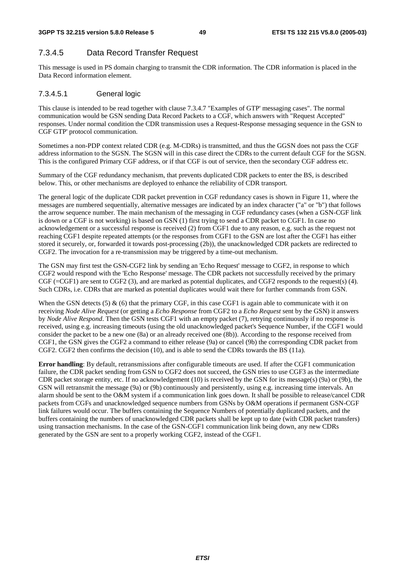#### 7.3.4.5 Data Record Transfer Request

This message is used in PS domain charging to transmit the CDR information. The CDR information is placed in the Data Record information element.

#### 7.3.4.5.1 General logic

This clause is intended to be read together with clause 7.3.4.7 "Examples of GTP' messaging cases". The normal communication would be GSN sending Data Record Packets to a CGF, which answers with "Request Accepted" responses. Under normal condition the CDR transmission uses a Request-Response messaging sequence in the GSN to CGF GTP' protocol communication.

Sometimes a non-PDP context related CDR (e.g. M-CDRs) is transmitted, and thus the GGSN does not pass the CGF address information to the SGSN. The SGSN will in this case direct the CDRs to the current default CGF for the SGSN. This is the configured Primary CGF address, or if that CGF is out of service, then the secondary CGF address etc.

Summary of the CGF redundancy mechanism, that prevents duplicated CDR packets to enter the BS, is described below. This, or other mechanisms are deployed to enhance the reliability of CDR transport.

The general logic of the duplicate CDR packet prevention in CGF redundancy cases is shown in Figure 11, where the messages are numbered sequentially, alternative messages are indicated by an index character ("a" or "b") that follows the arrow sequence number. The main mechanism of the messaging in CGF redundancy cases (when a GSN-CGF link is down or a CGF is not working) is based on GSN (1) first trying to send a CDR packet to CGF1. In case no acknowledgement or a successful response is received (2) from CGF1 due to any reason, e.g. such as the request not reaching CGF1 despite repeated attempts (or the responses from CGF1 to the GSN are lost after the CGF1 has either stored it securely, or, forwarded it towards post-processing (2b)), the unacknowledged CDR packets are redirected to CGF2. The invocation for a re-transmission may be triggered by a time-out mechanism.

The GSN may first test the GSN-CGF2 link by sending an 'Echo Request' message to CGF2, in response to which CGF2 would respond with the 'Echo Response' message. The CDR packets not successfully received by the primary CGF (=CGF1) are sent to CGF2 (3), and are marked as potential duplicates, and CGF2 responds to the request(s) (4). Such CDRs, i.e. CDRs that are marked as potential duplicates would wait there for further commands from GSN.

When the GSN detects (5)  $\&$  (6) that the primary CGF, in this case CGF1 is again able to communicate with it on receiving *Node Alive Request* (or getting a *Echo Response* from CGF2 to a *Echo Request* sent by the GSN) it answers by *Node Alive Respond*. Then the GSN tests CGF1 with an empty packet (7), retrying continuously if no response is received, using e.g. increasing timeouts (using the old unacknowledged packet's Sequence Number, if the CGF1 would consider the packet to be a new one (8a) or an already received one (8b)). According to the response received from CGF1, the GSN gives the CGF2 a command to either release (9a) or cancel (9b) the corresponding CDR packet from CGF2. CGF2 then confirms the decision (10), and is able to send the CDRs towards the BS (11a).

**Error handling**: By default, retransmissions after configurable timeouts are used. If after the CGF1 communication failure, the CDR packet sending from GSN to CGF2 does not succeed, the GSN tries to use CGF3 as the intermediate CDR packet storage entity, etc. If no acknowledgement (10) is received by the GSN for its message(s) (9a) or (9b), the GSN will retransmit the message (9a) or (9b) continuously and persistently, using e.g. increasing time intervals. An alarm should be sent to the O&M system if a communication link goes down. It shall be possible to release/cancel CDR packets from CGFs and unacknowledged sequence numbers from GSNs by O&M operations if permanent GSN-CGF link failures would occur. The buffers containing the Sequence Numbers of potentially duplicated packets, and the buffers containing the numbers of unacknowledged CDR packets shall be kept up to date (with CDR packet transfers) using transaction mechanisms. In the case of the GSN-CGF1 communication link being down, any new CDRs generated by the GSN are sent to a properly working CGF2, instead of the CGF1.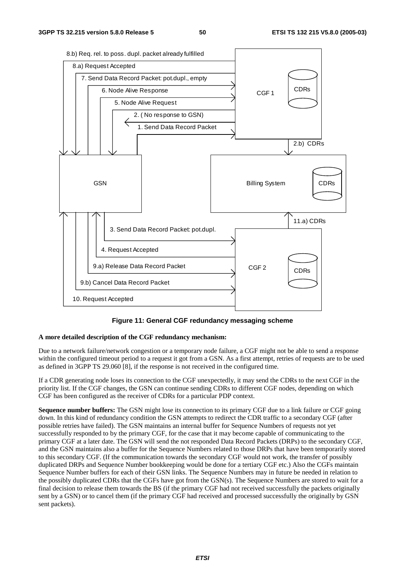

**Figure 11: General CGF redundancy messaging scheme** 

#### **A more detailed description of the CGF redundancy mechanism:**

Due to a network failure/network congestion or a temporary node failure, a CGF might not be able to send a response within the configured timeout period to a request it got from a GSN. As a first attempt, retries of requests are to be used as defined in 3GPP TS 29.060 [8], if the response is not received in the configured time.

If a CDR generating node loses its connection to the CGF unexpectedly, it may send the CDRs to the next CGF in the priority list. If the CGF changes, the GSN can continue sending CDRs to different CGF nodes, depending on which CGF has been configured as the receiver of CDRs for a particular PDP context.

**Sequence number buffers:** The GSN might lose its connection to its primary CGF due to a link failure or CGF going down. In this kind of redundancy condition the GSN attempts to redirect the CDR traffic to a secondary CGF (after possible retries have failed). The GSN maintains an internal buffer for Sequence Numbers of requests not yet successfully responded to by the primary CGF, for the case that it may become capable of communicating to the primary CGF at a later date. The GSN will send the not responded Data Record Packets (DRPs) to the secondary CGF, and the GSN maintains also a buffer for the Sequence Numbers related to those DRPs that have been temporarily stored to this secondary CGF. (If the communication towards the secondary CGF would not work, the transfer of possibly duplicated DRPs and Sequence Number bookkeeping would be done for a tertiary CGF etc.) Also the CGFs maintain Sequence Number buffers for each of their GSN links. The Sequence Numbers may in future be needed in relation to the possibly duplicated CDRs that the CGFs have got from the GSN(s). The Sequence Numbers are stored to wait for a final decision to release them towards the BS (if the primary CGF had not received successfully the packets originally sent by a GSN) or to cancel them (if the primary CGF had received and processed successfully the originally by GSN sent packets).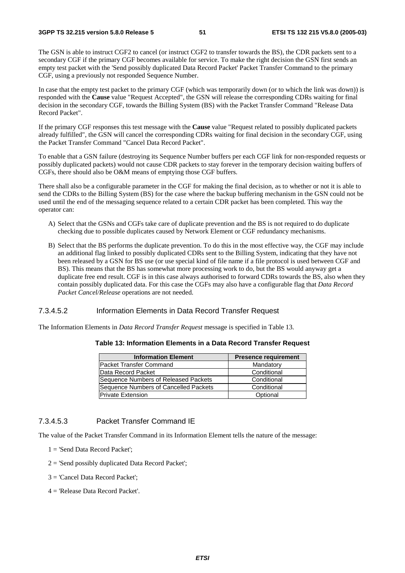The GSN is able to instruct CGF2 to cancel (or instruct CGF2 to transfer towards the BS), the CDR packets sent to a secondary CGF if the primary CGF becomes available for service. To make the right decision the GSN first sends an empty test packet with the 'Send possibly duplicated Data Record Packet' Packet Transfer Command to the primary CGF, using a previously not responded Sequence Number.

In case that the empty test packet to the primary CGF (which was temporarily down (or to which the link was down)) is responded with the **Cause** value "Request Accepted", the GSN will release the corresponding CDRs waiting for final decision in the secondary CGF, towards the Billing System (BS) with the Packet Transfer Command "Release Data Record Packet".

If the primary CGF responses this test message with the **Cause** value "Request related to possibly duplicated packets already fulfilled", the GSN will cancel the corresponding CDRs waiting for final decision in the secondary CGF, using the Packet Transfer Command "Cancel Data Record Packet".

To enable that a GSN failure (destroying its Sequence Number buffers per each CGF link for non-responded requests or possibly duplicated packets) would not cause CDR packets to stay forever in the temporary decision waiting buffers of CGFs, there should also be O&M means of emptying those CGF buffers.

There shall also be a configurable parameter in the CGF for making the final decision, as to whether or not it is able to send the CDRs to the Billing System (BS) for the case where the backup buffering mechanism in the GSN could not be used until the end of the messaging sequence related to a certain CDR packet has been completed. This way the operator can:

- A) Select that the GSNs and CGFs take care of duplicate prevention and the BS is not required to do duplicate checking due to possible duplicates caused by Network Element or CGF redundancy mechanisms.
- B) Select that the BS performs the duplicate prevention. To do this in the most effective way, the CGF may include an additional flag linked to possibly duplicated CDRs sent to the Billing System, indicating that they have not been released by a GSN for BS use (or use special kind of file name if a file protocol is used between CGF and BS). This means that the BS has somewhat more processing work to do, but the BS would anyway get a duplicate free end result. CGF is in this case always authorised to forward CDRs towards the BS, also when they contain possibly duplicated data. For this case the CGFs may also have a configurable flag that *Data Record Packet Cancel/Release* operations are not needed.

#### 7.3.4.5.2 Information Elements in Data Record Transfer Request

The Information Elements in *Data Record Transfer Request* message is specified in Table 13.

| Table 13: Information Elements in a Data Record Transfer Request |  |  |  |
|------------------------------------------------------------------|--|--|--|
|                                                                  |  |  |  |

| <b>Information Element</b>            | <b>Presence requirement</b> |
|---------------------------------------|-----------------------------|
| lPacket Transfer Command              | Mandatory                   |
| lData Record Packet                   | Conditional                 |
| Sequence Numbers of Released Packets  | Conditional                 |
| Sequence Numbers of Cancelled Packets | Conditional                 |
| <b>Private Extension</b>              | Optional                    |

#### 7.3.4.5.3 Packet Transfer Command IE

The value of the Packet Transfer Command in its Information Element tells the nature of the message:

- 1 = 'Send Data Record Packet';
- $2 =$  'Send possibly duplicated Data Record Packet';
- 3 = 'Cancel Data Record Packet';
- 4 = 'Release Data Record Packet'.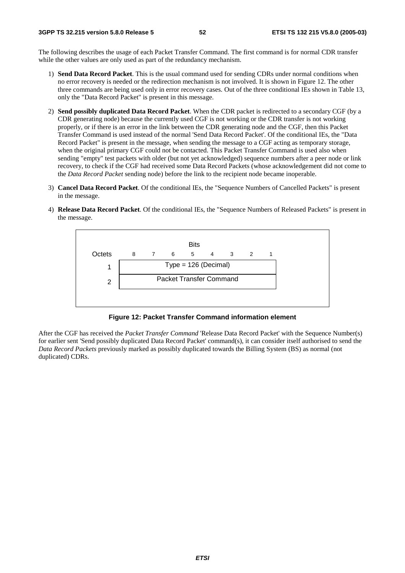The following describes the usage of each Packet Transfer Command. The first command is for normal CDR transfer while the other values are only used as part of the redundancy mechanism.

- 1) **Send Data Record Packet**. This is the usual command used for sending CDRs under normal conditions when no error recovery is needed or the redirection mechanism is not involved. It is shown in Figure 12. The other three commands are being used only in error recovery cases. Out of the three conditional IEs shown in Table 13, only the "Data Record Packet" is present in this message.
- 2) **Send possibly duplicated Data Record Packet**. When the CDR packet is redirected to a secondary CGF (by a CDR generating node) because the currently used CGF is not working or the CDR transfer is not working properly, or if there is an error in the link between the CDR generating node and the CGF, then this Packet Transfer Command is used instead of the normal 'Send Data Record Packet'. Of the conditional IEs, the "Data Record Packet" is present in the message, when sending the message to a CGF acting as temporary storage, when the original primary CGF could not be contacted. This Packet Transfer Command is used also when sending "empty" test packets with older (but not yet acknowledged) sequence numbers after a peer node or link recovery, to check if the CGF had received some Data Record Packets (whose acknowledgement did not come to the *Data Record Packet* sending node) before the link to the recipient node became inoperable.
- 3) **Cancel Data Record Packet**. Of the conditional IEs, the "Sequence Numbers of Cancelled Packets" is present in the message.
- 4) **Release Data Record Packet**. Of the conditional IEs, the "Sequence Numbers of Released Packets" is present in the message.



**Figure 12: Packet Transfer Command information element** 

After the CGF has received the *Packet Transfer Command* 'Release Data Record Packet' with the Sequence Number(s) for earlier sent 'Send possibly duplicated Data Record Packet' command(s), it can consider itself authorised to send the *Data Record Packets* previously marked as possibly duplicated towards the Billing System (BS) as normal (not duplicated) CDRs.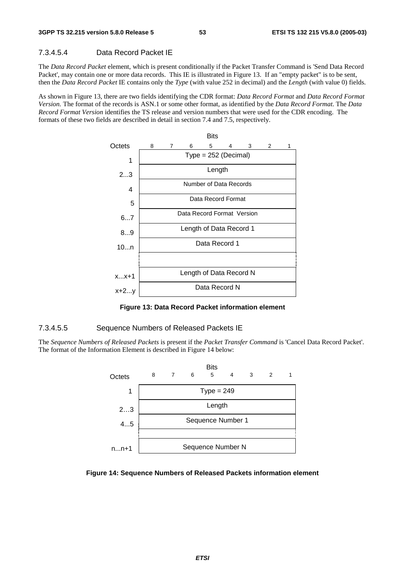#### 7.3.4.5.4 Data Record Packet IE

The *Data Record Packet* element, which is present conditionally if the Packet Transfer Command is 'Send Data Record Packet', may contain one or more data records. This IE is illustrated in Figure 13. If an "empty packet" is to be sent, then the *Data Record Packet* IE contains only the *Type* (with value 252 in decimal) and the *Length* (with value 0) fields.

As shown in Figure 13, there are two fields identifying the CDR format: *Data Record Format* and *Data Record Format Version.* The format of the records is ASN.1 or some other format, as identified by the *Data Record Format*. The *Data Record Format Version* identifies the TS release and version numbers that were used for the CDR encoding. The formats of these two fields are described in detail in section 7.4 and 7.5, respectively.



**Figure 13: Data Record Packet information element** 

#### 7.3.4.5.5 Sequence Numbers of Released Packets IE

The *Sequence Numbers of Released Packets* is present if the *Packet Transfer Command* is 'Cancel Data Record Packet'. The format of the Information Element is described in Figure 14 below:



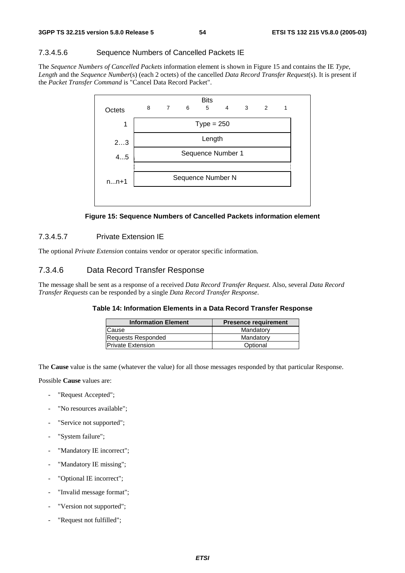#### 7.3.4.5.6 Sequence Numbers of Cancelled Packets IE

The *Sequence Numbers of Cancelled Packets* information element is shown in Figure 15 and contains the IE *Type*, *Length* and the *Sequence Number*(s) (each 2 octets) of the cancelled *Data Record Transfer Request*(s). It is present if the *Packet Transfer Command* is "Cancel Data Record Packet".



**Figure 15: Sequence Numbers of Cancelled Packets information element** 

#### 7.3.4.5.7 Private Extension IE

The optional *Private Extension* contains vendor or operator specific information.

#### 7.3.4.6 Data Record Transfer Response

The message shall be sent as a response of a received *Data Record Transfer Request*. Also, several *Data Record Transfer Requests* can be responded by a single *Data Record Transfer Response*.

#### **Table 14: Information Elements in a Data Record Transfer Response**

| <b>Information Element</b> | <b>Presence requirement</b> |
|----------------------------|-----------------------------|
| Cause                      | Mandatory                   |
| <b>Requests Responded</b>  | Mandatory                   |
| <b>Private Extension</b>   | Optional                    |

The **Cause** value is the same (whatever the value) for all those messages responded by that particular Response.

Possible **Cause** values are:

- "Request Accepted";
- "No resources available":
- "Service not supported";
- "System failure":
- "Mandatory IE incorrect";
- "Mandatory IE missing";
- "Optional IE incorrect";
- "Invalid message format";
- "Version not supported";
- "Request not fulfilled";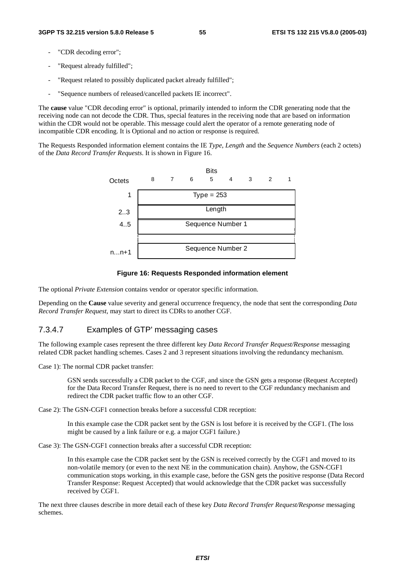- "CDR decoding error":
- "Request already fulfilled";
- "Request related to possibly duplicated packet already fulfilled";
- "Sequence numbers of released/cancelled packets IE incorrect".

The **cause** value "CDR decoding error" is optional, primarily intended to inform the CDR generating node that the receiving node can not decode the CDR. Thus, special features in the receiving node that are based on information within the CDR would not be operable. This message could alert the operator of a remote generating node of incompatible CDR encoding. It is Optional and no action or response is required.

The Requests Responded information element contains the IE *Type*, *Length* and the *Sequence Numbers* (each 2 octets) of the *Data Record Transfer Requests*. It is shown in Figure 16.



#### **Figure 16: Requests Responded information element**

The optional *Private Extension* contains vendor or operator specific information.

Depending on the **Cause** value severity and general occurrence frequency, the node that sent the corresponding *Data Record Transfer Request*, may start to direct its CDRs to another CGF.

#### 7.3.4.7 Examples of GTP' messaging cases

The following example cases represent the three different key *Data Record Transfer Request/Response* messaging related CDR packet handling schemes. Cases 2 and 3 represent situations involving the redundancy mechanism.

Case 1): The normal CDR packet transfer:

 GSN sends successfully a CDR packet to the CGF, and since the GSN gets a response (Request Accepted) for the Data Record Transfer Request, there is no need to revert to the CGF redundancy mechanism and redirect the CDR packet traffic flow to an other CGF.

Case 2): The GSN-CGF1 connection breaks before a successful CDR reception:

 In this example case the CDR packet sent by the GSN is lost before it is received by the CGF1. (The loss might be caused by a link failure or e.g. a major CGF1 failure.)

Case 3): The GSN-CGF1 connection breaks after a successful CDR reception:

 In this example case the CDR packet sent by the GSN is received correctly by the CGF1 and moved to its non-volatile memory (or even to the next NE in the communication chain). Anyhow, the GSN-CGF1 communication stops working, in this example case, before the GSN gets the positive response (Data Record Transfer Response: Request Accepted) that would acknowledge that the CDR packet was successfully received by CGF1.

The next three clauses describe in more detail each of these key *Data Record Transfer Request/Response* messaging schemes.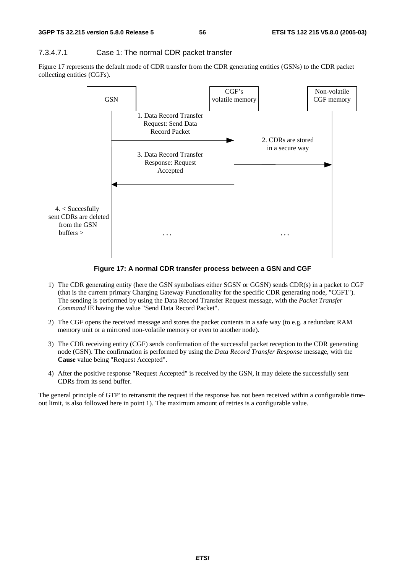#### 7.3.4.7.1 Case 1: The normal CDR packet transfer

Figure 17 represents the default mode of CDR transfer from the CDR generating entities (GSNs) to the CDR packet collecting entities (CGFs).



**Figure 17: A normal CDR transfer process between a GSN and CGF** 

- 1) The CDR generating entity (here the GSN symbolises either SGSN or GGSN) sends CDR(s) in a packet to CGF (that is the current primary Charging Gateway Functionality for the specific CDR generating node, "CGF1"). The sending is performed by using the Data Record Transfer Request message, with the *Packet Transfer Command* IE having the value "Send Data Record Packet".
- 2) The CGF opens the received message and stores the packet contents in a safe way (to e.g. a redundant RAM memory unit or a mirrored non-volatile memory or even to another node).
- 3) The CDR receiving entity (CGF) sends confirmation of the successful packet reception to the CDR generating node (GSN). The confirmation is performed by using the *Data Record Transfer Response* message, with the **Cause** value being "Request Accepted".
- 4) After the positive response "Request Accepted" is received by the GSN, it may delete the successfully sent CDRs from its send buffer.

The general principle of GTP' to retransmit the request if the response has not been received within a configurable timeout limit, is also followed here in point 1). The maximum amount of retries is a configurable value.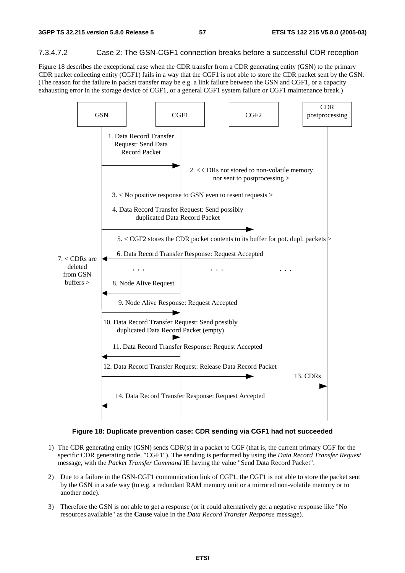#### 7.3.4.7.2 Case 2: The GSN-CGF1 connection breaks before a successful CDR reception

Figure 18 describes the exceptional case when the CDR transfer from a CDR generating entity (GSN) to the primary CDR packet collecting entity (CGF1) fails in a way that the CGF1 is not able to store the CDR packet sent by the GSN. (The reason for the failure in packet transfer may be e.g. a link failure between the GSN and CGF1, or a capacity exhausting error in the storage device of CGF1, or a general CGF1 system failure or CGF1 maintenance break.)



#### **Figure 18: Duplicate prevention case: CDR sending via CGF1 had not succeeded**

- 1) The CDR generating entity (GSN) sends CDR(s) in a packet to CGF (that is, the current primary CGF for the specific CDR generating node, "CGF1"). The sending is performed by using the *Data Record Transfer Request* message, with the *Packet Transfer Command* IE having the value "Send Data Record Packet".
- 2) Due to a failure in the GSN-CGF1 communication link of CGF1, the CGF1 is not able to store the packet sent by the GSN in a safe way (to e.g. a redundant RAM memory unit or a mirrored non-volatile memory or to another node).
- 3) Therefore the GSN is not able to get a response (or it could alternatively get a negative response like "No resources available" as the **Cause** value in the *Data Record Transfer Response* message).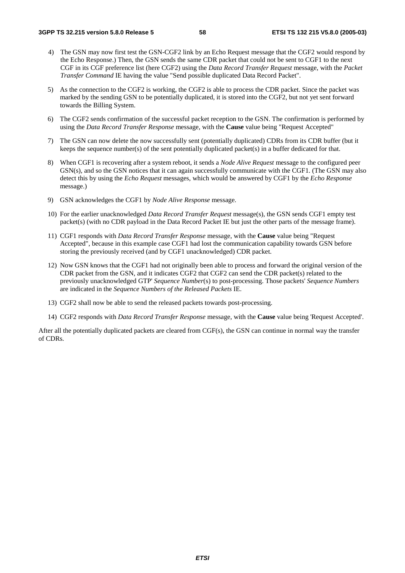- 4) The GSN may now first test the GSN-CGF2 link by an Echo Request message that the CGF2 would respond by the Echo Response.) Then, the GSN sends the same CDR packet that could not be sent to CGF1 to the next CGF in its CGF preference list (here CGF2) using the *Data Record Transfer Request* message, with the *Packet Transfer Command* IE having the value "Send possible duplicated Data Record Packet".
- 5) As the connection to the CGF2 is working, the CGF2 is able to process the CDR packet. Since the packet was marked by the sending GSN to be potentially duplicated, it is stored into the CGF2, but not yet sent forward towards the Billing System.
- 6) The CGF2 sends confirmation of the successful packet reception to the GSN. The confirmation is performed by using the *Data Record Transfer Response* message, with the **Cause** value being "Request Accepted"
- 7) The GSN can now delete the now successfully sent (potentially duplicated) CDRs from its CDR buffer (but it keeps the sequence number(s) of the sent potentially duplicated packet(s) in a buffer dedicated for that.
- 8) When CGF1 is recovering after a system reboot, it sends a *Node Alive Request* message to the configured peer GSN(s), and so the GSN notices that it can again successfully communicate with the CGF1. (The GSN may also detect this by using the *Echo Request* messages, which would be answered by CGF1 by the *Echo Response* message.)
- 9) GSN acknowledges the CGF1 by *Node Alive Response* message.
- 10) For the earlier unacknowledged *Data Record Transfer Request* message(s), the GSN sends CGF1 empty test packet(s) (with no CDR payload in the Data Record Packet IE but just the other parts of the message frame).
- 11) CGF1 responds with *Data Record Transfer Response* message, with the **Cause** value being "Request Accepted", because in this example case CGF1 had lost the communication capability towards GSN before storing the previously received (and by CGF1 unacknowledged) CDR packet.
- 12) Now GSN knows that the CGF1 had not originally been able to process and forward the original version of the CDR packet from the GSN, and it indicates CGF2 that CGF2 can send the CDR packet(s) related to the previously unacknowledged GTP' *Sequence Number*(s) to post-processing. Those packets' *Sequence Numbers* are indicated in the *Sequence Numbers of the Released Packets* IE.
- 13) CGF2 shall now be able to send the released packets towards post-processing.
- 14) CGF2 responds with *Data Record Transfer Response* message, with the **Cause** value being 'Request Accepted'.

After all the potentially duplicated packets are cleared from CGF(s), the GSN can continue in normal way the transfer of CDRs.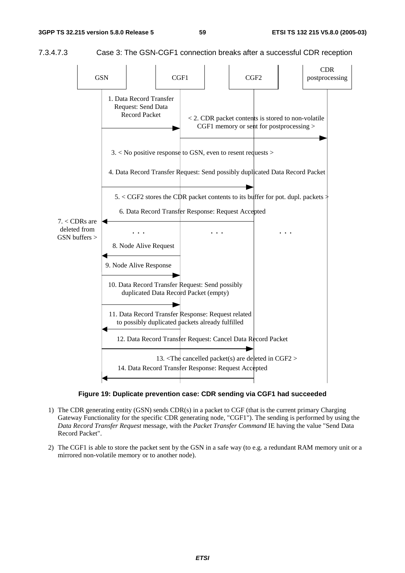

7.3.4.7.3 Case 3: The GSN-CGF1 connection breaks after a successful CDR reception



**Figure 19: Duplicate prevention case: CDR sending via CGF1 had succeeded** 

- 1) The CDR generating entity (GSN) sends CDR(s) in a packet to CGF (that is the current primary Charging Gateway Functionality for the specific CDR generating node, "CGF1"). The sending is performed by using the *Data Record Transfer Request* message, with the *Packet Transfer Command* IE having the value "Send Data Record Packet".
- 2) The CGF1 is able to store the packet sent by the GSN in a safe way (to e.g. a redundant RAM memory unit or a mirrored non-volatile memory or to another node).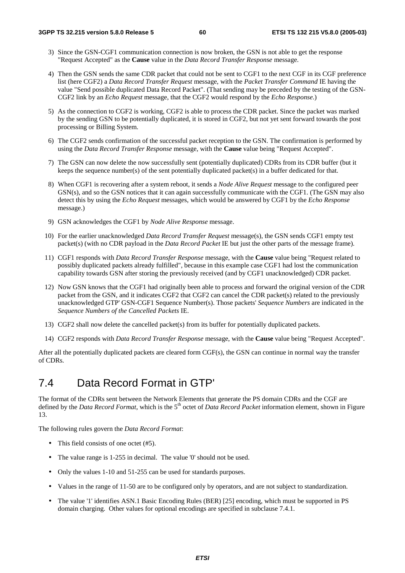- 3) Since the GSN-CGF1 communication connection is now broken, the GSN is not able to get the response "Request Accepted" as the **Cause** value in the *Data Record Transfer Response* message.
- 4) Then the GSN sends the same CDR packet that could not be sent to CGF1 to the next CGF in its CGF preference list (here CGF2) a *Data Record Transfer Request* message, with the *Packet Transfer Command* IE having the value "Send possible duplicated Data Record Packet". (That sending may be preceded by the testing of the GSN-CGF2 link by an *Echo Request* message, that the CGF2 would respond by the *Echo Response*.)
- 5) As the connection to CGF2 is working, CGF2 is able to process the CDR packet. Since the packet was marked by the sending GSN to be potentially duplicated, it is stored in CGF2, but not yet sent forward towards the post processing or Billing System.
- 6) The CGF2 sends confirmation of the successful packet reception to the GSN. The confirmation is performed by using the *Data Record Transfer Response* message, with the **Cause** value being "Request Accepted".
- 7) The GSN can now delete the now successfully sent (potentially duplicated) CDRs from its CDR buffer (but it keeps the sequence number(s) of the sent potentially duplicated packet(s) in a buffer dedicated for that.
- 8) When CGF1 is recovering after a system reboot, it sends a *Node Alive Request* message to the configured peer GSN(s), and so the GSN notices that it can again successfully communicate with the CGF1. (The GSN may also detect this by using the *Echo Request* messages, which would be answered by CGF1 by the *Echo Response* message.)
- 9) GSN acknowledges the CGF1 by *Node Alive Response* message.
- 10) For the earlier unacknowledged *Data Record Transfer Request* message(s), the GSN sends CGF1 empty test packet(s) (with no CDR payload in the *Data Record Packet* IE but just the other parts of the message frame).
- 11) CGF1 responds with *Data Record Transfer Response* message, with the **Cause** value being "Request related to possibly duplicated packets already fulfilled", because in this example case CGF1 had lost the communication capability towards GSN after storing the previously received (and by CGF1 unacknowledged) CDR packet.
- 12) Now GSN knows that the CGF1 had originally been able to process and forward the original version of the CDR packet from the GSN, and it indicates CGF2 that CGF2 can cancel the CDR packet(s) related to the previously unacknowledged GTP' GSN-CGF1 Sequence Number(s). Those packets' *Sequence Numbers* are indicated in the *Sequence Numbers of the Cancelled Packets* IE.
- 13) CGF2 shall now delete the cancelled packet(s) from its buffer for potentially duplicated packets.
- 14) CGF2 responds with *Data Record Transfer Response* message, with the **Cause** value being "Request Accepted".

After all the potentially duplicated packets are cleared form CGF(s), the GSN can continue in normal way the transfer of CDRs.

### 7.4 Data Record Format in GTP'

The format of the CDRs sent between the Network Elements that generate the PS domain CDRs and the CGF are defined by the *Data Record Format*, which is the 5<sup>th</sup> octet of *Data Record Packet* information element, shown in Figure 13.

The following rules govern the *Data Record Format*:

- This field consists of one octet (#5).
- The value range is 1-255 in decimal. The value '0' should not be used.
- Only the values 1-10 and 51-255 can be used for standards purposes.
- Values in the range of 11-50 are to be configured only by operators, and are not subject to standardization.
- The value '1' identifies ASN.1 Basic Encoding Rules (BER) [25] encoding, which must be supported in PS domain charging. Other values for optional encodings are specified in subclause 7.4.1.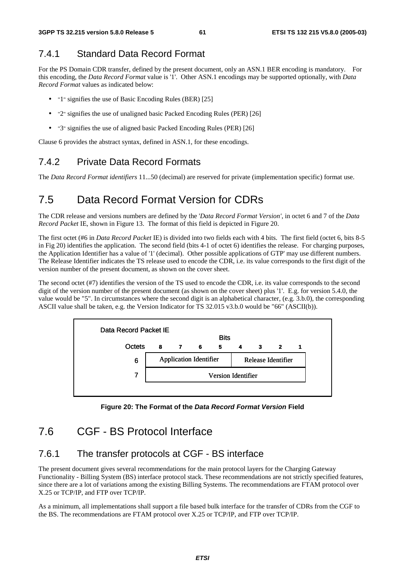### 7.4.1 Standard Data Record Format

For the PS Domain CDR transfer, defined by the present document, only an ASN.1 BER encoding is mandatory. For this encoding, the *Data Record Format* value is '1'. Other ASN.1 encodings may be supported optionally, with *Data Record Format* values as indicated below:

- "1" signifies the use of Basic Encoding Rules (BER) [25]
- "2" signifies the use of unaligned basic Packed Encoding Rules (PER) [26]
- "3" signifies the use of aligned basic Packed Encoding Rules (PER) [26]

Clause 6 provides the abstract syntax, defined in ASN.1, for these encodings.

### 7.4.2 Private Data Record Formats

The *Data Record Format identifiers* 11...50 (decimal) are reserved for private (implementation specific) format use.

## 7.5 Data Record Format Version for CDRs

The CDR release and versions numbers are defined by the '*Data Record Format Version'*, in octet 6 and 7 of the *Data Record Packet* IE, shown in Figure 13. The format of this field is depicted in Figure 20.

The first octet (#6 in *Data Record Packet* IE) is divided into two fields each with 4 bits. The first field (octet 6, bits 8-5 in Fig 20) identifies the application. The second field (bits 4-1 of octet 6) identifies the release. For charging purposes, the Application Identifier has a value of '1' (decimal). Other possible applications of GTP' may use different numbers. The Release Identifier indicates the TS release used to encode the CDR, i.e. its value corresponds to the first digit of the version number of the present document, as shown on the cover sheet.

The second octet (#7) identifies the version of the TS used to encode the CDR, i.e. its value corresponds to the second digit of the version number of the present document (as shown on the cover sheet) plus '1'. E.g. for version 5.4.0, the value would be "5". In circumstances where the second digit is an alphabetical character, (e.g. 3.b.0), the corresponding ASCII value shall be taken, e.g. the Version Indicator for TS 32.015 v3.b.0 would be "66" (ASCII(b)).



**Figure 20: The Format of the Data Record Format Version Field** 

### 7.6 CGF - BS Protocol Interface

#### 7.6.1 The transfer protocols at CGF - BS interface

The present document gives several recommendations for the main protocol layers for the Charging Gateway Functionality - Billing System (BS) interface protocol stack. These recommendations are not strictly specified features, since there are a lot of variations among the existing Billing Systems. The recommendations are FTAM protocol over X.25 or TCP/IP, and FTP over TCP/IP.

As a minimum, all implementations shall support a file based bulk interface for the transfer of CDRs from the CGF to the BS. The recommendations are FTAM protocol over X.25 or TCP/IP, and FTP over TCP/IP.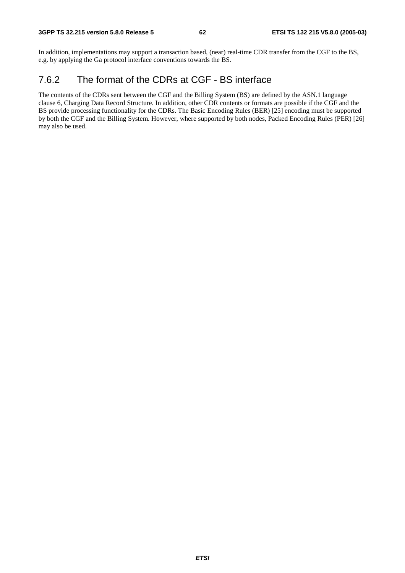In addition, implementations may support a transaction based, (near) real-time CDR transfer from the CGF to the BS, e.g. by applying the Ga protocol interface conventions towards the BS.

### 7.6.2 The format of the CDRs at CGF - BS interface

The contents of the CDRs sent between the CGF and the Billing System (BS) are defined by the ASN.1 language clause 6, Charging Data Record Structure. In addition, other CDR contents or formats are possible if the CGF and the BS provide processing functionality for the CDRs. The Basic Encoding Rules (BER) [25] encoding must be supported by both the CGF and the Billing System. However, where supported by both nodes, Packed Encoding Rules (PER) [26] may also be used.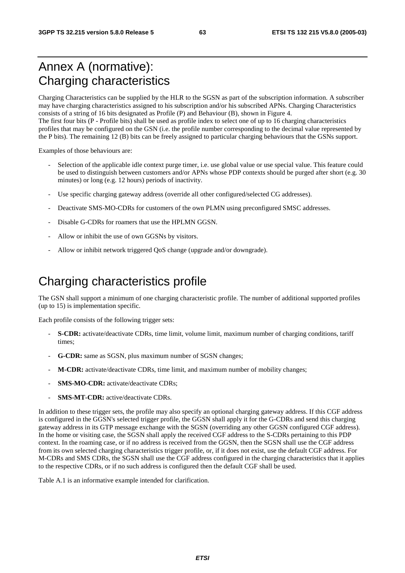## Annex A (normative): Charging characteristics

Charging Characteristics can be supplied by the HLR to the SGSN as part of the subscription information. A subscriber may have charging characteristics assigned to his subscription and/or his subscribed APNs. Charging Characteristics consists of a string of 16 bits designated as Profile (P) and Behaviour (B), shown in Figure 4. The first four bits (P - Profile bits) shall be used as profile index to select one of up to 16 charging characteristics

profiles that may be configured on the GSN (i.e. the profile number corresponding to the decimal value represented by the P bits). The remaining 12 (B) bits can be freely assigned to particular charging behaviours that the GSNs support.

Examples of those behaviours are:

- Selection of the applicable idle context purge timer, i.e. use global value or use special value. This feature could be used to distinguish between customers and/or APNs whose PDP contexts should be purged after short (e.g. 30 minutes) or long (e.g. 12 hours) periods of inactivity.
- Use specific charging gateway address (override all other configured/selected CG addresses).
- Deactivate SMS-MO-CDRs for customers of the own PLMN using preconfigured SMSC addresses.
- Disable G-CDRs for roamers that use the HPLMN GGSN.
- Allow or inhibit the use of own GGSNs by visitors.
- Allow or inhibit network triggered OoS change (upgrade and/or downgrade).

## Charging characteristics profile

The GSN shall support a minimum of one charging characteristic profile. The number of additional supported profiles (up to 15) is implementation specific.

Each profile consists of the following trigger sets:

- - **S-CDR:** activate/deactivate CDRs, time limit, volume limit, maximum number of charging conditions, tariff times;
- - **G-CDR:** same as SGSN, plus maximum number of SGSN changes;
- - **M-CDR:** activate/deactivate CDRs, time limit, and maximum number of mobility changes;
- - **SMS-MO-CDR:** activate/deactivate CDRs;
- - **SMS-MT-CDR:** active/deactivate CDRs.

In addition to these trigger sets, the profile may also specify an optional charging gateway address. If this CGF address is configured in the GGSN's selected trigger profile, the GGSN shall apply it for the G-CDRs and send this charging gateway address in its GTP message exchange with the SGSN (overriding any other GGSN configured CGF address). In the home or visiting case, the SGSN shall apply the received CGF address to the S-CDRs pertaining to this PDP context. In the roaming case, or if no address is received from the GGSN, then the SGSN shall use the CGF address from its own selected charging characteristics trigger profile, or, if it does not exist, use the default CGF address. For M-CDRs and SMS CDRs, the SGSN shall use the CGF address configured in the charging characteristics that it applies to the respective CDRs, or if no such address is configured then the default CGF shall be used.

Table A.1 is an informative example intended for clarification.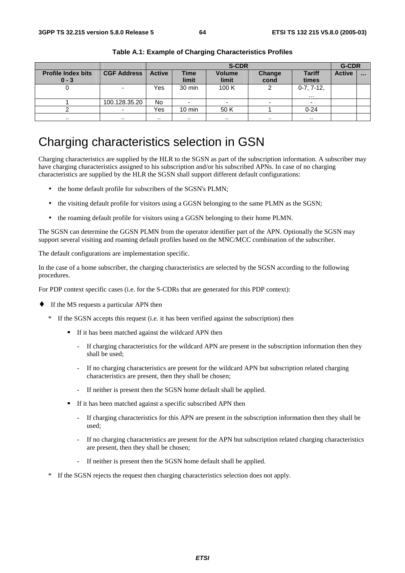|                                      |                          | <b>S-CDR</b>  |                      |                        |                |                          | <b>G-CDR</b>  |          |
|--------------------------------------|--------------------------|---------------|----------------------|------------------------|----------------|--------------------------|---------------|----------|
| <b>Profile Index bits</b><br>$0 - 3$ | <b>CGF Address</b>       | <b>Active</b> | <b>Time</b><br>limit | <b>Volume</b><br>limit | Change<br>cond | <b>Tariff</b><br>times   | <b>Active</b> | $\cdots$ |
|                                      |                          | Yes           | 30 min               | 100 K                  |                | $0-7, 7-12,$<br>$\cdots$ |               |          |
|                                      | 100.128.35.20            | No            |                      |                        |                |                          |               |          |
|                                      | $\overline{\phantom{a}}$ | Yes           | $10 \text{ min}$     | 50 K                   |                | $0 - 24$                 |               |          |
| . .                                  |                          | . .           | $\cdots$             | . .                    | $\cdots$       | . .                      |               |          |

**Table A.1: Example of Charging Characteristics Profiles** 

## Charging characteristics selection in GSN

Charging characteristics are supplied by the HLR to the SGSN as part of the subscription information. A subscriber may have charging characteristics assigned to his subscription and/or his subscribed APNs. In case of no charging characteristics are supplied by the HLR the SGSN shall support different default configurations:

- the home default profile for subscribers of the SGSN's PLMN;
- the visiting default profile for visitors using a GGSN belonging to the same PLMN as the SGSN;
- the roaming default profile for visitors using a GGSN belonging to their home PLMN.

The SGSN can determine the GGSN PLMN from the operator identifier part of the APN. Optionally the SGSN may support several visiting and roaming default profiles based on the MNC/MCC combination of the subscriber.

The default configurations are implementation specific.

In the case of a home subscriber, the charging characteristics are selected by the SGSN according to the following procedures.

For PDP context specific cases (i.e. for the S-CDRs that are generated for this PDP context):

- ♦ If the MS requests a particular APN then
	- \* If the SGSN accepts this request (i.e. it has been verified against the subscription) then
		- If it has been matched against the wildcard APN then
			- If charging characteristics for the wildcard APN are present in the subscription information then they shall be used;
			- If no charging characteristics are present for the wildcard APN but subscription related charging characteristics are present, then they shall be chosen;
			- If neither is present then the SGSN home default shall be applied.
		- If it has been matched against a specific subscribed APN then
			- If charging characteristics for this APN are present in the subscription information then they shall be used;
			- If no charging characteristics are present for the APN but subscription related charging characteristics are present, then they shall be chosen;
			- If neither is present then the SGSN home default shall be applied.
	- If the SGSN rejects the request then charging characteristics selection does not apply.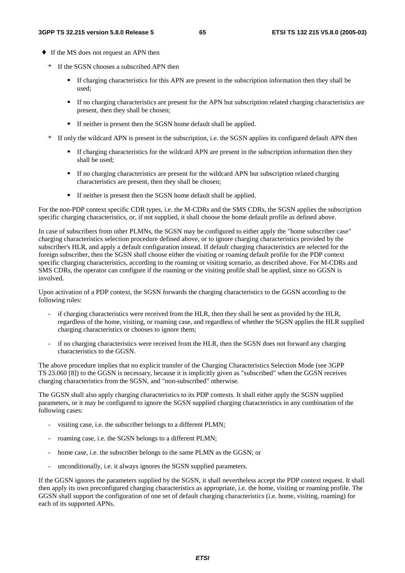- ♦ If the MS does not request an APN then
	- \* If the SGSN chooses a subscribed APN then
		- If charging characteristics for this APN are present in the subscription information then they shall be used;
		- If no charging characteristics are present for the APN but subscription related charging characteristics are present, then they shall be chosen;
		- If neither is present then the SGSN home default shall be applied.
	- \* If only the wildcard APN is present in the subscription, i.e. the SGSN applies its configured default APN then
		- If charging characteristics for the wildcard APN are present in the subscription information then they shall be used;
		- If no charging characteristics are present for the wildcard APN but subscription related charging characteristics are present, then they shall be chosen;
		- If neither is present then the SGSN home default shall be applied.

For the non-PDP context specific CDR types, i.e. the M-CDRs and the SMS CDRs, the SGSN applies the subscription specific charging characteristics, or, if not supplied, it shall choose the home default profile as defined above.

In case of subscribers from other PLMNs, the SGSN may be configured to either apply the "home subscriber case" charging characteristics selection procedure defined above, or to ignore charging characteristics provided by the subscriber's HLR, and apply a default configuration instead. If default charging characteristics are selected for the foreign subscriber, then the SGSN shall choose either the visiting or roaming default profile for the PDP context specific charging characteristics, according to the roaming or visiting scenario, as described above. For M-CDRs and SMS CDRs, the operator can configure if the roaming or the visiting profile shall be applied, since no GGSN is involved.

Upon activation of a PDP context, the SGSN forwards the charging characteristics to the GGSN according to the following rules:

- if charging characteristics were received from the HLR, then they shall be sent as provided by the HLR, regardless of the home, visiting, or roaming case, and regardless of whether the SGSN applies the HLR supplied charging characteristics or chooses to ignore them;
- if no charging characteristics were received from the HLR, then the SGSN does not forward any charging characteristics to the GGSN.

The above procedure implies that no explicit transfer of the Charging Characteristics Selection Mode (see 3GPP TS 23.060 [8]) to the GGSN is necessary, because it is implicitly given as "subscribed" when the GGSN receives charging characteristics from the SGSN, and "non-subscribed" otherwise.

The GGSN shall also apply charging characteristics to its PDP contexts. It shall either apply the SGSN supplied parameters, or it may be configured to ignore the SGSN supplied charging characteristics in any combination of the following cases:

- visiting case, i.e. the subscriber belongs to a different PLMN;
- roaming case, i.e. the SGSN belongs to a different PLMN;
- home case, i.e. the subscriber belongs to the same PLMN as the GGSN; or
- unconditionally, i.e. it always ignores the SGSN supplied parameters.

If the GGSN ignores the parameters supplied by the SGSN, it shall nevertheless accept the PDP context request. It shall then apply its own preconfigured charging characteristics as appropriate, i.e. the home, visiting or roaming profile. The GGSN shall support the configuration of one set of default charging characteristics (i.e. home, visiting, roaming) for each of its supported APNs.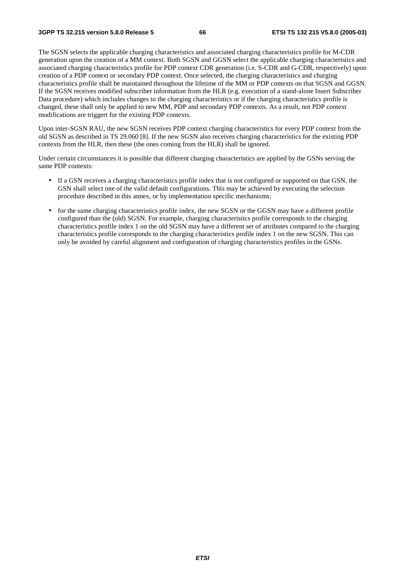The SGSN selects the applicable charging characteristics and associated charging characteristics profile for M-CDR generation upon the creation of a MM context. Both SGSN and GGSN select the applicable charging characteristics and associated charging characteristics profile for PDP context CDR generation (i.e. S-CDR and G-CDR, respectively) upon creation of a PDP context or secondary PDP context. Once selected, the charging characteristics and charging characteristics profile shall be maintained throughout the lifetime of the MM or PDP contexts on that SGSN and GGSN. If the SGSN receives modified subscriber information from the HLR (e.g. execution of a stand-alone Insert Subscriber Data procedure) which includes changes to the charging characteristics or if the charging characteristics profile is changed, these shall only be applied to new MM, PDP and secondary PDP contexts. As a result, not PDP context modifications are triggert for the existing PDP contexts.

Upon inter-SGSN RAU, the new SGSN receives PDP context charging characteristics for every PDP context from the old SGSN as described in TS 29.060 [8]. If the new SGSN also receives charging characteristics for the existing PDP contexts from the HLR, then these (the ones coming from the HLR) shall be ignored.

Under certain circumstances it is possible that different charging characteristics are applied by the GSNs serving the same PDP contexts:

- If a GSN receives a charging characteristics profile index that is not configured or supported on that GSN, the GSN shall select one of the valid default configurations. This may be achieved by executing the selection procedure described in this annex, or by implementation specific mechanisms;
- for the same charging characteristics profile index, the new SGSN or the GGSN may have a different profile configured than the (old) SGSN. For example, charging characteristics profile corresponds to the charging characteristics profile index 1 on the old SGSN may have a different set of attributes compared to the charging characteristics profile corresponds to the charging characteristics profile index 1 on the new SGSN. This can only be avoided by careful alignment and configuration of charging characteristics profiles in the GSNs.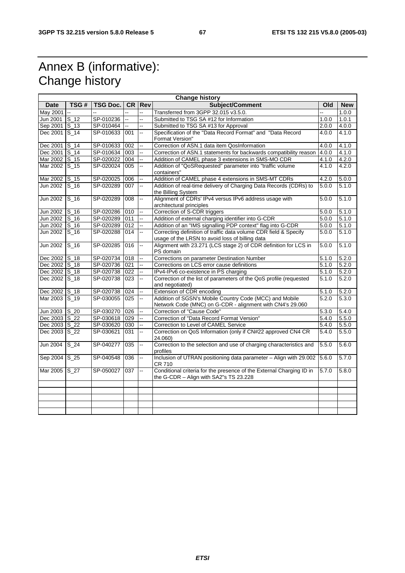## Annex B (informative): Change history

| <b>Change history</b> |          |               |     |               |                                                                                                                      |       |            |
|-----------------------|----------|---------------|-----|---------------|----------------------------------------------------------------------------------------------------------------------|-------|------------|
| Date                  | TSG#     | TSG Doc.      |     | <b>CR Rev</b> | Subject/Comment                                                                                                      | Old   | <b>New</b> |
| May 2001              |          |               |     |               | Transferred from 3GPP 32.015 v3.5.0.                                                                                 |       | 1.0.0      |
| Jun 2001              | $S_12$   | SP-010236     | ă.  | Ц.            | Submitted to TSG SA #12 for Information<br>1.0.0                                                                     |       | 1.0.1      |
| Sep 2001 S_13         |          | SP-010464     |     | Ш.            | Submitted to TSG SA #13 for Approval                                                                                 | 2.0.0 | 4.0.0      |
| Dec 2001 S_14         |          | SP-010633 001 |     | L.            | Specification of the "Data Record Format" and "Data Record<br>Format Version"                                        | 4.0.0 | 4.1.0      |
| Dec 2001 S_14         |          | SP-010633     | 002 | ш.            | Correction of ASN.1 data item QosInformation                                                                         | 4.0.0 | 4.1.0      |
| Dec 2001 S_14         |          | SP-010634     | 003 | Щ.            | Correction of ASN.1 statements for backwards compatibility reason                                                    | 4.0.0 | 4.1.0      |
| Mar 2002 S_15         |          | SP-020022     | 004 | ш.            | Addition of CAMEL phase 3 extensions in SMS-MO CDR                                                                   | 4.1.0 | 4.2.0      |
| Mar 2002 S_15         |          | SP-020024     | 005 | Ц.            | Addition of "QoSRequested" parameter into "traffic volume<br>containers"                                             | 4.1.0 | 4.2.0      |
| Mar 2002 S 15         |          | SP-020025     | 006 | ш.            | Addition of CAMEL phase 4 extensions in SMS-MT CDRs                                                                  | 4.2.0 | 5.0.0      |
| Jun 2002 S_16         |          | SP-020289     | 007 | Щ.            | Addition of real-time delivery of Charging Data Records (CDRs) to<br>the Billing System                              | 5.0.0 | 5.1.0      |
| <b>Jun 2002</b>       | $S_1$    | SP-020289     | 008 | Щ.            | Alignment of CDRs' IPv4 versus IPv6 address usage with                                                               | 5.0.0 | 5.1.0      |
|                       |          |               |     |               | architectural principles                                                                                             |       |            |
| Jun 2002 S_16         |          | SP-020286     | 010 |               | Correction of S-CDR triggers                                                                                         | 5.0.0 | 5.1.0      |
| Jun 2002 S_16         |          | SP-020289     | 011 | Щ,            | Addition of external charging identifier into G-CDR                                                                  | 5.0.0 | 5.1.0      |
| Jun 2002 S_16         |          | SP-020289 012 |     | u.            | Addition of an "IMS signalling PDP context" flag into G-CDR                                                          | 5.0.0 | 5.1.0      |
| Jun 2002              | $S_1$ 16 | SP-020288     | 014 | Ш.            | Correcting definition of traffic data volume CDR field & Specify<br>usage of the LRSN to avoid loss of billing data  | 5.0.0 | 5.1.0      |
| <b>Jun 2002</b>       | $S_1$ 16 | SP-020285     | 016 | Щ,            | Alignment with 23.271 (LCS stage 2) of CDR definition for LCS in<br>PS domain                                        | 5.0.0 | 5.1.0      |
| Dec 2002 S_18         |          | SP-020734     | 018 | ш.            | Corrections on parameter Destination Number                                                                          | 5.1.0 | 5.2.0      |
| Dec 2002 S_18         |          | SP-020736 021 |     | Щ.            | Corrections on LCS error cause definitions                                                                           | 5.1.0 | 5.2.0      |
| Dec 2002 S_18         |          | SP-020738     | 022 | цú.           | IPv4-IPv6 co-existence in PS charging                                                                                | 5.1.0 | 5.2.0      |
| Dec 2002 S_18         |          | SP-020738     | 023 | Щ.            | Correction of the list of parameters of the QoS profile (requested<br>and negotiated)                                | 5.1.0 | 5.2.0      |
| Dec 2002 S_18         |          | SP-020738     | 024 | ш.            | Extension of CDR encoding                                                                                            | 5.1.0 | 5.2.0      |
| Mar 2003 S_19         |          | SP-030055     | 025 | u.            | Addition of SGSN's Mobile Country Code (MCC) and Mobile<br>Network Code (MNC) on G-CDR - alignment with CN4's 29.060 | 5.2.0 | 5.3.0      |
| Jun 2003 S_20         |          | SP-030270 026 |     | Ш.            | Correction of "Cause Code"                                                                                           | 5.3.0 | 5.4.0      |
| Dec 2003 S_22         |          | SP-030618     | 029 | Щ,            | Correction of "Data Record Format Version"                                                                           | 5.4.0 | 5.5.0      |
| Dec 2003 S_22         |          | SP-030620     | 030 | Щ.            | Correction to Level of CAMEL Service                                                                                 | 5.4.0 | 5.5.0      |
| Dec 2003 S_22         |          | SP-030621     | 031 | Ш.            | Correction on QoS Information (only if CN#22 approved CN4 CR<br>24.060)                                              | 5.4.0 | 5.5.0      |
| Jun 2004              | $S_24$   | SP-040277     | 035 | ш.            | Correction to the selection and use of charging characteristics and<br>profiles                                      | 5.5.0 | 5.6.0      |
| Sep 2004 S_25         |          | SP-040548     | 036 | u.            | Inclusion of UTRAN positioning data parameter - Align with 29.002<br>CR 710                                          | 5.6.0 | 5.7.0      |
| Mar 2005 S 27         |          | SP-050027     | 037 | u.            | Conditional criteria for the presence of the External Charging ID in<br>the G-CDR - Align with SA2"s TS 23.228       | 5.7.0 | 5.8.0      |
|                       |          |               |     |               |                                                                                                                      |       |            |
|                       |          |               |     |               |                                                                                                                      |       |            |
|                       |          |               |     |               |                                                                                                                      |       |            |
|                       |          |               |     |               |                                                                                                                      |       |            |